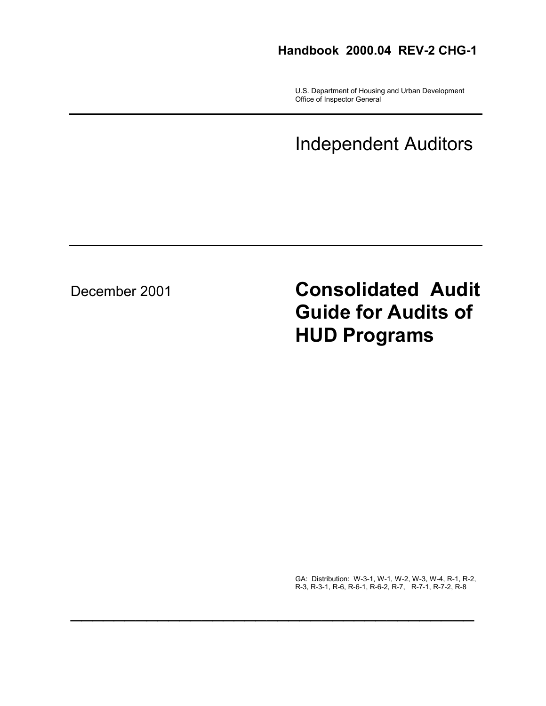# **Handbook 2000.04 REV-2 CHG-1**

 U.S. Department of Housing and Urban Development Office of Inspector General

# Independent Auditors

December 2001 **Consolidated Audit Guide for Audits of HUD Programs**

> GA: Distribution: W-3-1, W-1, W-2, W-3, W-4, R-1, R-2, R-3, R-3-1, R-6, R-6-1, R-6-2, R-7, R-7-1, R-7-2, R-8

 $\mathcal{L}_\text{max}$  and  $\mathcal{L}_\text{max}$  and  $\mathcal{L}_\text{max}$  and  $\mathcal{L}_\text{max}$  and  $\mathcal{L}_\text{max}$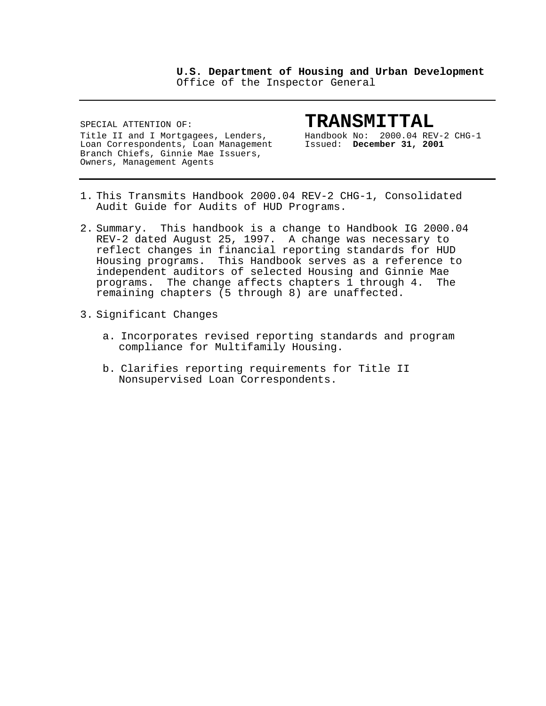**U.S. Department of Housing and Urban Development** Office of the Inspector General

SPECIAL ATTENTION OF: **TRANSMITTAL**<br>Title II and I Mortgagees, Lenders, Bandbook No: 2000.04 REV-2 CHG-1 Title II and I Mortgagees, Lenders, Handbook No: 2000.04 REV-2<br>Loan Correspondents, Loan Management Issued: December 31, 2001 Loan Correspondents, Loan Management Branch Chiefs, Ginnie Mae Issuers, Owners, Management Agents

- 1. This Transmits Handbook 2000.04 REV-2 CHG-1, Consolidated Audit Guide for Audits of HUD Programs.
- 2. Summary. This handbook is a change to Handbook IG 2000.04 REV-2 dated August 25, 1997. A change was necessary to reflect changes in financial reporting standards for HUD Housing programs. This Handbook serves as a reference to independent auditors of selected Housing and Ginnie Mae programs. The change affects chapters 1 through 4. The remaining chapters (5 through 8) are unaffected.
- 3. Significant Changes
	- a. Incorporates revised reporting standards and program compliance for Multifamily Housing.
	- b. Clarifies reporting requirements for Title II Nonsupervised Loan Correspondents.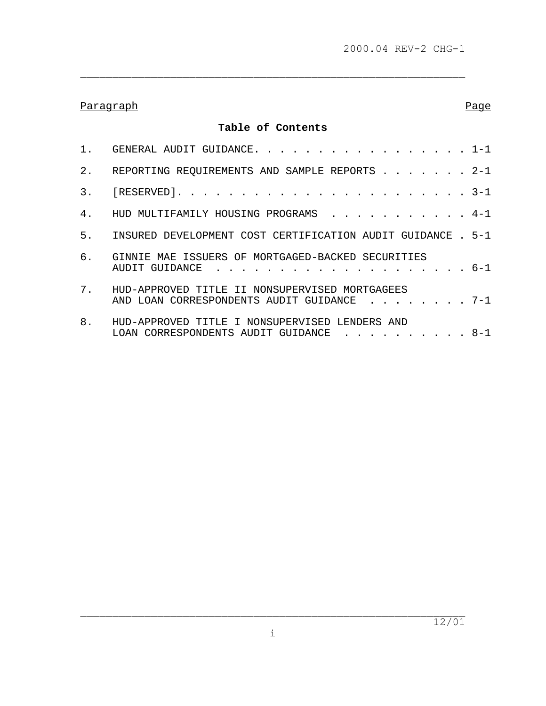\_\_\_\_\_\_\_\_\_\_\_\_\_\_\_\_\_\_\_\_\_\_\_\_\_\_\_\_\_\_\_\_\_\_\_\_\_\_\_\_\_\_\_\_\_\_\_\_\_\_\_\_\_\_\_\_\_\_\_\_

# Paragraph **Paragraph** Page 2014 **Page 2014**

# **Table of Contents**

|    | 1. GENERAL AUDIT GUIDANCE. 1-1                                                                    |
|----|---------------------------------------------------------------------------------------------------|
| 2. | REPORTING REQUIREMENTS AND SAMPLE REPORTS 2-1                                                     |
|    |                                                                                                   |
|    | 4. HUD MULTIFAMILY HOUSING PROGRAMS 4-1                                                           |
|    | 5. INSURED DEVELOPMENT COST CERTIFICATION AUDIT GUIDANCE . 5-1                                    |
|    | 6. GINNIE MAE ISSUERS OF MORTGAGED-BACKED SECURITIES                                              |
| 7. | HUD-APPROVED TITLE II NONSUPERVISED MORTGAGEES<br>AND LOAN CORRESPONDENTS AUDIT GUIDANCE 7-1      |
| 8. | HUD-APPROVED TITLE I NONSUPERVISED LENDERS AND<br>LOAN CORRESPONDENTS AUDIT GUIDANCE $\ldots$ 8-1 |

 $\overline{\phantom{a}}$  , and the contribution of the contribution of the contribution of the contribution of the contribution of the contribution of the contribution of the contribution of the contribution of the contribution of the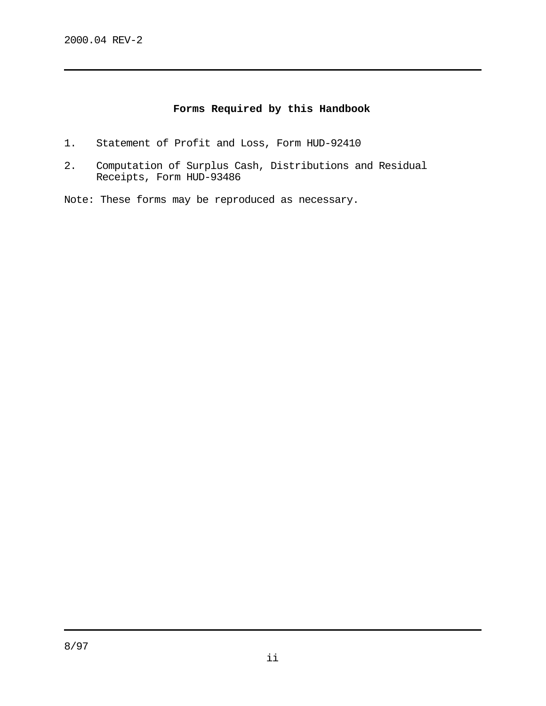# **Forms Required by this Handbook**

- 1. Statement of Profit and Loss, Form HUD-92410
- 2. Computation of Surplus Cash, Distributions and Residual Receipts, Form HUD-93486
- Note: These forms may be reproduced as necessary.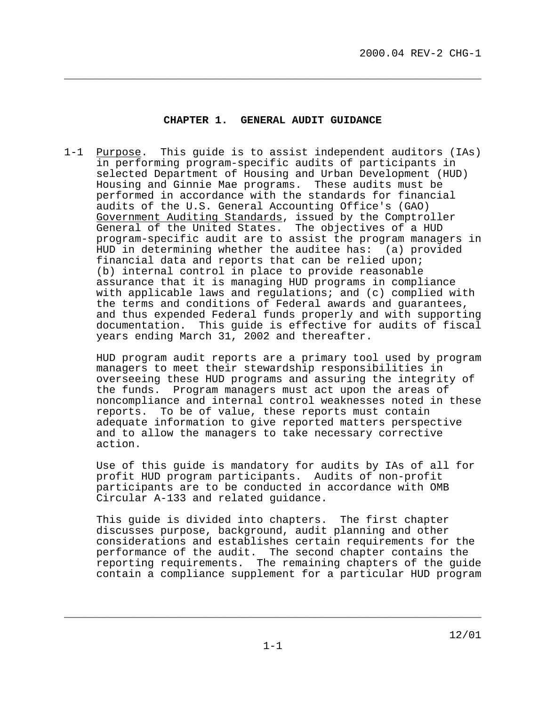#### **CHAPTER 1. GENERAL AUDIT GUIDANCE**

<span id="page-4-0"></span>**\_\_\_\_\_\_\_\_\_\_\_\_\_\_\_\_\_\_\_\_\_\_\_\_\_\_\_\_\_\_\_\_\_\_\_\_\_\_\_\_\_\_\_\_\_\_\_\_\_\_\_\_\_\_\_\_\_\_\_\_\_\_\_\_\_**

1-1 Purpose. This guide is to assist independent auditors (IAs) in performing program-specific audits of participants in selected Department of Housing and Urban Development (HUD) Housing and Ginnie Mae programs. These audits must be performed in accordance with the standards for financial audits of the U.S. General Accounting Office's (GAO) Government Auditing Standards, issued by the Comptroller General of the United States. The objectives of a HUD program-specific audit are to assist the program managers in HUD in determining whether the auditee has: (a) provided financial data and reports that can be relied upon; (b) internal control in place to provide reasonable assurance that it is managing HUD programs in compliance with applicable laws and regulations; and (c) complied with the terms and conditions of Federal awards and guarantees, and thus expended Federal funds properly and with supporting documentation. This guide is effective for audits of fiscal years ending March 31, 2002 and thereafter.

 HUD program audit reports are a primary tool used by program managers to meet their stewardship responsibilities in overseeing these HUD programs and assuring the integrity of the funds. Program managers must act upon the areas of noncompliance and internal control weaknesses noted in these reports. To be of value, these reports must contain adequate information to give reported matters perspective and to allow the managers to take necessary corrective action.

 Use of this guide is mandatory for audits by IAs of all for profit HUD program participants. Audits of non-profit participants are to be conducted in accordance with OMB Circular A-133 and related guidance.

 This guide is divided into chapters. The first chapter discusses purpose, background, audit planning and other considerations and establishes certain requirements for the performance of the audit. The second chapter contains the reporting requirements. The remaining chapters of the guide contain a compliance supplement for a particular HUD program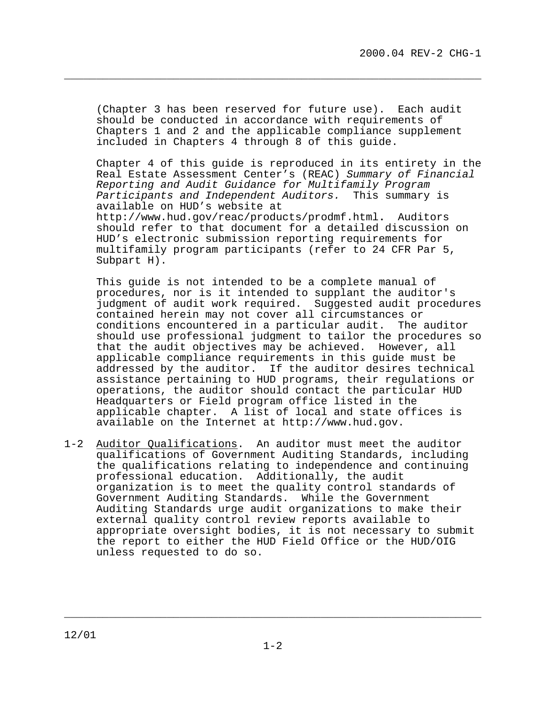(Chapter 3 has been reserved for future use). Each audit should be conducted in accordance with requirements of Chapters 1 and 2 and the applicable compliance supplement included in Chapters 4 through 8 of this guide.

**\_\_\_\_\_\_\_\_\_\_\_\_\_\_\_\_\_\_\_\_\_\_\_\_\_\_\_\_\_\_\_\_\_\_\_\_\_\_\_\_\_\_\_\_\_\_\_\_\_\_\_\_\_\_\_\_\_\_\_\_\_\_\_\_\_**

Chapter 4 of this guide is reproduced in its entirety in the Real Estate Assessment Center's (REAC) Summary of Financial Reporting and Audit Guidance for Multifamily Program Participants and Independent Auditors. This summary is available on HUD's website at <http://www.hud.gov/reac/products/prodmf.html>**.** Auditors should refer to that document for a detailed discussion on HUD's electronic submission reporting requirements for multifamily program participants (refer to 24 CFR Par 5,

 This guide is not intended to be a complete manual of procedures, nor is it intended to supplant the auditor's judgment of audit work required. Suggested audit procedures contained herein may not cover all circumstances or conditions encountered in a particular audit. The auditor should use professional judgment to tailor the procedures so that the audit objectives may be achieved. However, all applicable compliance requirements in this guide must be addressed by the auditor. If the auditor desires technical assistance pertaining to HUD programs, their regulations or operations, the auditor should contact the particular HUD Headquarters or Field program office listed in the applicable chapter. A list of local and state offices is available on the Internet at [http://www.hud.gov.](http://www.hud.gov)

1-2 Auditor Qualifications. An auditor must meet the auditor qualifications of Government Auditing Standards, including the qualifications relating to independence and continuing professional education. Additionally, the audit organization is to meet the quality control standards of Government Auditing Standards. While the Government Auditing Standards urge audit organizations to make their external quality control review reports available to appropriate oversight bodies, it is not necessary to submit the report to either the HUD Field Office or the HUD/OIG unless requested to do so.

Subpart H).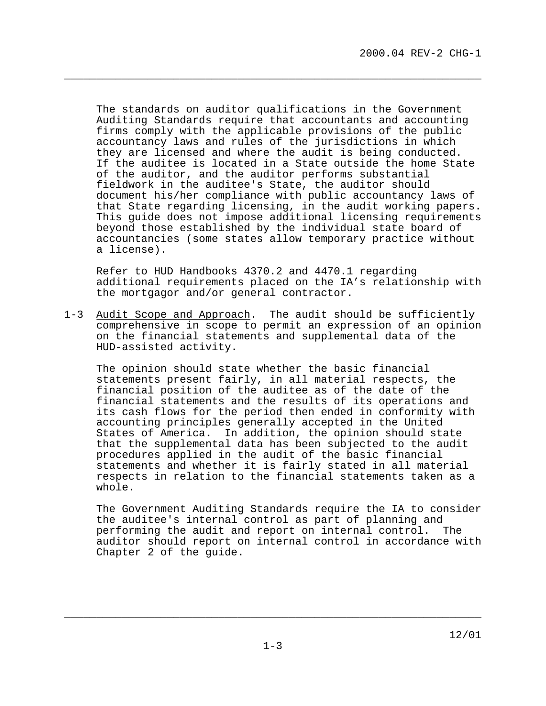The standards on auditor qualifications in the Government Auditing Standards require that accountants and accounting firms comply with the applicable provisions of the public accountancy laws and rules of the jurisdictions in which they are licensed and where the audit is being conducted. If the auditee is located in a State outside the home State of the auditor, and the auditor performs substantial fieldwork in the auditee's State, the auditor should document his/her compliance with public accountancy laws of that State regarding licensing, in the audit working papers. This guide does not impose additional licensing requirements beyond those established by the individual state board of accountancies (some states allow temporary practice without a license).

**\_\_\_\_\_\_\_\_\_\_\_\_\_\_\_\_\_\_\_\_\_\_\_\_\_\_\_\_\_\_\_\_\_\_\_\_\_\_\_\_\_\_\_\_\_\_\_\_\_\_\_\_\_\_\_\_\_\_\_\_\_\_\_\_\_**

 Refer to HUD Handbooks 4370.2 and 4470.1 regarding additional requirements placed on the IA's relationship with the mortgagor and/or general contractor.

1-3 Audit Scope and Approach. The audit should be sufficiently comprehensive in scope to permit an expression of an opinion on the financial statements and supplemental data of the HUD-assisted activity.

 The opinion should state whether the basic financial statements present fairly, in all material respects, the financial position of the auditee as of the date of the financial statements and the results of its operations and its cash flows for the period then ended in conformity with accounting principles generally accepted in the United States of America. In addition, the opinion should state that the supplemental data has been subjected to the audit procedures applied in the audit of the basic financial statements and whether it is fairly stated in all material respects in relation to the financial statements taken as a whole.

 The Government Auditing Standards require the IA to consider the auditee's internal control as part of planning and performing the audit and report on internal control. The auditor should report on internal control in accordance with Chapter 2 of the guide.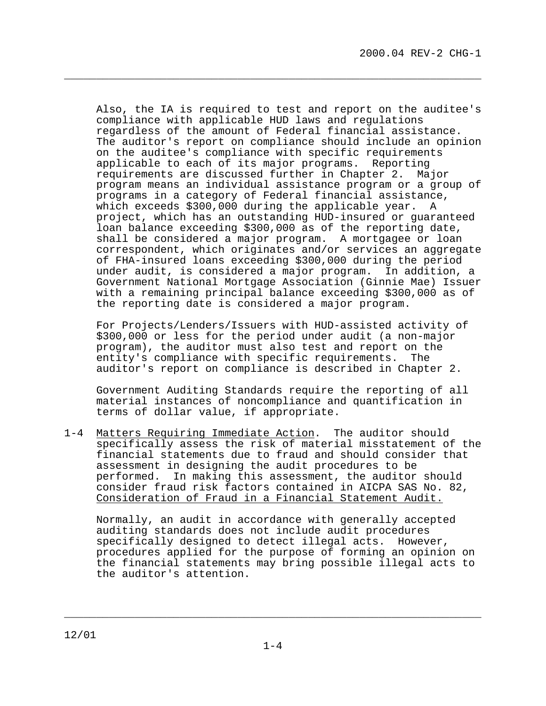Also, the IA is required to test and report on the auditee's compliance with applicable HUD laws and regulations regardless of the amount of Federal financial assistance. The auditor's report on compliance should include an opinion on the auditee's compliance with specific requirements applicable to each of its major programs. Reporting requirements are discussed further in Chapter 2. Major program means an individual assistance program or a group of programs in a category of Federal financial assistance, which exceeds \$300,000 during the applicable year. A project, which has an outstanding HUD-insured or guaranteed loan balance exceeding \$300,000 as of the reporting date, shall be considered a major program. A mortgagee or loan correspondent, which originates and/or services an aggregate of FHA-insured loans exceeding \$300,000 during the period under audit, is considered a major program. In addition, a Government National Mortgage Association (Ginnie Mae) Issuer with a remaining principal balance exceeding \$300,000 as of the reporting date is considered a major program.

**\_\_\_\_\_\_\_\_\_\_\_\_\_\_\_\_\_\_\_\_\_\_\_\_\_\_\_\_\_\_\_\_\_\_\_\_\_\_\_\_\_\_\_\_\_\_\_\_\_\_\_\_\_\_\_\_\_\_\_\_\_\_\_\_\_**

 For Projects/Lenders/Issuers with HUD-assisted activity of \$300,000 or less for the period under audit (a non-major program), the auditor must also test and report on the entity's compliance with specific requirements. The auditor's report on compliance is described in Chapter 2.

 Government Auditing Standards require the reporting of all material instances of noncompliance and quantification in terms of dollar value, if appropriate.

1-4 Matters Requiring Immediate Action. The auditor should specifically assess the risk of material misstatement of the financial statements due to fraud and should consider that assessment in designing the audit procedures to be performed. In making this assessment, the auditor should consider fraud risk factors contained in AICPA SAS No. 82, Consideration of Fraud in a Financial Statement Audit.

 Normally, an audit in accordance with generally accepted auditing standards does not include audit procedures specifically designed to detect illegal acts. However, procedures applied for the purpose of forming an opinion on the financial statements may bring possible illegal acts to the auditor's attention.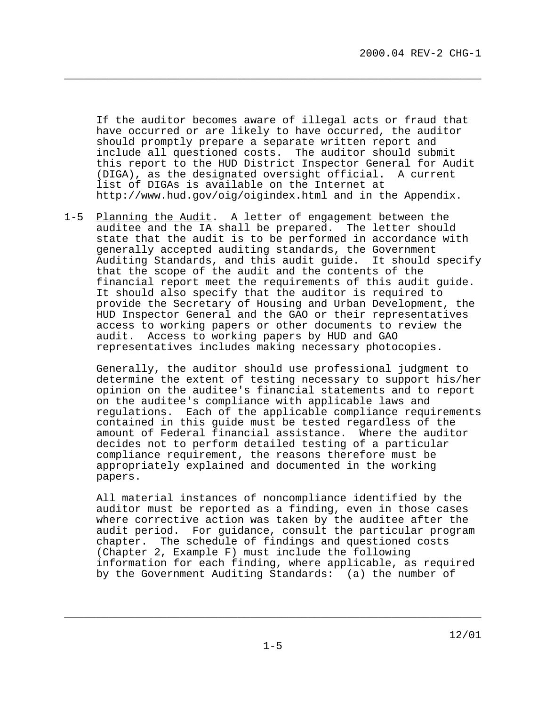If the auditor becomes aware of illegal acts or fraud that have occurred or are likely to have occurred, the auditor should promptly prepare a separate written report and include all questioned costs. The auditor should submit this report to the HUD District Inspector General for Audit (DIGA), as the designated oversight official. A current list of DIGAs is available on the Internet at <http://www.hud.gov/oig/oigindex.html>and in the Appendix.

**\_\_\_\_\_\_\_\_\_\_\_\_\_\_\_\_\_\_\_\_\_\_\_\_\_\_\_\_\_\_\_\_\_\_\_\_\_\_\_\_\_\_\_\_\_\_\_\_\_\_\_\_\_\_\_\_\_\_\_\_\_\_\_\_\_**

1-5 Planning the Audit. A letter of engagement between the auditee and the IA shall be prepared. The letter should state that the audit is to be performed in accordance with generally accepted auditing standards, the Government Auditing Standards, and this audit guide. It should specify that the scope of the audit and the contents of the financial report meet the requirements of this audit guide. It should also specify that the auditor is required to provide the Secretary of Housing and Urban Development, the HUD Inspector General and the GAO or their representatives access to working papers or other documents to review the audit. Access to working papers by HUD and GAO representatives includes making necessary photocopies.

 Generally, the auditor should use professional judgment to determine the extent of testing necessary to support his/her opinion on the auditee's financial statements and to report on the auditee's compliance with applicable laws and regulations. Each of the applicable compliance requirements contained in this guide must be tested regardless of the amount of Federal financial assistance. Where the auditor decides not to perform detailed testing of a particular compliance requirement, the reasons therefore must be appropriately explained and documented in the working papers.

 All material instances of noncompliance identified by the auditor must be reported as a finding, even in those cases where corrective action was taken by the auditee after the audit period. For guidance, consult the particular program chapter. The schedule of findings and questioned costs (Chapter 2, Example F) must include the following information for each finding, where applicable, as required by the Government Auditing Standards: (a) the number of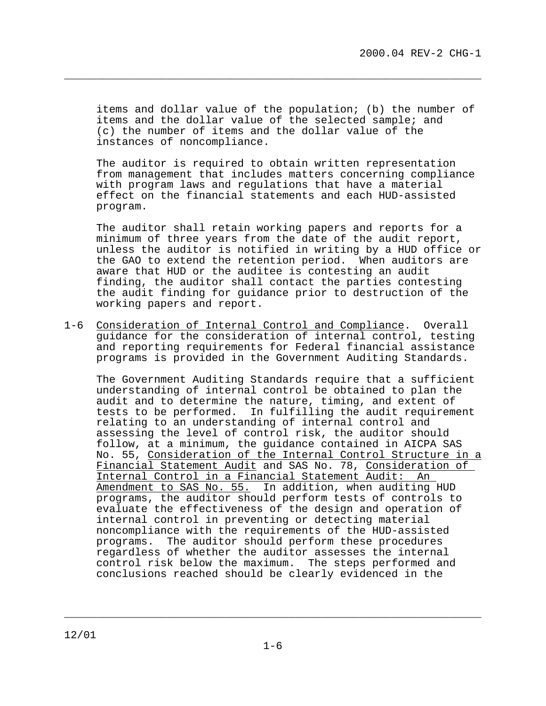items and dollar value of the population; (b) the number of items and the dollar value of the selected sample; and (c) the number of items and the dollar value of the instances of noncompliance.

**\_\_\_\_\_\_\_\_\_\_\_\_\_\_\_\_\_\_\_\_\_\_\_\_\_\_\_\_\_\_\_\_\_\_\_\_\_\_\_\_\_\_\_\_\_\_\_\_\_\_\_\_\_\_\_\_\_\_\_\_\_\_\_\_\_**

 The auditor is required to obtain written representation from management that includes matters concerning compliance with program laws and regulations that have a material effect on the financial statements and each HUD-assisted program.

 The auditor shall retain working papers and reports for a minimum of three years from the date of the audit report, unless the auditor is notified in writing by a HUD office or the GAO to extend the retention period. When auditors are aware that HUD or the auditee is contesting an audit finding, the auditor shall contact the parties contesting the audit finding for guidance prior to destruction of the working papers and report.

1-6 Consideration of Internal Control and Compliance. Overall guidance for the consideration of internal control, testing and reporting requirements for Federal financial assistance programs is provided in the Government Auditing Standards.

 The Government Auditing Standards require that a sufficient understanding of internal control be obtained to plan the audit and to determine the nature, timing, and extent of tests to be performed. In fulfilling the audit requirement relating to an understanding of internal control and assessing the level of control risk, the auditor should follow, at a minimum, the guidance contained in AICPA SAS No. 55, Consideration of the Internal Control Structure in a Financial Statement Audit and SAS No. 78, Consideration of Internal Control in a Financial Statement Audit: An Amendment to SAS No. 55. In addition, when auditing HUD programs, the auditor should perform tests of controls to evaluate the effectiveness of the design and operation of internal control in preventing or detecting material noncompliance with the requirements of the HUD-assisted programs. The auditor should perform these procedures regardless of whether the auditor assesses the internal control risk below the maximum. The steps performed and conclusions reached should be clearly evidenced in the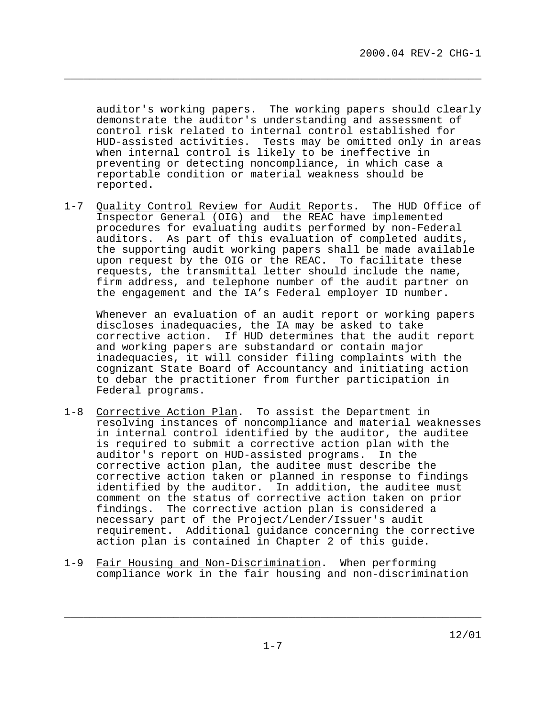auditor's working papers. The working papers should clearly demonstrate the auditor's understanding and assessment of control risk related to internal control established for HUD-assisted activities. Tests may be omitted only in areas when internal control is likely to be ineffective in preventing or detecting noncompliance, in which case a reportable condition or material weakness should be reported.

**\_\_\_\_\_\_\_\_\_\_\_\_\_\_\_\_\_\_\_\_\_\_\_\_\_\_\_\_\_\_\_\_\_\_\_\_\_\_\_\_\_\_\_\_\_\_\_\_\_\_\_\_\_\_\_\_\_\_\_\_\_\_\_\_\_**

1-7 Quality Control Review for Audit Reports. The HUD Office of Inspector General (OIG) and the REAC have implemented procedures for evaluating audits performed by non-Federal auditors. As part of this evaluation of completed audits, the supporting audit working papers shall be made available upon request by the OIG or the REAC. To facilitate these requests, the transmittal letter should include the name, firm address, and telephone number of the audit partner on the engagement and the IA's Federal employer ID number.

 Whenever an evaluation of an audit report or working papers discloses inadequacies, the IA may be asked to take corrective action. If HUD determines that the audit report and working papers are substandard or contain major inadequacies, it will consider filing complaints with the cognizant State Board of Accountancy and initiating action to debar the practitioner from further participation in Federal programs.

- 1-8 Corrective Action Plan. To assist the Department in resolving instances of noncompliance and material weaknesses in internal control identified by the auditor, the auditee is required to submit a corrective action plan with the auditor's report on HUD-assisted programs. In the corrective action plan, the auditee must describe the corrective action taken or planned in response to findings identified by the auditor. In addition, the auditee must comment on the status of corrective action taken on prior findings. The corrective action plan is considered a necessary part of the Project/Lender/Issuer's audit requirement. Additional guidance concerning the corrective action plan is contained in Chapter 2 of this guide.
- 1-9 Fair Housing and Non-Discrimination. When performing compliance work in the fair housing and non-discrimination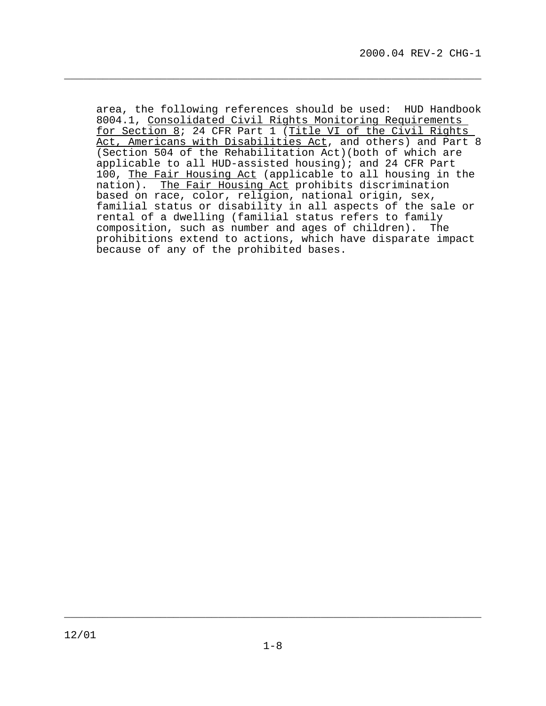area, the following references should be used: HUD Handbook 8004.1, Consolidated Civil Rights Monitoring Requirements for Section 8; 24 CFR Part 1 (Title VI of the Civil Rights Act, Americans with Disabilities Act, and others) and Part 8 (Section 504 of the Rehabilitation Act)(both of which are applicable to all HUD-assisted housing); and 24 CFR Part 100, The Fair Housing Act (applicable to all housing in the nation). The Fair Housing Act prohibits discrimination based on race, color, religion, national origin, sex, familial status or disability in all aspects of the sale or rental of a dwelling (familial status refers to family composition, such as number and ages of children). The prohibitions extend to actions, which have disparate impact because of any of the prohibited bases.

**\_\_\_\_\_\_\_\_\_\_\_\_\_\_\_\_\_\_\_\_\_\_\_\_\_\_\_\_\_\_\_\_\_\_\_\_\_\_\_\_\_\_\_\_\_\_\_\_\_\_\_\_\_\_\_\_\_\_\_\_\_\_\_\_\_**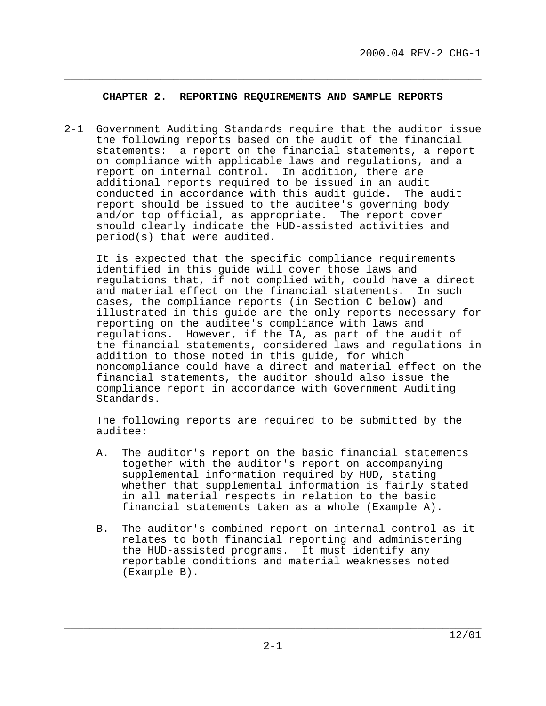### **CHAPTER 2. REPORTING REQUIREMENTS AND SAMPLE REPORTS**

<span id="page-12-0"></span>\_\_\_\_\_\_\_\_\_\_\_\_\_\_\_\_\_\_\_\_\_\_\_\_\_\_\_\_\_\_\_\_\_\_\_\_\_\_\_\_\_\_\_\_\_\_\_\_\_\_\_\_\_\_\_\_\_\_\_\_\_\_\_\_\_

2-1 Government Auditing Standards require that the auditor issue the following reports based on the audit of the financial statements: a report on the financial statements, a report on compliance with applicable laws and regulations, and a report on internal control. In addition, there are additional reports required to be issued in an audit conducted in accordance with this audit guide. The audit report should be issued to the auditee's governing body and/or top official, as appropriate. The report cover should clearly indicate the HUD-assisted activities and period(s) that were audited.

 It is expected that the specific compliance requirements identified in this guide will cover those laws and regulations that, if not complied with, could have a direct and material effect on the financial statements. In such cases, the compliance reports (in Section C below) and illustrated in this guide are the only reports necessary for reporting on the auditee's compliance with laws and regulations. However, if the IA, as part of the audit of the financial statements, considered laws and regulations in addition to those noted in this guide, for which noncompliance could have a direct and material effect on the financial statements, the auditor should also issue the compliance report in accordance with Government Auditing Standards.

 The following reports are required to be submitted by the auditee:

- A. The auditor's report on the basic financial statements together with the auditor's report on accompanying supplemental information required by HUD, stating whether that supplemental information is fairly stated in all material respects in relation to the basic financial statements taken as a whole (Example A).
- B. The auditor's combined report on internal control as it relates to both financial reporting and administering the HUD-assisted programs. It must identify any reportable conditions and material weaknesses noted (Example B).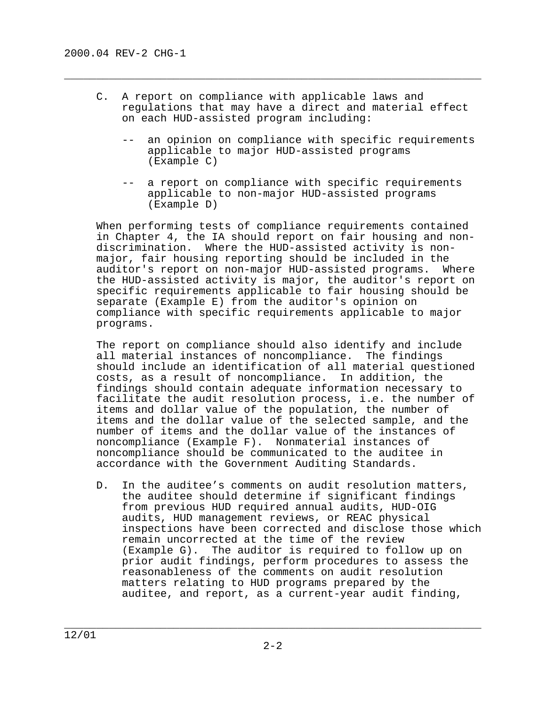C. A report on compliance with applicable laws and regulations that may have a direct and material effect on each HUD-assisted program including:

 $\overline{\phantom{a}}$  , and the contract of the contract of the contract of the contract of the contract of the contract of  $\overline{\phantom{a}}$ 

- -- an opinion on compliance with specific requirements applicable to major HUD-assisted programs (Example C)
- -- a report on compliance with specific requirements applicable to non-major HUD-assisted programs (Example D)

 When performing tests of compliance requirements contained in Chapter 4, the IA should report on fair housing and nondiscrimination. Where the HUD-assisted activity is nonmajor, fair housing reporting should be included in the auditor's report on non-major HUD-assisted programs. Where the HUD-assisted activity is major, the auditor's report on specific requirements applicable to fair housing should be separate (Example E) from the auditor's opinion on compliance with specific requirements applicable to major programs.

 The report on compliance should also identify and include all material instances of noncompliance. The findings should include an identification of all material questioned costs, as a result of noncompliance. In addition, the findings should contain adequate information necessary to facilitate the audit resolution process, i.e. the number of items and dollar value of the population, the number of items and the dollar value of the selected sample, and the number of items and the dollar value of the instances of noncompliance (Example F). Nonmaterial instances of noncompliance should be communicated to the auditee in accordance with the Government Auditing Standards.

 D. In the auditee's comments on audit resolution matters, the auditee should determine if significant findings from previous HUD required annual audits, HUD-OIG audits, HUD management reviews, or REAC physical inspections have been corrected and disclose those which remain uncorrected at the time of the review (Example G). The auditor is required to follow up on prior audit findings, perform procedures to assess the reasonableness of the comments on audit resolution matters relating to HUD programs prepared by the auditee, and report, as a current-year audit finding,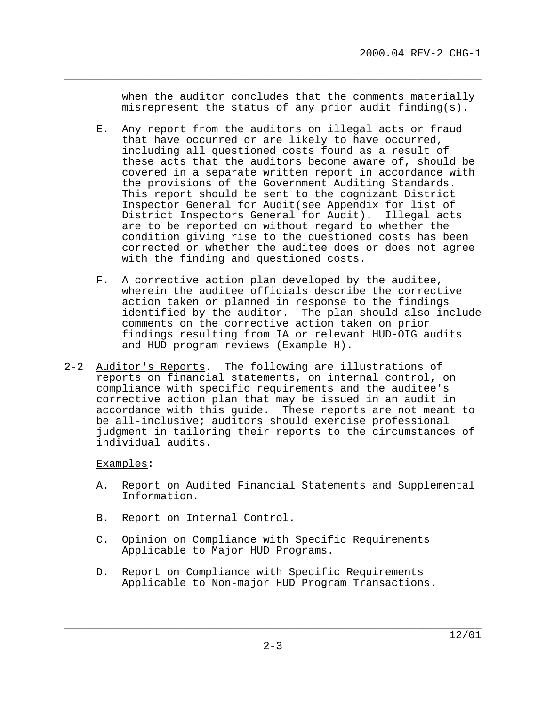when the auditor concludes that the comments materially misrepresent the status of any prior audit finding(s).

\_\_\_\_\_\_\_\_\_\_\_\_\_\_\_\_\_\_\_\_\_\_\_\_\_\_\_\_\_\_\_\_\_\_\_\_\_\_\_\_\_\_\_\_\_\_\_\_\_\_\_\_\_\_\_\_\_\_\_\_\_\_\_\_\_

- E. Any report from the auditors on illegal acts or fraud that have occurred or are likely to have occurred, including all questioned costs found as a result of these acts that the auditors become aware of, should be covered in a separate written report in accordance with the provisions of the Government Auditing Standards. This report should be sent to the cognizant District Inspector General for Audit(see Appendix for list of District Inspectors General for Audit). Illegal acts are to be reported on without regard to whether the condition giving rise to the questioned costs has been corrected or whether the auditee does or does not agree with the finding and questioned costs.
- F. A corrective action plan developed by the auditee, wherein the auditee officials describe the corrective action taken or planned in response to the findings identified by the auditor. The plan should also include comments on the corrective action taken on prior findings resulting from IA or relevant HUD-OIG audits and HUD program reviews (Example H).
- 2-2 Auditor's Reports. The following are illustrations of reports on financial statements, on internal control, on compliance with specific requirements and the auditee's corrective action plan that may be issued in an audit in accordance with this guide. These reports are not meant to be all-inclusive; auditors should exercise professional judgment in tailoring their reports to the circumstances of individual audits.

#### Examples:

- A. Report on Audited Financial Statements and Supplemental Information.
- B. Report on Internal Control.
- C. Opinion on Compliance with Specific Requirements Applicable to Major HUD Programs.
- D. Report on Compliance with Specific Requirements Applicable to Non-major HUD Program Transactions.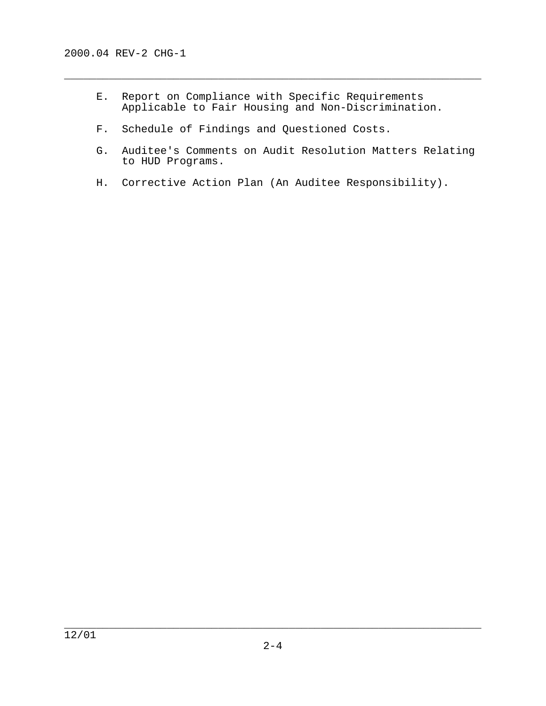E. Report on Compliance with Specific Requirements Applicable to Fair Housing and Non-Discrimination.

- F. Schedule of Findings and Questioned Costs.
- G. Auditee's Comments on Audit Resolution Matters Relating to HUD Programs.
- H. Corrective Action Plan (An Auditee Responsibility).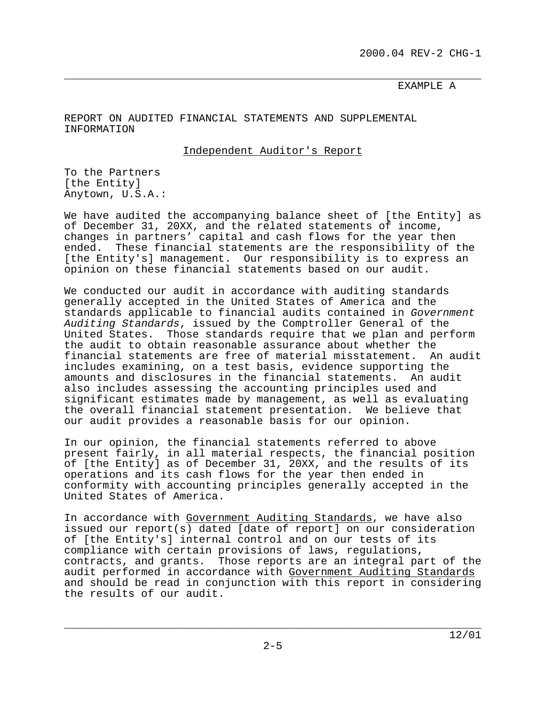#### \_\_\_\_\_\_\_\_\_\_\_\_\_\_\_\_\_\_\_\_\_\_\_\_\_\_\_\_\_\_\_\_\_\_\_\_\_\_\_\_\_\_\_\_\_\_\_\_\_\_\_\_\_\_\_\_\_\_\_\_\_\_\_\_\_ EXAMPLE A

REPORT ON AUDITED FINANCIAL STATEMENTS AND SUPPLEMENTAL INFORMATION

Independent Auditor's Report

To the Partners [the Entity] Anytown, U.S.A.:

We have audited the accompanying balance sheet of [the Entity] as of December 31, 20XX, and the related statements of income, changes in partners' capital and cash flows for the year then ended. These financial statements are the responsibility of the [the Entity's] management. Our responsibility is to express an opinion on these financial statements based on our audit.

We conducted our audit in accordance with auditing standards generally accepted in the United States of America and the standards applicable to financial audits contained in Government Auditing Standards, issued by the Comptroller General of the United States. Those standards require that we plan and perform the audit to obtain reasonable assurance about whether the financial statements are free of material misstatement. An audit includes examining, on a test basis, evidence supporting the amounts and disclosures in the financial statements. An audit also includes assessing the accounting principles used and significant estimates made by management, as well as evaluating the overall financial statement presentation. We believe that our audit provides a reasonable basis for our opinion.

In our opinion, the financial statements referred to above present fairly, in all material respects, the financial position of [the Entity] as of December 31, 20XX, and the results of its operations and its cash flows for the year then ended in conformity with accounting principles generally accepted in the United States of America.

In accordance with Government Auditing Standards, we have also issued our report(s) dated [date of report] on our consideration of [the Entity's] internal control and on our tests of its compliance with certain provisions of laws, regulations, contracts, and grants. Those reports are an integral part of the audit performed in accordance with Government Auditing Standards and should be read in conjunction with this report in considering the results of our audit.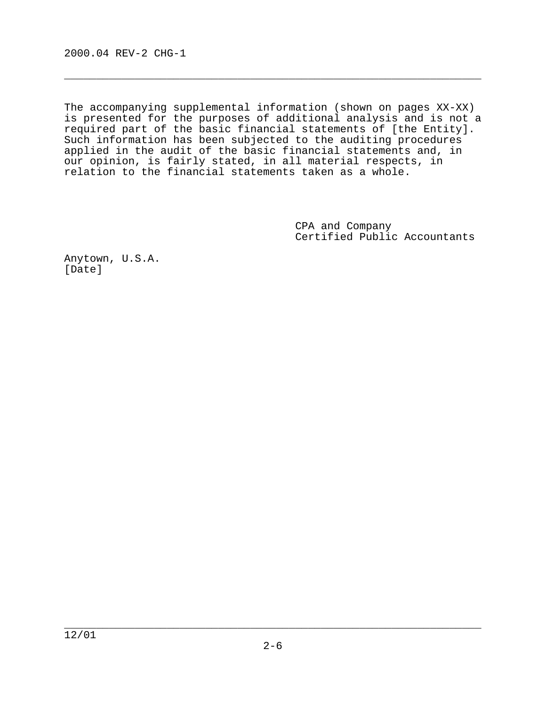The accompanying supplemental information (shown on pages XX-XX) is presented for the purposes of additional analysis and is not a required part of the basic financial statements of [the Entity]. Such information has been subjected to the auditing procedures applied in the audit of the basic financial statements and, in our opinion, is fairly stated, in all material respects, in relation to the financial statements taken as a whole.

 $\overline{\phantom{a}}$  , and the contract of the contract of the contract of the contract of the contract of the contract of  $\overline{\phantom{a}}$ 

 CPA and Company Certified Public Accountants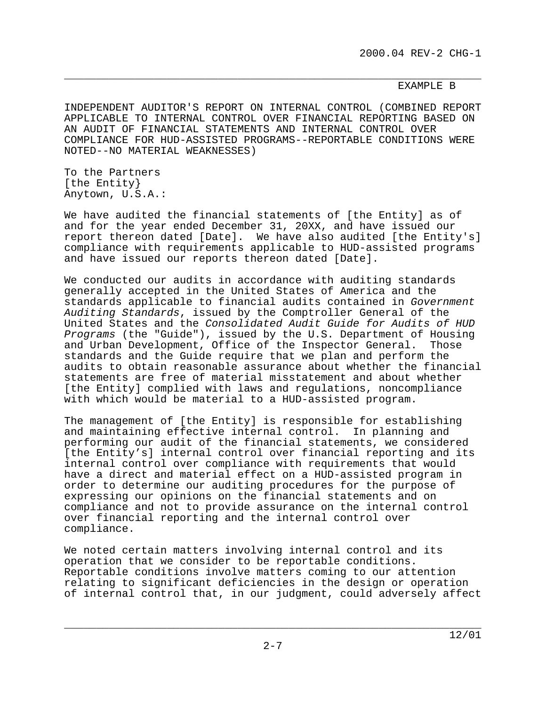#### \_\_\_\_\_\_\_\_\_\_\_\_\_\_\_\_\_\_\_\_\_\_\_\_\_\_\_\_\_\_\_\_\_\_\_\_\_\_\_\_\_\_\_\_\_\_\_\_\_\_\_\_\_\_\_\_\_\_\_\_\_\_\_\_\_ EXAMPLE B

INDEPENDENT AUDITOR'S REPORT ON INTERNAL CONTROL (COMBINED REPORT APPLICABLE TO INTERNAL CONTROL OVER FINANCIAL REPORTING BASED ON AN AUDIT OF FINANCIAL STATEMENTS AND INTERNAL CONTROL OVER COMPLIANCE FOR HUD-ASSISTED PROGRAMS--REPORTABLE CONDITIONS WERE NOTED--NO MATERIAL WEAKNESSES)

To the Partners [the Entity} Anytown, U.S.A.:

We have audited the financial statements of [the Entity] as of and for the year ended December 31, 20XX, and have issued our report thereon dated [Date]. We have also audited [the Entity's] compliance with requirements applicable to HUD-assisted programs and have issued our reports thereon dated [Date].

We conducted our audits in accordance with auditing standards generally accepted in the United States of America and the standards applicable to financial audits contained in Government Auditing Standards, issued by the Comptroller General of the United States and the Consolidated Audit Guide for Audits of HUD Programs (the "Guide"), issued by the U.S. Department of Housing and Urban Development, Office of the Inspector General. Those standards and the Guide require that we plan and perform the audits to obtain reasonable assurance about whether the financial statements are free of material misstatement and about whether [the Entity] complied with laws and regulations, noncompliance with which would be material to a HUD-assisted program.

The management of [the Entity] is responsible for establishing and maintaining effective internal control. In planning and performing our audit of the financial statements, we considered [the Entity's] internal control over financial reporting and its internal control over compliance with requirements that would have a direct and material effect on a HUD-assisted program in order to determine our auditing procedures for the purpose of expressing our opinions on the financial statements and on compliance and not to provide assurance on the internal control over financial reporting and the internal control over compliance.

We noted certain matters involving internal control and its operation that we consider to be reportable conditions. Reportable conditions involve matters coming to our attention relating to significant deficiencies in the design or operation of internal control that, in our judgment, could adversely affect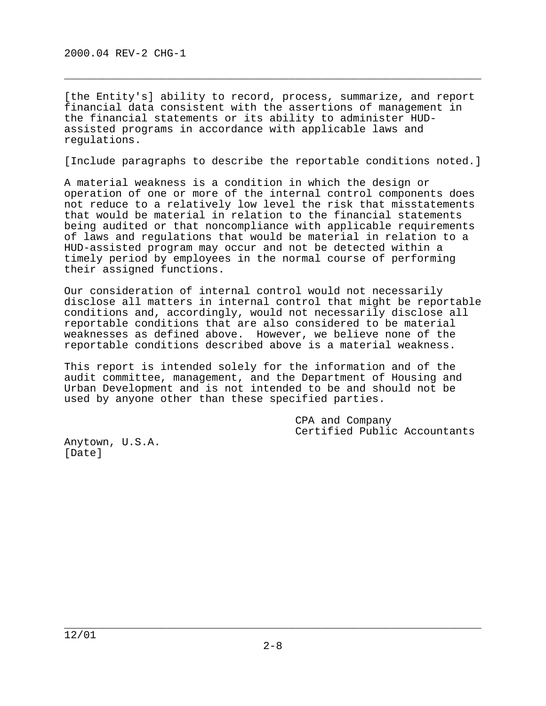[the Entity's] ability to record, process, summarize, and report financial data consistent with the assertions of management in the financial statements or its ability to administer HUDassisted programs in accordance with applicable laws and regulations.

 $\overline{\phantom{a}}$  , and the contract of the contract of the contract of the contract of the contract of the contract of  $\overline{\phantom{a}}$ 

[Include paragraphs to describe the reportable conditions noted.]

A material weakness is a condition in which the design or operation of one or more of the internal control components does not reduce to a relatively low level the risk that misstatements that would be material in relation to the financial statements being audited or that noncompliance with applicable requirements of laws and regulations that would be material in relation to a HUD-assisted program may occur and not be detected within a timely period by employees in the normal course of performing their assigned functions.

Our consideration of internal control would not necessarily disclose all matters in internal control that might be reportable conditions and, accordingly, would not necessarily disclose all reportable conditions that are also considered to be material weaknesses as defined above. However, we believe none of the reportable conditions described above is a material weakness.

This report is intended solely for the information and of the audit committee, management, and the Department of Housing and Urban Development and is not intended to be and should not be used by anyone other than these specified parties.

> CPA and Company Certified Public Accountants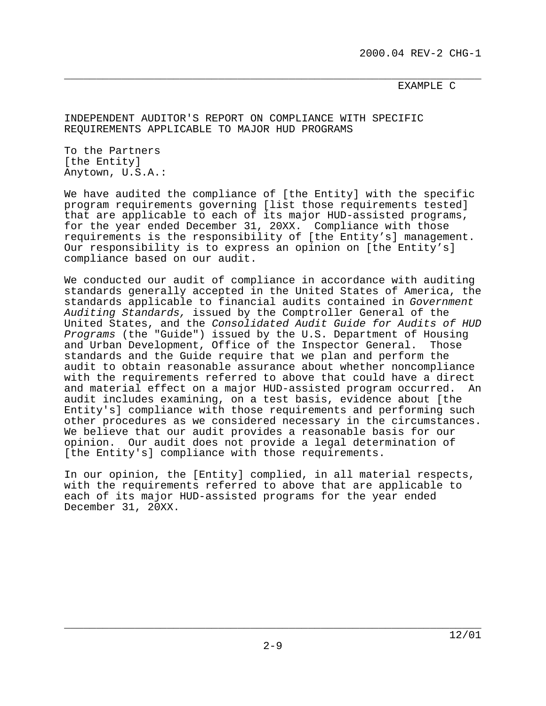#### \_\_\_\_\_\_\_\_\_\_\_\_\_\_\_\_\_\_\_\_\_\_\_\_\_\_\_\_\_\_\_\_\_\_\_\_\_\_\_\_\_\_\_\_\_\_\_\_\_\_\_\_\_\_\_\_\_\_\_\_\_\_\_\_\_ EXAMPLE C

INDEPENDENT AUDITOR'S REPORT ON COMPLIANCE WITH SPECIFIC REQUIREMENTS APPLICABLE TO MAJOR HUD PROGRAMS

To the Partners [the Entity] Anytown, U.S.A.:

We have audited the compliance of [the Entity] with the specific program requirements governing [list those requirements tested] that are applicable to each of its major HUD-assisted programs, for the year ended December 31, 20XX. Compliance with those requirements is the responsibility of [the Entity's] management. Our responsibility is to express an opinion on [the Entity's] compliance based on our audit.

We conducted our audit of compliance in accordance with auditing standards generally accepted in the United States of America, the standards applicable to financial audits contained in Government Auditing Standards, issued by the Comptroller General of the United States, and the Consolidated Audit Guide for Audits of HUD Programs (the "Guide") issued by the U.S. Department of Housing and Urban Development, Office of the Inspector General. Those standards and the Guide require that we plan and perform the audit to obtain reasonable assurance about whether noncompliance with the requirements referred to above that could have a direct and material effect on a major HUD-assisted program occurred. An audit includes examining, on a test basis, evidence about [the Entity's] compliance with those requirements and performing such other procedures as we considered necessary in the circumstances. We believe that our audit provides a reasonable basis for our opinion. Our audit does not provide a legal determination of [the Entity's] compliance with those requirements.

In our opinion, the [Entity] complied, in all material respects, with the requirements referred to above that are applicable to each of its major HUD-assisted programs for the year ended December 31, 20XX.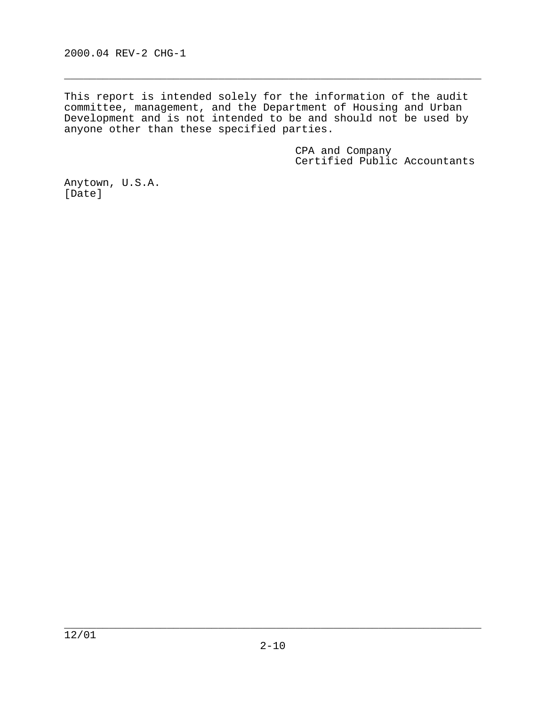2000.04 REV-2 CHG-1

This report is intended solely for the information of the audit committee, management, and the Department of Housing and Urban Development and is not intended to be and should not be used by anyone other than these specified parties.

 $\overline{\phantom{a}}$  , and the contract of the contract of the contract of the contract of the contract of the contract of  $\overline{\phantom{a}}$ 

 CPA and Company Certified Public Accountants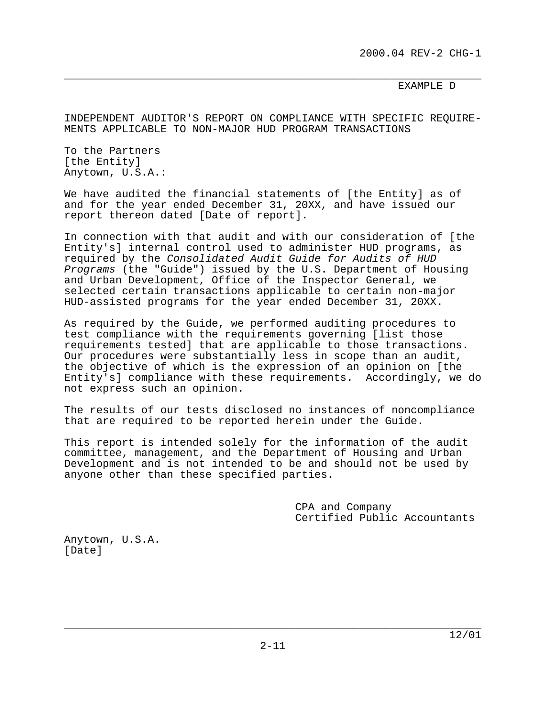#### \_\_\_\_\_\_\_\_\_\_\_\_\_\_\_\_\_\_\_\_\_\_\_\_\_\_\_\_\_\_\_\_\_\_\_\_\_\_\_\_\_\_\_\_\_\_\_\_\_\_\_\_\_\_\_\_\_\_\_\_\_\_\_\_\_ EXAMPLE D

INDEPENDENT AUDITOR'S REPORT ON COMPLIANCE WITH SPECIFIC REQUIRE-MENTS APPLICABLE TO NON-MAJOR HUD PROGRAM TRANSACTIONS

To the Partners [the Entity] Anytown, U.S.A.:

We have audited the financial statements of [the Entity] as of and for the year ended December 31, 20XX, and have issued our report thereon dated [Date of report].

In connection with that audit and with our consideration of [the Entity's] internal control used to administer HUD programs, as required by the Consolidated Audit Guide for Audits of HUD Programs (the "Guide") issued by the U.S. Department of Housing and Urban Development, Office of the Inspector General, we selected certain transactions applicable to certain non-major HUD-assisted programs for the year ended December 31, 20XX.

As required by the Guide, we performed auditing procedures to test compliance with the requirements governing [list those requirements tested] that are applicable to those transactions. Our procedures were substantially less in scope than an audit, the objective of which is the expression of an opinion on [the Entity's] compliance with these requirements. Accordingly, we do not express such an opinion.

The results of our tests disclosed no instances of noncompliance that are required to be reported herein under the Guide.

This report is intended solely for the information of the audit committee, management, and the Department of Housing and Urban Development and is not intended to be and should not be used by anyone other than these specified parties.

> CPA and Company Certified Public Accountants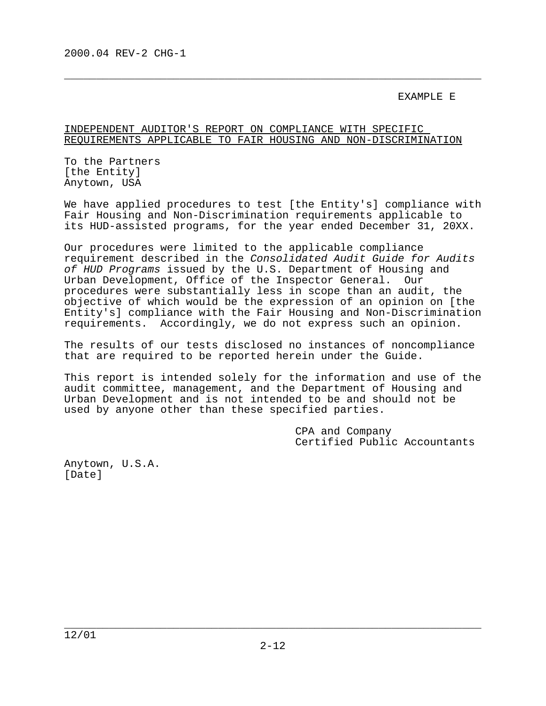#### EXAMPLE E

#### INDEPENDENT AUDITOR'S REPORT ON COMPLIANCE WITH SPECIFIC REQUIREMENTS APPLICABLE TO FAIR HOUSING AND NON-DISCRIMINATION

 $\overline{\phantom{a}}$  , and the contract of the contract of the contract of the contract of the contract of the contract of  $\overline{\phantom{a}}$ 

To the Partners [the Entity] Anytown, USA

We have applied procedures to test [the Entity's] compliance with Fair Housing and Non-Discrimination requirements applicable to its HUD-assisted programs, for the year ended December 31, 20XX.

Our procedures were limited to the applicable compliance requirement described in the Consolidated Audit Guide for Audits of HUD Programs issued by the U.S. Department of Housing and Urban Development, Office of the Inspector General. Our procedures were substantially less in scope than an audit, the objective of which would be the expression of an opinion on [the Entity's] compliance with the Fair Housing and Non-Discrimination requirements. Accordingly, we do not express such an opinion.

The results of our tests disclosed no instances of noncompliance that are required to be reported herein under the Guide.

This report is intended solely for the information and use of the audit committee, management, and the Department of Housing and Urban Development and is not intended to be and should not be used by anyone other than these specified parties.

> CPA and Company Certified Public Accountants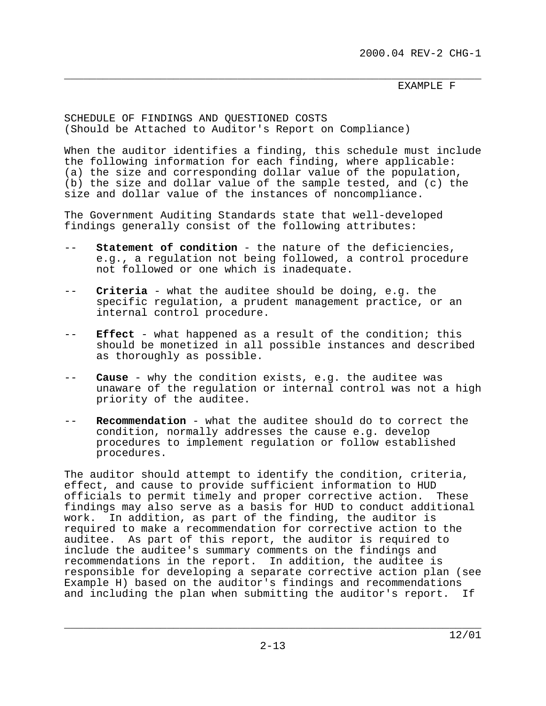#### \_\_\_\_\_\_\_\_\_\_\_\_\_\_\_\_\_\_\_\_\_\_\_\_\_\_\_\_\_\_\_\_\_\_\_\_\_\_\_\_\_\_\_\_\_\_\_\_\_\_\_\_\_\_\_\_\_\_\_\_\_\_\_\_\_ EXAMPLE F

SCHEDULE OF FINDINGS AND QUESTIONED COSTS (Should be Attached to Auditor's Report on Compliance)

When the auditor identifies a finding, this schedule must include the following information for each finding, where applicable: (a) the size and corresponding dollar value of the population, (b) the size and dollar value of the sample tested, and (c) the size and dollar value of the instances of noncompliance.

The Government Auditing Standards state that well-developed findings generally consist of the following attributes:

- -- **Statement of condition** the nature of the deficiencies, e.g., a regulation not being followed, a control procedure not followed or one which is inadequate.
- -- **Criteria** what the auditee should be doing, e.g. the specific regulation, a prudent management practice, or an internal control procedure.
- -- **Effect** what happened as a result of the condition; this should be monetized in all possible instances and described as thoroughly as possible.
- -- **Cause** why the condition exists, e.g. the auditee was unaware of the regulation or internal control was not a high priority of the auditee.
- -- **Recommendation** what the auditee should do to correct the condition, normally addresses the cause e.g. develop procedures to implement regulation or follow established procedures.

The auditor should attempt to identify the condition, criteria, effect, and cause to provide sufficient information to HUD officials to permit timely and proper corrective action. These findings may also serve as a basis for HUD to conduct additional work. In addition, as part of the finding, the auditor is required to make a recommendation for corrective action to the auditee. As part of this report, the auditor is required to include the auditee's summary comments on the findings and recommendations in the report. In addition, the auditee is responsible for developing a separate corrective action plan (see Example H) based on the auditor's findings and recommendations and including the plan when submitting the auditor's report. If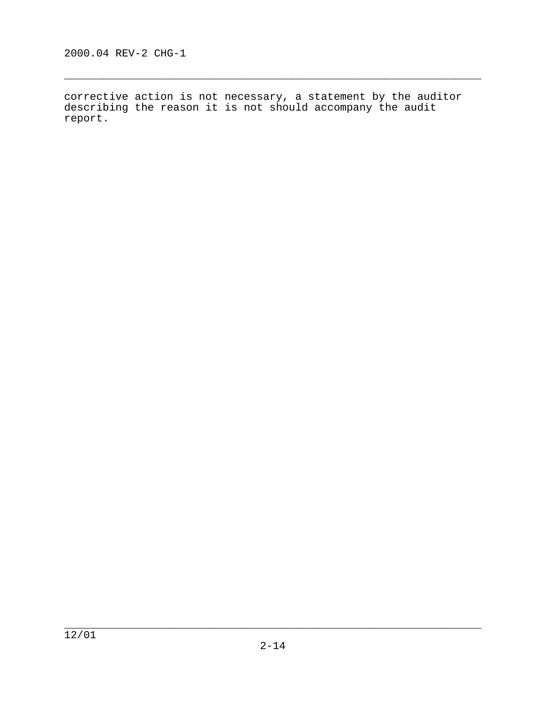corrective action is not necessary, a statement by the auditor describing the reason it is not should accompany the audit report.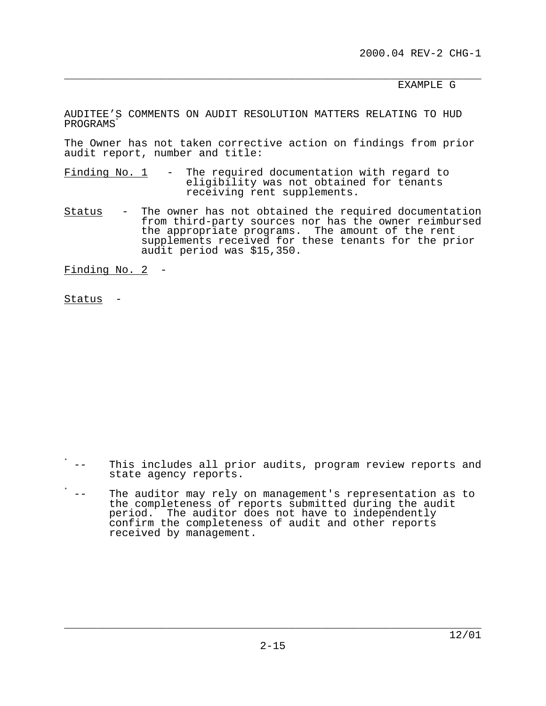2000.04 REV-2 CHG-1

\_\_\_\_\_\_\_\_\_\_\_\_\_\_\_\_\_\_\_\_\_\_\_\_\_\_\_\_\_\_\_\_\_\_\_\_\_\_\_\_\_\_\_\_\_\_\_\_\_\_\_\_\_\_\_\_\_\_\_\_\_\_\_\_\_ EXAMPLE G

AUDITEE'S COMMENTS ON AUDIT RESOLUTION MATTERS RELATING TO HUD PROGRAMS<sup>\*</sup>

The Owner has not taken corrective action on findings from prior audit report, number and title:

- Finding No.  $1 -$  The required documentation with regard to eligibility was not obtained for tenants receiving rent supplements.
- Status The owner has not obtained the required documentation from third-party sources nor has the owner reimbursed the appropriate programs. The amount of the rent supplements received for these tenants for the prior audit period was \$15,350.

Finding No. 2 -

Status -

- \* -- This includes all prior audits, program review reports and state agency reports.
- \* -- The auditor may rely on management's representation as to the completeness of reports submitted during the audit period. The auditor does not have to independently confirm the completeness of audit and other reports received by management.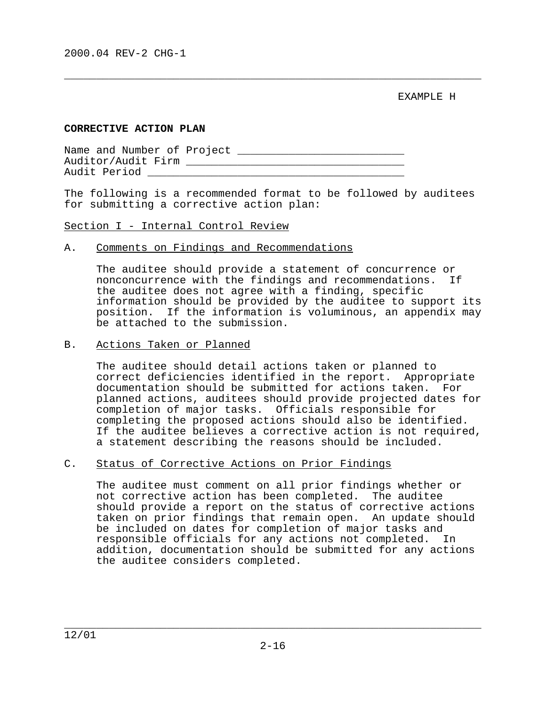EXAMPLE H

#### **CORRECTIVE ACTION PLAN**

Name and Number of Project \_\_\_\_\_\_\_\_\_\_\_\_\_\_\_\_\_\_\_\_\_\_\_\_\_\_ Auditor/Audit Firm \_\_\_\_\_\_\_\_\_\_\_\_\_\_\_\_\_\_\_\_\_\_\_\_\_\_\_\_\_\_\_\_\_\_ Audit Period

The following is a recommended format to be followed by auditees for submitting a corrective action plan:

 $\overline{\phantom{a}}$  , and the contract of the contract of the contract of the contract of the contract of the contract of  $\overline{\phantom{a}}$ 

Section I - Internal Control Review

#### A. Comments on Findings and Recommendations

 The auditee should provide a statement of concurrence or nonconcurrence with the findings and recommendations. If the auditee does not agree with a finding, specific information should be provided by the auditee to support its position. If the information is voluminous, an appendix may be attached to the submission.

#### B. Actions Taken or Planned

 The auditee should detail actions taken or planned to correct deficiencies identified in the report. Appropriate documentation should be submitted for actions taken. For planned actions, auditees should provide projected dates for completion of major tasks. Officials responsible for completing the proposed actions should also be identified. If the auditee believes a corrective action is not required, a statement describing the reasons should be included.

#### C. Status of Corrective Actions on Prior Findings

 The auditee must comment on all prior findings whether or not corrective action has been completed. The auditee should provide a report on the status of corrective actions taken on prior findings that remain open. An update should be included on dates for completion of major tasks and responsible officials for any actions not completed. In addition, documentation should be submitted for any actions the auditee considers completed.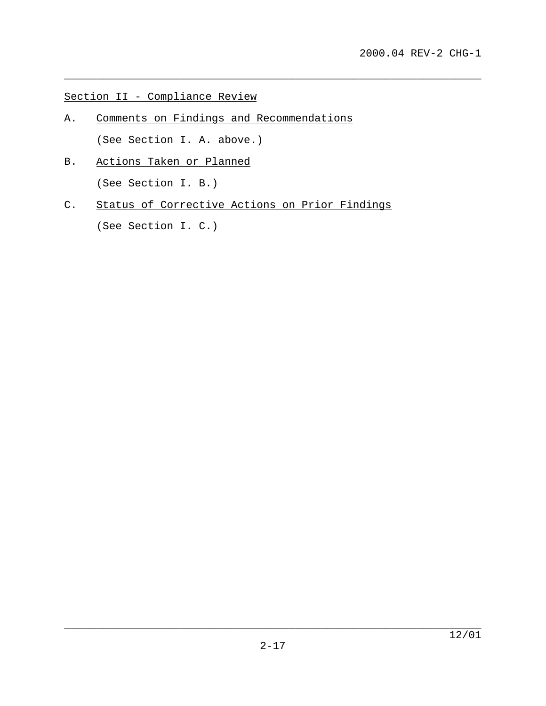Section II - Compliance Review

- A. Comments on Findings and Recommendations (See Section I. A. above.)
- B. Actions Taken or Planned (See Section I. B.)
- C. Status of Corrective Actions on Prior Findings

\_\_\_\_\_\_\_\_\_\_\_\_\_\_\_\_\_\_\_\_\_\_\_\_\_\_\_\_\_\_\_\_\_\_\_\_\_\_\_\_\_\_\_\_\_\_\_\_\_\_\_\_\_\_\_\_\_\_\_\_\_\_\_\_\_

(See Section I. C.)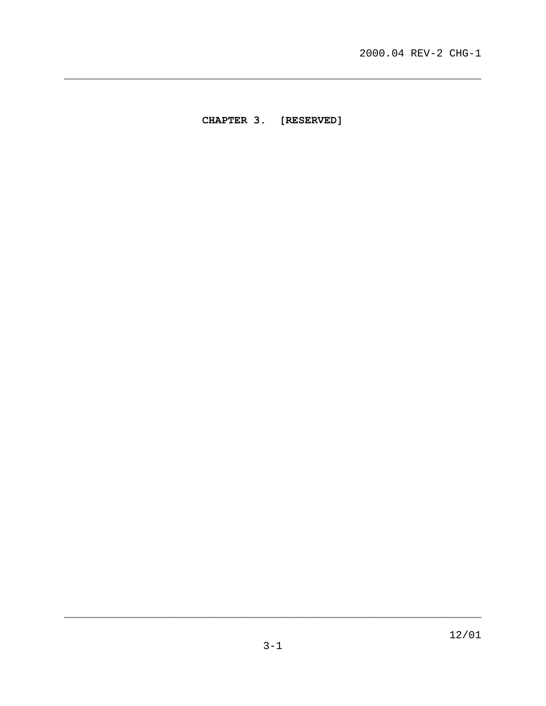<span id="page-29-0"></span>CHAPTER 3. [RESERVED]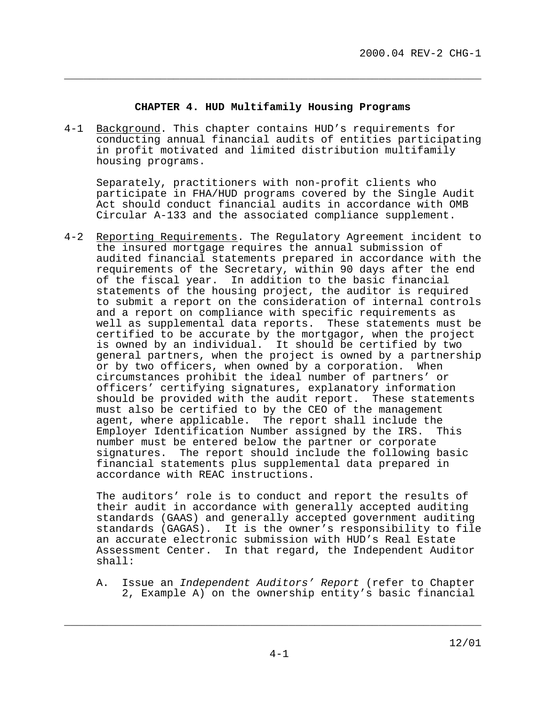#### **CHAPTER 4. HUD Multifamily Housing Programs**

<span id="page-30-0"></span> $\overline{\phantom{a}}$  , and the contract of the contract of the contract of the contract of the contract of the contract of  $\overline{\phantom{a}}$ 

4-1 Background. This chapter contains HUD's requirements for conducting annual financial audits of entities participating in profit motivated and limited distribution multifamily housing programs.

Separately, practitioners with non-profit clients who participate in FHA/HUD programs covered by the Single Audit Act should conduct financial audits in accordance with OMB Circular A-133 and the associated compliance supplement.

4-2 Reporting Requirements. The Regulatory Agreement incident to the insured mortgage requires the annual submission of audited financial statements prepared in accordance with the requirements of the Secretary, within 90 days after the end of the fiscal year. In addition to the basic financial statements of the housing project, the auditor is required to submit a report on the consideration of internal controls and a report on compliance with specific requirements as well as supplemental data reports. These statements must be certified to be accurate by the mortgagor, when the project is owned by an individual. It should be certified by two general partners, when the project is owned by a partnership or by two officers, when owned by a corporation. When circumstances prohibit the ideal number of partners' or officers' certifying signatures, explanatory information should be provided with the audit report. These statements must also be certified to by the CEO of the management agent, where applicable. The report shall include the Employer Identification Number assigned by the IRS. This number must be entered below the partner or corporate signatures. The report should include the following basic financial statements plus supplemental data prepared in accordance with REAC instructions.

The auditors' role is to conduct and report the results of their audit in accordance with generally accepted auditing standards (GAAS) and generally accepted government auditing standards (GAGAS). It is the owner's responsibility to file an accurate electronic submission with HUD's Real Estate Assessment Center. In that regard, the Independent Auditor shall:

A. Issue an Independent Auditors' Report (refer to Chapter 2, Example A) on the ownership entity's basic financial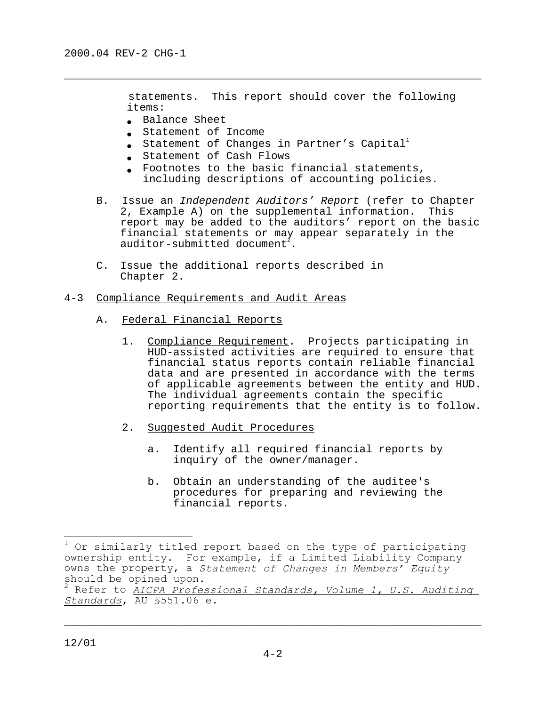statements. This report should cover the following items:

- Balance Sheet
- Statement of Income
- $\bullet$  Statement of Changes in Partner's Capital $^1$

 $\overline{\phantom{a}}$  , and the contract of the contract of the contract of the contract of the contract of the contract of  $\overline{\phantom{a}}$ 

- Statement of Cash Flows
- Footnotes to the basic financial statements, including descriptions of accounting policies.
- B. Issue an Independent Auditors' Report (refer to Chapter 2, Example A) on the supplemental information. This report may be added to the auditors' report on the basic financial statements or may appear separately in the auditor-submitted document $^{\bar{z}}.$
- C. Issue the additional reports described in Chapter 2.

#### 4-3 Compliance Requirements and Audit Areas

- A. Federal Financial Reports
	- 1. Compliance Requirement. Projects participating in HUD-assisted activities are required to ensure that financial status reports contain reliable financial data and are presented in accordance with the terms of applicable agreements between the entity and HUD. The individual agreements contain the specific reporting requirements that the entity is to follow.
	- 2. Suggested Audit Procedures
		- a. Identify all required financial reports by inquiry of the owner/manager.
		- b. Obtain an understanding of the auditee's procedures for preparing and reviewing the financial reports.

 $\overline{a}$ 

<sup>1</sup> Or similarly titled report based on the type of participating ownership entity. For example, if a Limited Liability Company owns the property, a *Statement of Changes in Members' Equity* should be opined upon.<br><sup>2</sup> Bofor to *AICPA* Profo

Refer to *AICPA Professional Standards, Volume 1, U.S. Auditing Standards*, AU §551.06 e.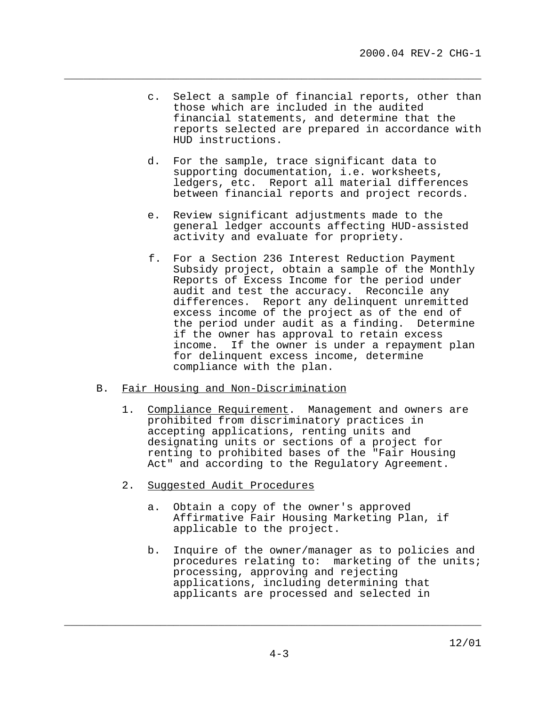c. Select a sample of financial reports, other than those which are included in the audited financial statements, and determine that the reports selected are prepared in accordance with HUD instructions.

 $\overline{\phantom{a}}$  , and the contract of the contract of the contract of the contract of the contract of the contract of  $\overline{\phantom{a}}$ 

- d. For the sample, trace significant data to supporting documentation, i.e. worksheets, ledgers, etc. Report all material differences between financial reports and project records.
- e. Review significant adjustments made to the general ledger accounts affecting HUD-assisted activity and evaluate for propriety.
- f. For a Section 236 Interest Reduction Payment Subsidy project, obtain a sample of the Monthly Reports of Excess Income for the period under audit and test the accuracy. Reconcile any differences. Report any delinquent unremitted excess income of the project as of the end of the period under audit as a finding. Determine if the owner has approval to retain excess income. If the owner is under a repayment plan for delinquent excess income, determine compliance with the plan.

#### B. Fair Housing and Non-Discrimination

- 1. Compliance Requirement. Management and owners are prohibited from discriminatory practices in accepting applications, renting units and designating units or sections of a project for renting to prohibited bases of the "Fair Housing Act" and according to the Regulatory Agreement.
- 2. Suggested Audit Procedures
	- a. Obtain a copy of the owner's approved Affirmative Fair Housing Marketing Plan, if applicable to the project.
	- b. Inquire of the owner/manager as to policies and procedures relating to: marketing of the units; processing, approving and rejecting applications, including determining that applicants are processed and selected in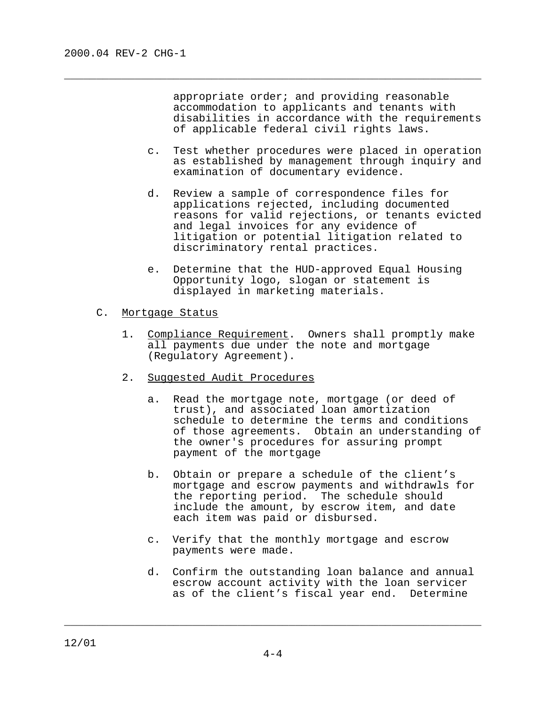appropriate order; and providing reasonable accommodation to applicants and tenants with disabilities in accordance with the requirements of applicable federal civil rights laws.

 c. Test whether procedures were placed in operation as established by management through inquiry and examination of documentary evidence.

 $\overline{\phantom{a}}$  , and the contract of the contract of the contract of the contract of the contract of the contract of  $\overline{\phantom{a}}$ 

- d. Review a sample of correspondence files for applications rejected, including documented reasons for valid rejections, or tenants evicted and legal invoices for any evidence of litigation or potential litigation related to discriminatory rental practices.
- e. Determine that the HUD-approved Equal Housing Opportunity logo, slogan or statement is displayed in marketing materials.
- C. Mortgage Status
	- 1. Compliance Requirement. Owners shall promptly make all payments due under the note and mortgage (Regulatory Agreement).
	- 2. Suggested Audit Procedures
		- a. Read the mortgage note, mortgage (or deed of trust), and associated loan amortization schedule to determine the terms and conditions of those agreements. Obtain an understanding of the owner's procedures for assuring prompt payment of the mortgage
		- b. Obtain or prepare a schedule of the client's mortgage and escrow payments and withdrawls for the reporting period. The schedule should include the amount, by escrow item, and date each item was paid or disbursed.
		- c. Verify that the monthly mortgage and escrow payments were made.
		- d. Confirm the outstanding loan balance and annual escrow account activity with the loan servicer as of the client's fiscal year end. Determine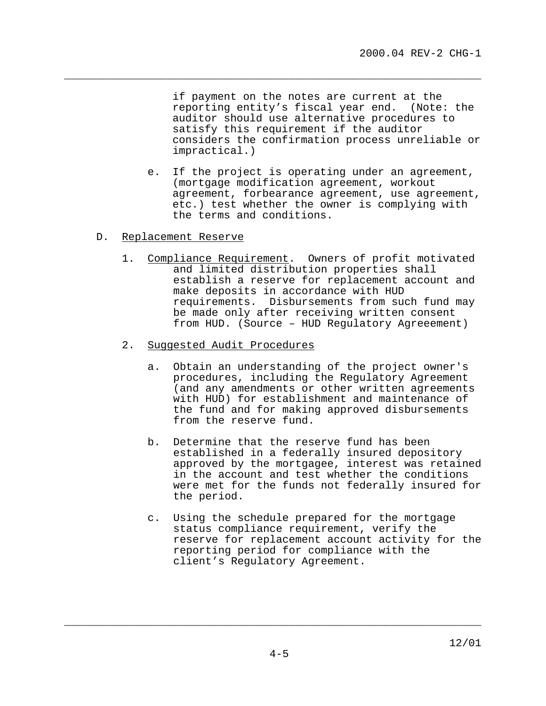if payment on the notes are current at the reporting entity's fiscal year end. (Note: the auditor should use alternative procedures to satisfy this requirement if the auditor considers the confirmation process unreliable or impractical.)

 $\overline{\phantom{a}}$  , and the contract of the contract of the contract of the contract of the contract of the contract of  $\overline{\phantom{a}}$ 

- e. If the project is operating under an agreement, (mortgage modification agreement, workout agreement, forbearance agreement, use agreement, etc.) test whether the owner is complying with the terms and conditions.
- D. Replacement Reserve
	- 1. Compliance Requirement. Owners of profit motivated and limited distribution properties shall establish a reserve for replacement account and make deposits in accordance with HUD requirements. Disbursements from such fund may be made only after receiving written consent from HUD. (Source – HUD Regulatory Agreeement)
	- 2. Suggested Audit Procedures
		- a. Obtain an understanding of the project owner's procedures, including the Regulatory Agreement (and any amendments or other written agreements with HUD) for establishment and maintenance of the fund and for making approved disbursements from the reserve fund.
		- b. Determine that the reserve fund has been established in a federally insured depository approved by the mortgagee, interest was retained in the account and test whether the conditions were met for the funds not federally insured for the period.
		- c. Using the schedule prepared for the mortgage status compliance requirement, verify the reserve for replacement account activity for the reporting period for compliance with the client's Regulatory Agreement.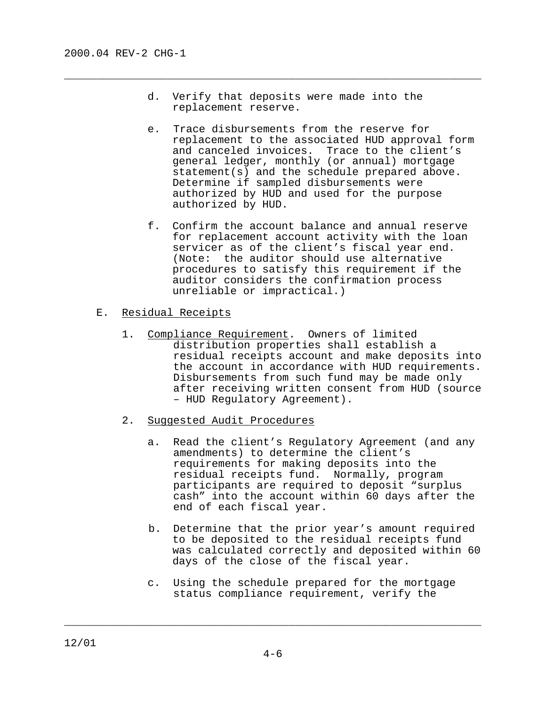d. Verify that deposits were made into the replacement reserve.

 $\overline{\phantom{a}}$  , and the contract of the contract of the contract of the contract of the contract of the contract of  $\overline{\phantom{a}}$ 

- e. Trace disbursements from the reserve for replacement to the associated HUD approval form and canceled invoices. Trace to the client's general ledger, monthly (or annual) mortgage statement(s) and the schedule prepared above. Determine if sampled disbursements were authorized by HUD and used for the purpose authorized by HUD.
- f. Confirm the account balance and annual reserve for replacement account activity with the loan servicer as of the client's fiscal year end. (Note: the auditor should use alternative procedures to satisfy this requirement if the auditor considers the confirmation process unreliable or impractical.)
- E. Residual Receipts
	- 1. Compliance Requirement. Owners of limited distribution properties shall establish a residual receipts account and make deposits into the account in accordance with HUD requirements. Disbursements from such fund may be made only after receiving written consent from HUD (source – HUD Regulatory Agreement).
	- 2. Suggested Audit Procedures
		- a. Read the client's Regulatory Agreement (and any amendments) to determine the client's requirements for making deposits into the residual receipts fund. Normally, program participants are required to deposit "surplus cash" into the account within 60 days after the end of each fiscal year.
		- b. Determine that the prior year's amount required to be deposited to the residual receipts fund was calculated correctly and deposited within 60 days of the close of the fiscal year.
		- c. Using the schedule prepared for the mortgage status compliance requirement, verify the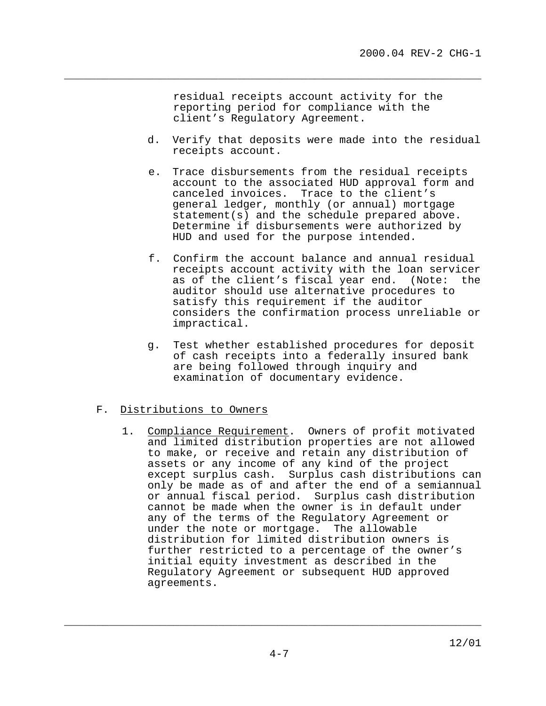residual receipts account activity for the reporting period for compliance with the client's Regulatory Agreement.

 $\overline{\phantom{a}}$  , and the contract of the contract of the contract of the contract of the contract of the contract of  $\overline{\phantom{a}}$ 

- d. Verify that deposits were made into the residual receipts account.
- e. Trace disbursements from the residual receipts account to the associated HUD approval form and canceled invoices. Trace to the client's general ledger, monthly (or annual) mortgage statement(s) and the schedule prepared above. Determine if disbursements were authorized by HUD and used for the purpose intended.
- f. Confirm the account balance and annual residual receipts account activity with the loan servicer as of the client's fiscal year end. (Note: the auditor should use alternative procedures to satisfy this requirement if the auditor considers the confirmation process unreliable or impractical.
- g. Test whether established procedures for deposit of cash receipts into a federally insured bank are being followed through inquiry and examination of documentary evidence.

# F. Distributions to Owners

 1. Compliance Requirement. Owners of profit motivated and limited distribution properties are not allowed to make, or receive and retain any distribution of assets or any income of any kind of the project except surplus cash. Surplus cash distributions can only be made as of and after the end of a semiannual or annual fiscal period. Surplus cash distribution cannot be made when the owner is in default under any of the terms of the Regulatory Agreement or under the note or mortgage. The allowable distribution for limited distribution owners is further restricted to a percentage of the owner's initial equity investment as described in the Regulatory Agreement or subsequent HUD approved agreements.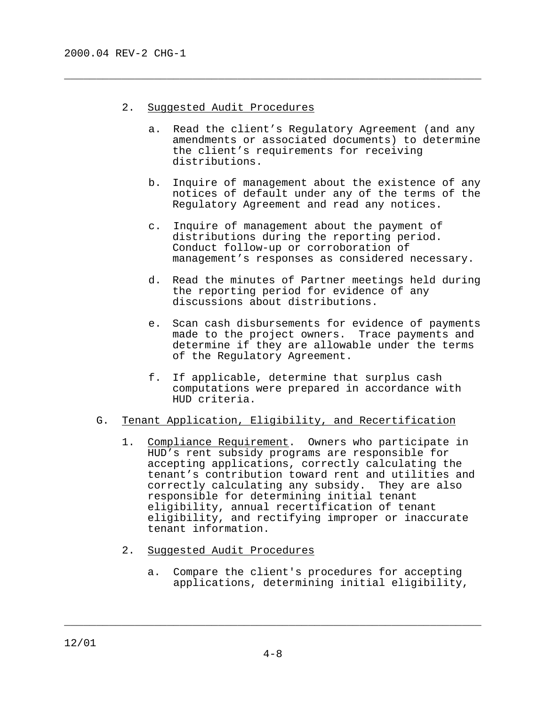- 2. Suggested Audit Procedures
	- a. Read the client's Regulatory Agreement (and any amendments or associated documents) to determine the client's requirements for receiving distributions.

 $\overline{\phantom{a}}$  , and the contract of the contract of the contract of the contract of the contract of the contract of  $\overline{\phantom{a}}$ 

- b. Inquire of management about the existence of any notices of default under any of the terms of the Regulatory Agreement and read any notices.
- c. Inquire of management about the payment of distributions during the reporting period. Conduct follow-up or corroboration of management's responses as considered necessary.
- d. Read the minutes of Partner meetings held during the reporting period for evidence of any discussions about distributions.
- e. Scan cash disbursements for evidence of payments made to the project owners. Trace payments and determine if they are allowable under the terms of the Regulatory Agreement.
- f. If applicable, determine that surplus cash computations were prepared in accordance with HUD criteria.

## G. Tenant Application, Eligibility, and Recertification

- 1. Compliance Requirement. Owners who participate in HUD's rent subsidy programs are responsible for accepting applications, correctly calculating the tenant's contribution toward rent and utilities and correctly calculating any subsidy. They are also responsible for determining initial tenant eligibility, annual recertification of tenant eligibility, and rectifying improper or inaccurate tenant information.
- 2. Suggested Audit Procedures
	- a. Compare the client's procedures for accepting applications, determining initial eligibility,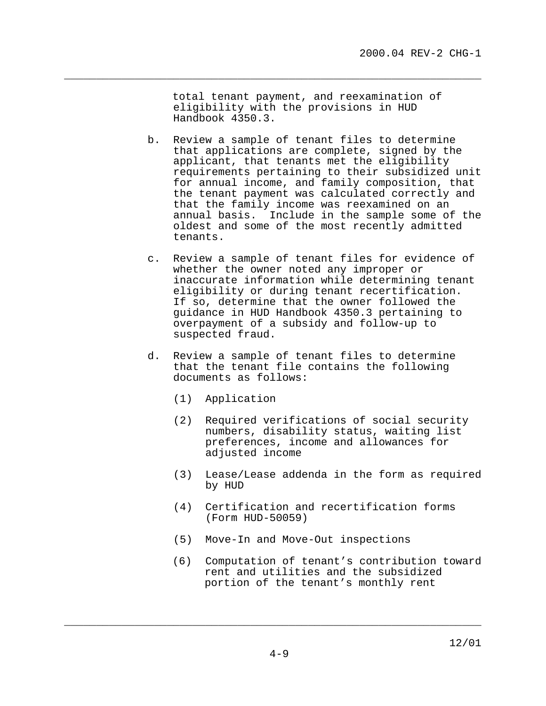total tenant payment, and reexamination of eligibility with the provisions in HUD Handbook 4350.3.

 $\overline{\phantom{a}}$  , and the contract of the contract of the contract of the contract of the contract of the contract of  $\overline{\phantom{a}}$ 

- b. Review a sample of tenant files to determine that applications are complete, signed by the applicant, that tenants met the eligibility requirements pertaining to their subsidized unit for annual income, and family composition, that the tenant payment was calculated correctly and that the family income was reexamined on an annual basis. Include in the sample some of the oldest and some of the most recently admitted tenants.
- c. Review a sample of tenant files for evidence of whether the owner noted any improper or inaccurate information while determining tenant eligibility or during tenant recertification. If so, determine that the owner followed the guidance in HUD Handbook 4350.3 pertaining to overpayment of a subsidy and follow-up to suspected fraud.
- d. Review a sample of tenant files to determine that the tenant file contains the following documents as follows:
	- (1) Application
	- (2) Required verifications of social security numbers, disability status, waiting list preferences, income and allowances for adjusted income
	- (3) Lease/Lease addenda in the form as required by HUD
	- (4) Certification and recertification forms (Form HUD-50059)
	- (5) Move-In and Move-Out inspections
	- (6) Computation of tenant's contribution toward rent and utilities and the subsidized portion of the tenant's monthly rent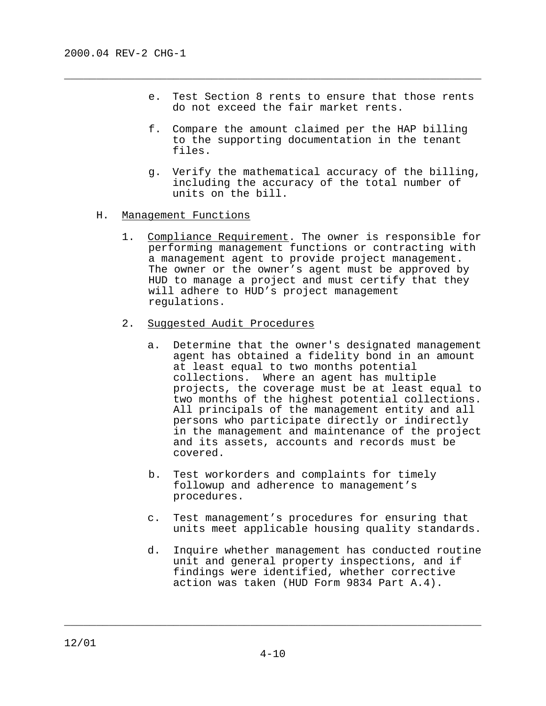e. Test Section 8 rents to ensure that those rents do not exceed the fair market rents.

 $\overline{\phantom{a}}$  , and the contract of the contract of the contract of the contract of the contract of the contract of  $\overline{\phantom{a}}$ 

- f. Compare the amount claimed per the HAP billing to the supporting documentation in the tenant files.
- g. Verify the mathematical accuracy of the billing, including the accuracy of the total number of units on the bill.
- H. Management Functions
	- 1. Compliance Requirement. The owner is responsible for performing management functions or contracting with a management agent to provide project management. The owner or the owner's agent must be approved by HUD to manage a project and must certify that they will adhere to HUD's project management regulations.
	- 2. Suggested Audit Procedures
		- a. Determine that the owner's designated management agent has obtained a fidelity bond in an amount at least equal to two months potential collections. Where an agent has multiple projects, the coverage must be at least equal to two months of the highest potential collections. All principals of the management entity and all persons who participate directly or indirectly in the management and maintenance of the project and its assets, accounts and records must be covered.
		- b. Test workorders and complaints for timely followup and adherence to management's procedures.
		- c. Test management's procedures for ensuring that units meet applicable housing quality standards.
		- d. Inquire whether management has conducted routine unit and general property inspections, and if findings were identified, whether corrective action was taken (HUD Form 9834 Part A.4).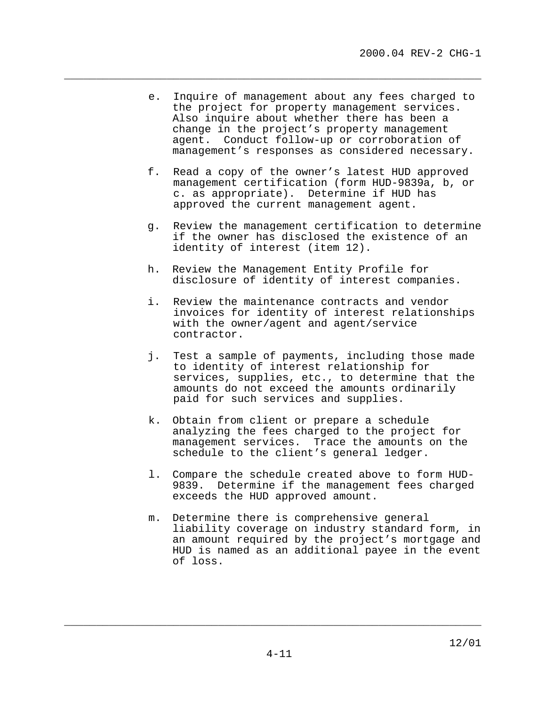e. Inquire of management about any fees charged to the project for property management services. Also inquire about whether there has been a change in the project's property management agent. Conduct follow-up or corroboration of management's responses as considered necessary.

 $\overline{\phantom{a}}$  , and the contract of the contract of the contract of the contract of the contract of the contract of  $\overline{\phantom{a}}$ 

- f. Read a copy of the owner's latest HUD approved management certification (form HUD-9839a, b, or c. as appropriate). Determine if HUD has approved the current management agent.
- g. Review the management certification to determine if the owner has disclosed the existence of an identity of interest (item 12).
- h. Review the Management Entity Profile for disclosure of identity of interest companies.
- i. Review the maintenance contracts and vendor invoices for identity of interest relationships with the owner/agent and agent/service contractor.
- j. Test a sample of payments, including those made to identity of interest relationship for services, supplies, etc., to determine that the amounts do not exceed the amounts ordinarily paid for such services and supplies.
- k. Obtain from client or prepare a schedule analyzing the fees charged to the project for management services. Trace the amounts on the schedule to the client's general ledger.
- l. Compare the schedule created above to form HUD-9839. Determine if the management fees charged exceeds the HUD approved amount.
- m. Determine there is comprehensive general liability coverage on industry standard form, in an amount required by the project's mortgage and HUD is named as an additional payee in the event of loss.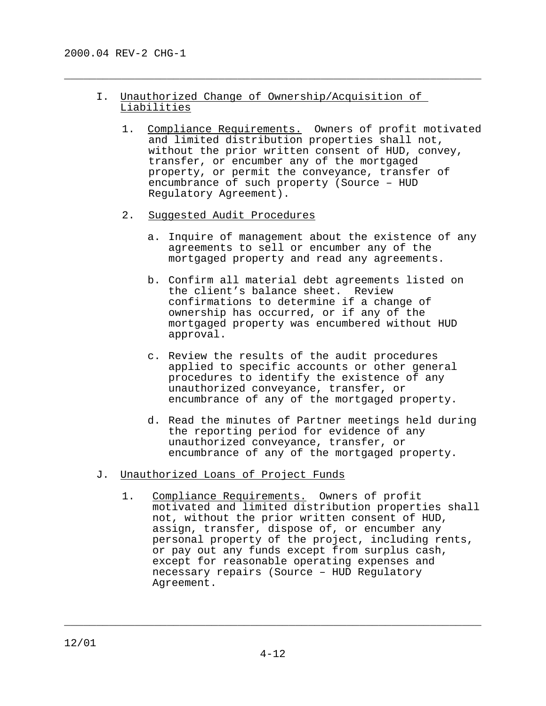# I. Unauthorized Change of Ownership/Acquisition of Liabilities

 $\overline{\phantom{a}}$  , and the contract of the contract of the contract of the contract of the contract of the contract of  $\overline{\phantom{a}}$ 

- 1. Compliance Requirements. Owners of profit motivated and limited distribution properties shall not, without the prior written consent of HUD, convey, transfer, or encumber any of the mortgaged property, or permit the conveyance, transfer of encumbrance of such property (Source – HUD Regulatory Agreement).
- 2. Suggested Audit Procedures
	- a. Inquire of management about the existence of any agreements to sell or encumber any of the mortgaged property and read any agreements.
	- b. Confirm all material debt agreements listed on the client's balance sheet. Review confirmations to determine if a change of ownership has occurred, or if any of the mortgaged property was encumbered without HUD approval.
	- c. Review the results of the audit procedures applied to specific accounts or other general procedures to identify the existence of any unauthorized conveyance, transfer, or encumbrance of any of the mortgaged property.
	- d. Read the minutes of Partner meetings held during the reporting period for evidence of any unauthorized conveyance, transfer, or encumbrance of any of the mortgaged property.
- J. Unauthorized Loans of Project Funds
	- 1. Compliance Requirements. Owners of profit motivated and limited distribution properties shall not, without the prior written consent of HUD, assign, transfer, dispose of, or encumber any personal property of the project, including rents, or pay out any funds except from surplus cash, except for reasonable operating expenses and necessary repairs (Source – HUD Regulatory Agreement.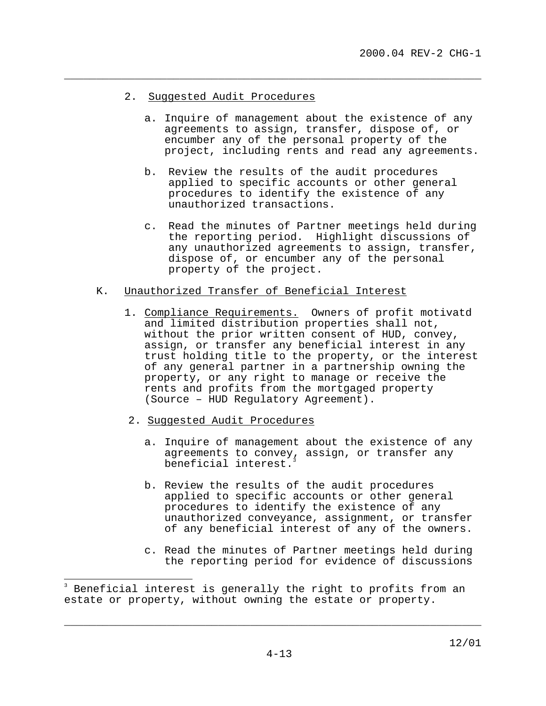## 2. Suggested Audit Procedures

a. Inquire of management about the existence of any agreements to assign, transfer, dispose of, or encumber any of the personal property of the project, including rents and read any agreements.

 $\overline{\phantom{a}}$  , and the contract of the contract of the contract of the contract of the contract of the contract of  $\overline{\phantom{a}}$ 

- b. Review the results of the audit procedures applied to specific accounts or other general procedures to identify the existence of any unauthorized transactions.
- c. Read the minutes of Partner meetings held during the reporting period. Highlight discussions of any unauthorized agreements to assign, transfer, dispose of, or encumber any of the personal property of the project.

## K. Unauthorized Transfer of Beneficial Interest

- 1. Compliance Requirements. Owners of profit motivatd and limited distribution properties shall not, without the prior written consent of HUD, convey, assign, or transfer any beneficial interest in any trust holding title to the property, or the interest of any general partner in a partnership owning the property, or any right to manage or receive the rents and profits from the mortgaged property (Source – HUD Regulatory Agreement).
- 2. Suggested Audit Procedures

Ļ.

- a. Inquire of management about the existence of any agreements to convey, assign, or transfer any beneficial interest.
- b. Review the results of the audit procedures applied to specific accounts or other general procedures to identify the existence of any unauthorized conveyance, assignment, or transfer of any beneficial interest of any of the owners.
- c. Read the minutes of Partner meetings held during the reporting period for evidence of discussions

<sup>3</sup> Beneficial interest is generally the right to profits from an estate or property, without owning the estate or property.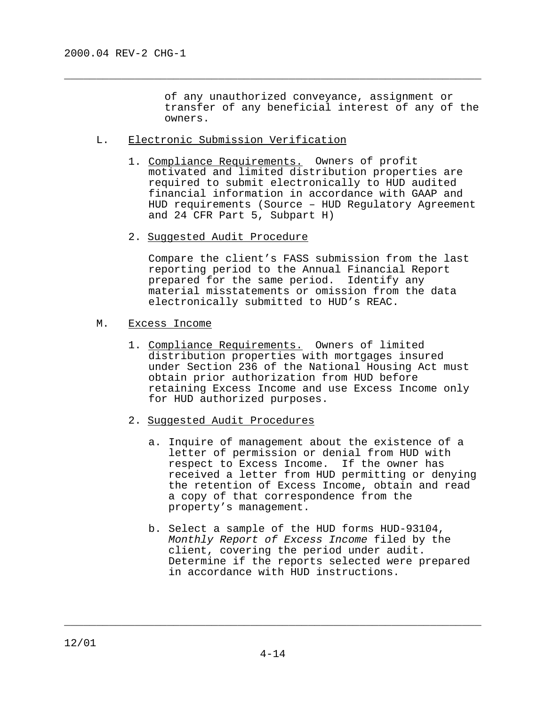of any unauthorized conveyance, assignment or transfer of any beneficial interest of any of the owners.

## L. Electronic Submission Verification

1. Compliance Requirements. Owners of profit motivated and limited distribution properties are required to submit electronically to HUD audited financial information in accordance with GAAP and HUD requirements (Source – HUD Regulatory Agreement and 24 CFR Part 5, Subpart H)

 $\overline{\phantom{a}}$  , and the contract of the contract of the contract of the contract of the contract of the contract of  $\overline{\phantom{a}}$ 

2. Suggested Audit Procedure

Compare the client's FASS submission from the last reporting period to the Annual Financial Report prepared for the same period. Identify any material misstatements or omission from the data electronically submitted to HUD's REAC.

- M. Excess Income
	- 1. Compliance Requirements. Owners of limited distribution properties with mortgages insured under Section 236 of the National Housing Act must obtain prior authorization from HUD before retaining Excess Income and use Excess Income only for HUD authorized purposes.
	- 2. Suggested Audit Procedures
		- a. Inquire of management about the existence of a letter of permission or denial from HUD with respect to Excess Income. If the owner has received a letter from HUD permitting or denying the retention of Excess Income, obtain and read a copy of that correspondence from the property's management.
		- b. Select a sample of the HUD forms HUD-93104, Monthly Report of Excess Income filed by the client, covering the period under audit. Determine if the reports selected were prepared in accordance with HUD instructions.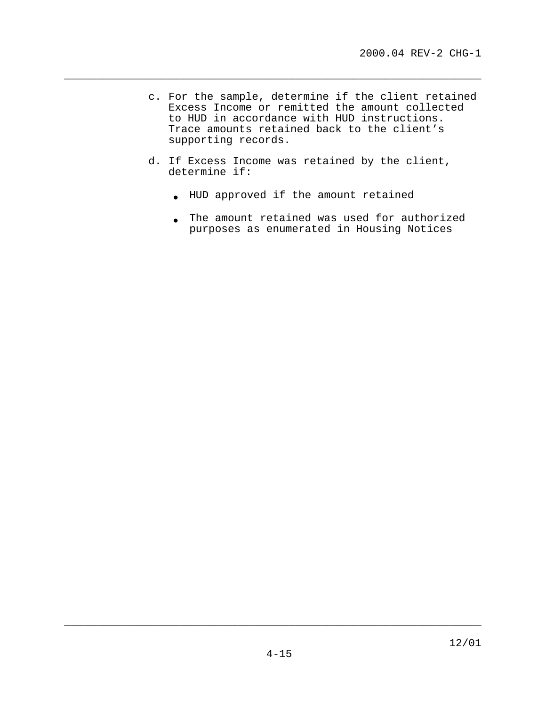- c. For the sample, determine if the client retained Excess Income or remitted the amount collected to HUD in accordance with HUD instructions. Trace amounts retained back to the client's supporting records.
- d. If Excess Income was retained by the client, determine if:

 $\overline{\phantom{a}}$  , and the contract of the contract of the contract of the contract of the contract of the contract of  $\overline{\phantom{a}}$ 

- HUD approved if the amount retained
- The amount retained was used for authorized purposes as enumerated in Housing Notices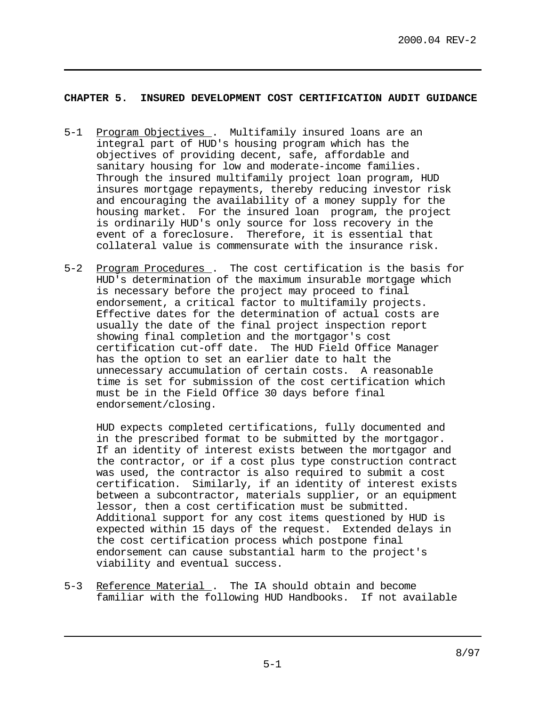## **CHAPTER 5. INSURED DEVELOPMENT COST CERTIFICATION AUDIT GUIDANCE**

- 5-1 Program Objectives . Multifamily insured loans are an integral part of HUD's housing program which has the objectives of providing decent, safe, affordable and sanitary housing for low and moderate-income families. Through the insured multifamily project loan program, HUD insures mortgage repayments, thereby reducing investor risk and encouraging the availability of a money supply for the housing market. For the insured loan program, the project is ordinarily HUD's only source for loss recovery in the event of a foreclosure. Therefore, it is essential that collateral value is commensurate with the insurance risk.
- 5-2 Program Procedures . The cost certification is the basis for HUD's determination of the maximum insurable mortgage which is necessary before the project may proceed to final endorsement, a critical factor to multifamily projects. Effective dates for the determination of actual costs are usually the date of the final project inspection report showing final completion and the mortgagor's cost certification cut-off date. The HUD Field Office Manager has the option to set an earlier date to halt the unnecessary accumulation of certain costs. A reasonable time is set for submission of the cost certification which must be in the Field Office 30 days before final endorsement/closing.

HUD expects completed certifications, fully documented and in the prescribed format to be submitted by the mortgagor. If an identity of interest exists between the mortgagor and the contractor, or if a cost plus type construction contract was used, the contractor is also required to submit a cost certification. Similarly, if an identity of interest exists between a subcontractor, materials supplier, or an equipment lessor, then a cost certification must be submitted. Additional support for any cost items questioned by HUD is expected within 15 days of the request. Extended delays in the cost certification process which postpone final endorsement can cause substantial harm to the project's viability and eventual success.

5-3 Reference Material . The IA should obtain and become familiar with the following HUD Handbooks. If not available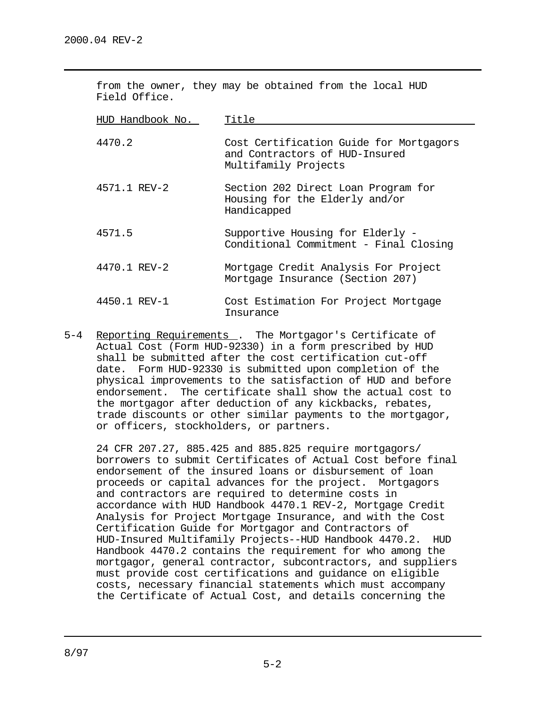| from the owner, they may be obtained from the local HUD<br>Field Office. |                                                                                                   |  |
|--------------------------------------------------------------------------|---------------------------------------------------------------------------------------------------|--|
| HUD Handbook No.                                                         | Title                                                                                             |  |
| 4470.2                                                                   | Cost Certification Guide for Mortgagors<br>and Contractors of HUD-Insured<br>Multifamily Projects |  |
| 4571.1 REV-2                                                             | Section 202 Direct Loan Program for<br>Housing for the Elderly and/or<br>Handicapped              |  |
| 4571.5                                                                   | Supportive Housing for Elderly -<br>Conditional Commitment - Final Closing                        |  |
| 4470.1 REV-2                                                             | Mortgage Credit Analysis For Project<br>Mortgage Insurance (Section 207)                          |  |
| 4450.1 REV-1                                                             | Cost Estimation For Project Mortgage<br>Insurance                                                 |  |

5-4 Reporting Requirements . The Mortgagor's Certificate of Actual Cost (Form HUD-92330) in a form prescribed by HUD shall be submitted after the cost certification cut-off date. Form HUD-92330 is submitted upon completion of the physical improvements to the satisfaction of HUD and before endorsement. The certificate shall show the actual cost to the mortgagor after deduction of any kickbacks, rebates, trade discounts or other similar payments to the mortgagor, or officers, stockholders, or partners.

24 CFR 207.27, 885.425 and 885.825 require mortgagors/ borrowers to submit Certificates of Actual Cost before final endorsement of the insured loans or disbursement of loan proceeds or capital advances for the project. Mortgagors and contractors are required to determine costs in accordance with HUD Handbook 4470.1 REV-2, Mortgage Credit Analysis for Project Mortgage Insurance, and with the Cost Certification Guide for Mortgagor and Contractors of HUD-Insured Multifamily Projects--HUD Handbook 4470.2. HUD Handbook 4470.2 contains the requirement for who among the mortgagor, general contractor, subcontractors, and suppliers must provide cost certifications and guidance on eligible costs, necessary financial statements which must accompany the Certificate of Actual Cost, and details concerning the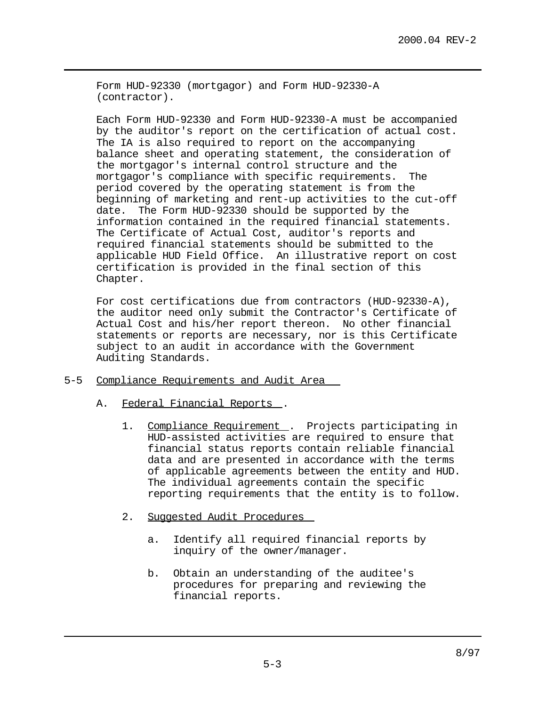Form HUD-92330 (mortgagor) and Form HUD-92330-A (contractor).

Each Form HUD-92330 and Form HUD-92330-A must be accompanied by the auditor's report on the certification of actual cost. The IA is also required to report on the accompanying balance sheet and operating statement, the consideration of the mortgagor's internal control structure and the mortgagor's compliance with specific requirements. The period covered by the operating statement is from the beginning of marketing and rent-up activities to the cut-off date. The Form HUD-92330 should be supported by the information contained in the required financial statements. The Certificate of Actual Cost, auditor's reports and required financial statements should be submitted to the applicable HUD Field Office. An illustrative report on cost certification is provided in the final section of this Chapter.

For cost certifications due from contractors (HUD-92330-A), the auditor need only submit the Contractor's Certificate of Actual Cost and his/her report thereon. No other financial statements or reports are necessary, nor is this Certificate subject to an audit in accordance with the Government Auditing Standards.

- 5-5 Compliance Requirements and Audit Area
	- A. Federal Financial Reports .
		- 1. Compliance Requirement . Projects participating in HUD-assisted activities are required to ensure that financial status reports contain reliable financial data and are presented in accordance with the terms of applicable agreements between the entity and HUD. The individual agreements contain the specific reporting requirements that the entity is to follow.
		- 2. Suggested Audit Procedures
			- a. Identify all required financial reports by inquiry of the owner/manager.
			- b. Obtain an understanding of the auditee's procedures for preparing and reviewing the financial reports.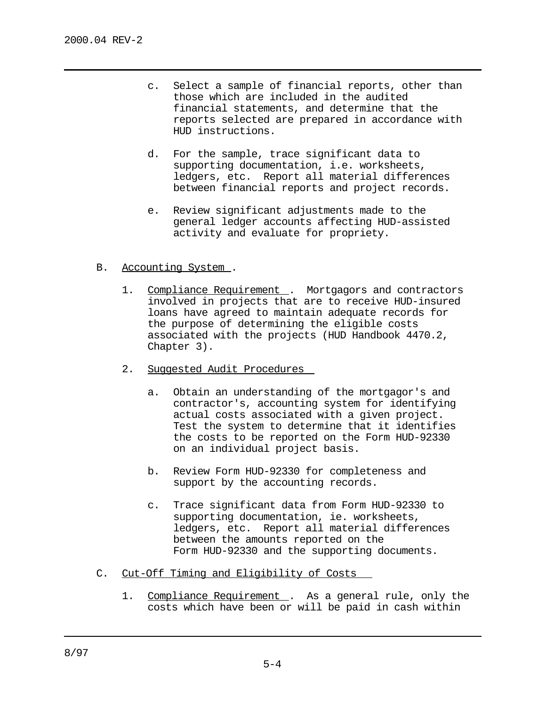- c. Select a sample of financial reports, other than those which are included in the audited financial statements, and determine that the reports selected are prepared in accordance with HUD instructions.
- d. For the sample, trace significant data to supporting documentation, i.e. worksheets, ledgers, etc. Report all material differences between financial reports and project records.
- e. Review significant adjustments made to the general ledger accounts affecting HUD-assisted activity and evaluate for propriety.
- B. Accounting System .
	- 1. Compliance Requirement . Mortgagors and contractors involved in projects that are to receive HUD-insured loans have agreed to maintain adequate records for the purpose of determining the eligible costs associated with the projects (HUD Handbook 4470.2, Chapter 3).
	- 2. Suggested Audit Procedures
		- a. Obtain an understanding of the mortgagor's and contractor's, accounting system for identifying actual costs associated with a given project. Test the system to determine that it identifies the costs to be reported on the Form HUD-92330 on an individual project basis.
		- b. Review Form HUD-92330 for completeness and support by the accounting records.
		- c. Trace significant data from Form HUD-92330 to supporting documentation, ie. worksheets, ledgers, etc. Report all material differences between the amounts reported on the Form HUD-92330 and the supporting documents.
- C. Cut-Off Timing and Eligibility of Costs
	- 1. Compliance Requirement . As a general rule, only the costs which have been or will be paid in cash within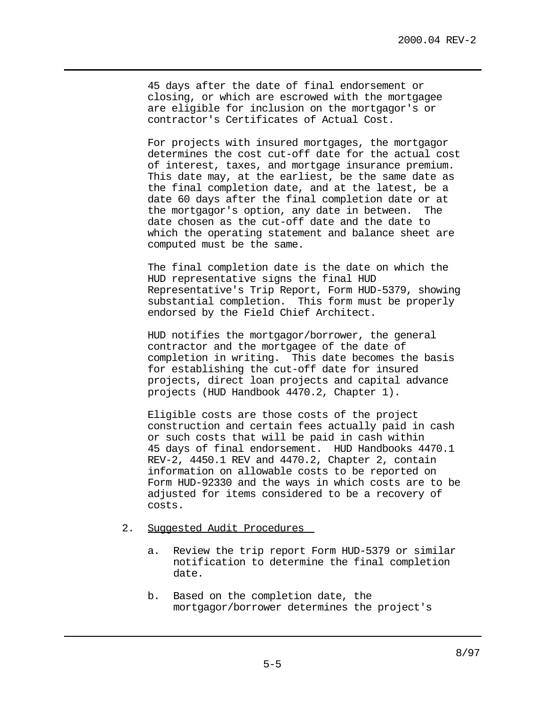45 days after the date of final endorsement or closing, or which are escrowed with the mortgagee are eligible for inclusion on the mortgagor's or contractor's Certificates of Actual Cost.

For projects with insured mortgages, the mortgagor determines the cost cut-off date for the actual cost of interest, taxes, and mortgage insurance premium. This date may, at the earliest, be the same date as the final completion date, and at the latest, be a date 60 days after the final completion date or at the mortgagor's option, any date in between. The date chosen as the cut-off date and the date to which the operating statement and balance sheet are computed must be the same.

The final completion date is the date on which the HUD representative signs the final HUD Representative's Trip Report, Form HUD-5379, showing substantial completion. This form must be properly endorsed by the Field Chief Architect.

HUD notifies the mortgagor/borrower, the general contractor and the mortgagee of the date of completion in writing. This date becomes the basis for establishing the cut-off date for insured projects, direct loan projects and capital advance projects (HUD Handbook 4470.2, Chapter 1).

Eligible costs are those costs of the project construction and certain fees actually paid in cash or such costs that will be paid in cash within 45 days of final endorsement. HUD Handbooks 4470.1 REV-2, 4450.1 REV and 4470.2, Chapter 2, contain information on allowable costs to be reported on Form HUD-92330 and the ways in which costs are to be adjusted for items considered to be a recovery of costs.

#### 2. Suggested Audit Procedures

- a. Review the trip report Form HUD-5379 or similar notification to determine the final completion date.
- b. Based on the completion date, the mortgagor/borrower determines the project's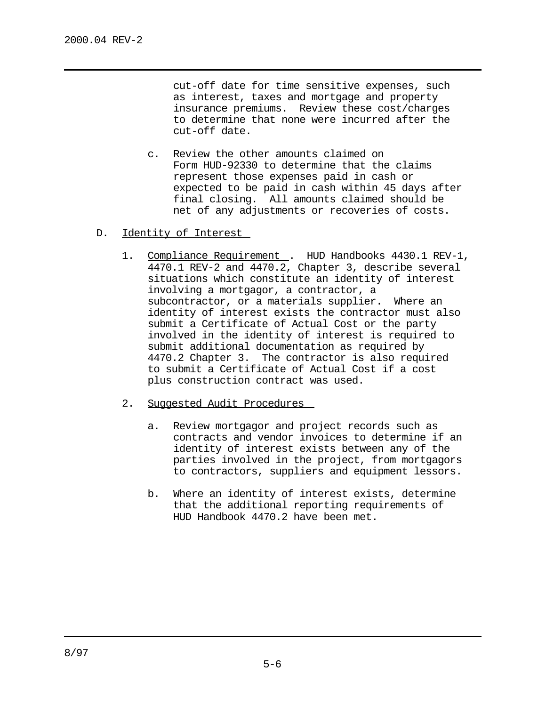cut-off date for time sensitive expenses, such as interest, taxes and mortgage and property insurance premiums. Review these cost/charges to determine that none were incurred after the cut-off date.

- c. Review the other amounts claimed on Form HUD-92330 to determine that the claims represent those expenses paid in cash or expected to be paid in cash within 45 days after final closing. All amounts claimed should be net of any adjustments or recoveries of costs.
- D. Identity of Interest
	- 1. Compliance Requirement . HUD Handbooks 4430.1 REV-1, 4470.1 REV-2 and 4470.2, Chapter 3, describe several situations which constitute an identity of interest involving a mortgagor, a contractor, a subcontractor, or a materials supplier. Where an identity of interest exists the contractor must also submit a Certificate of Actual Cost or the party involved in the identity of interest is required to submit additional documentation as required by 4470.2 Chapter 3. The contractor is also required to submit a Certificate of Actual Cost if a cost plus construction contract was used.
	- 2. Suggested Audit Procedures
		- a. Review mortgagor and project records such as contracts and vendor invoices to determine if an identity of interest exists between any of the parties involved in the project, from mortgagors to contractors, suppliers and equipment lessors.
		- b. Where an identity of interest exists, determine that the additional reporting requirements of HUD Handbook 4470.2 have been met.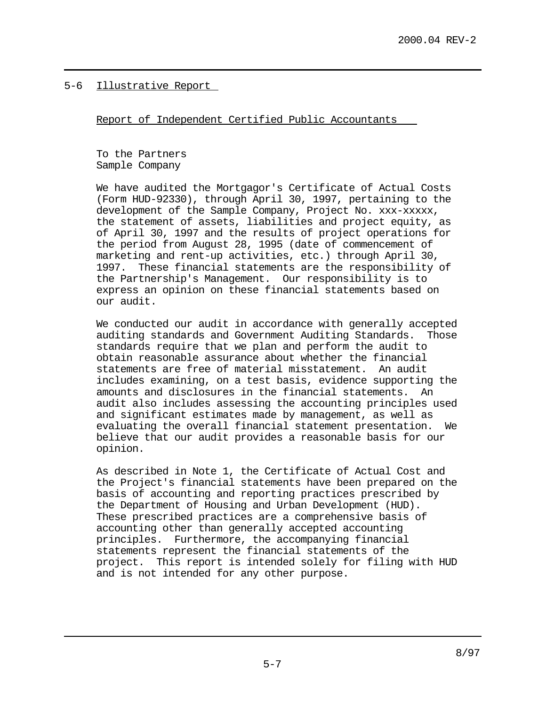5-6 Illustrative Report

Report of Independent Certified Public Accountants

To the Partners Sample Company

We have audited the Mortgagor's Certificate of Actual Costs (Form HUD-92330), through April 30, 1997, pertaining to the development of the Sample Company, Project No. xxx-xxxxx, the statement of assets, liabilities and project equity, as of April 30, 1997 and the results of project operations for the period from August 28, 1995 (date of commencement of marketing and rent-up activities, etc.) through April 30, 1997. These financial statements are the responsibility of the Partnership's Management. Our responsibility is to express an opinion on these financial statements based on our audit.

We conducted our audit in accordance with generally accepted auditing standards and Government Auditing Standards. Those standards require that we plan and perform the audit to obtain reasonable assurance about whether the financial statements are free of material misstatement. An audit includes examining, on a test basis, evidence supporting the amounts and disclosures in the financial statements. An audit also includes assessing the accounting principles used and significant estimates made by management, as well as evaluating the overall financial statement presentation. We believe that our audit provides a reasonable basis for our opinion.

As described in Note 1, the Certificate of Actual Cost and the Project's financial statements have been prepared on the basis of accounting and reporting practices prescribed by the Department of Housing and Urban Development (HUD). These prescribed practices are a comprehensive basis of accounting other than generally accepted accounting principles. Furthermore, the accompanying financial statements represent the financial statements of the project. This report is intended solely for filing with HUD and is not intended for any other purpose.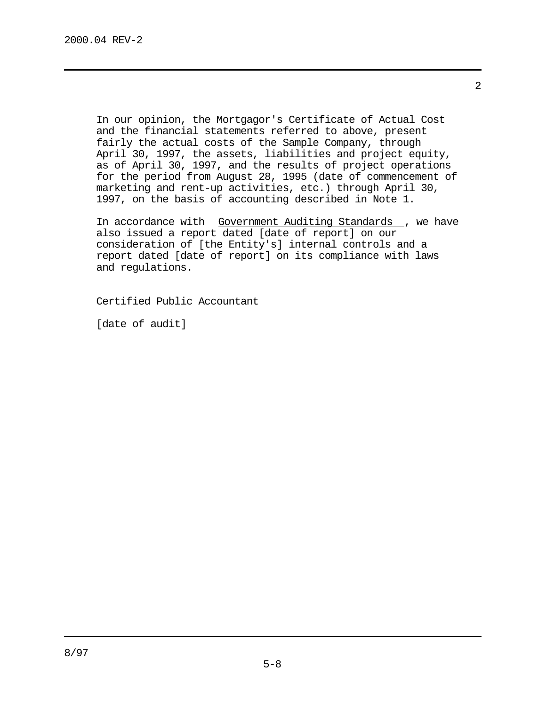In our opinion, the Mortgagor's Certificate of Actual Cost and the financial statements referred to above, present fairly the actual costs of the Sample Company, through April 30, 1997, the assets, liabilities and project equity, as of April 30, 1997, and the results of project operations for the period from August 28, 1995 (date of commencement of marketing and rent-up activities, etc.) through April 30, 1997, on the basis of accounting described in Note 1.

In accordance with Government Auditing Standards , we have also issued a report dated [date of report] on our consideration of [the Entity's] internal controls and a report dated [date of report] on its compliance with laws and regulations.

Certified Public Accountant

[date of audit]

2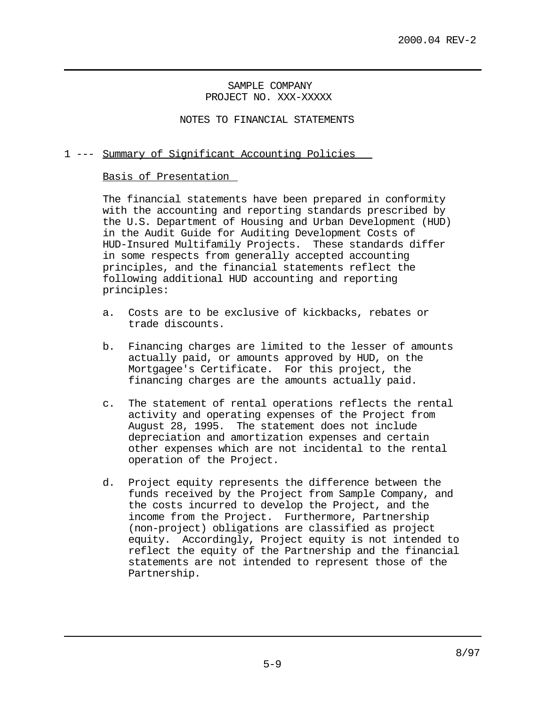SAMPLE COMPANY PROJECT NO. XXX-XXXXX

NOTES TO FINANCIAL STATEMENTS

## 1 --- Summary of Significant Accounting Policies

### Basis of Presentation

The financial statements have been prepared in conformity with the accounting and reporting standards prescribed by the U.S. Department of Housing and Urban Development (HUD) in the Audit Guide for Auditing Development Costs of HUD-Insured Multifamily Projects. These standards differ in some respects from generally accepted accounting principles, and the financial statements reflect the following additional HUD accounting and reporting principles:

- a. Costs are to be exclusive of kickbacks, rebates or trade discounts.
- b. Financing charges are limited to the lesser of amounts actually paid, or amounts approved by HUD, on the Mortgagee's Certificate. For this project, the financing charges are the amounts actually paid.
- c. The statement of rental operations reflects the rental activity and operating expenses of the Project from August 28, 1995. The statement does not include depreciation and amortization expenses and certain other expenses which are not incidental to the rental operation of the Project.
- d. Project equity represents the difference between the funds received by the Project from Sample Company, and the costs incurred to develop the Project, and the income from the Project. Furthermore, Partnership (non-project) obligations are classified as project equity. Accordingly, Project equity is not intended to reflect the equity of the Partnership and the financial statements are not intended to represent those of the Partnership.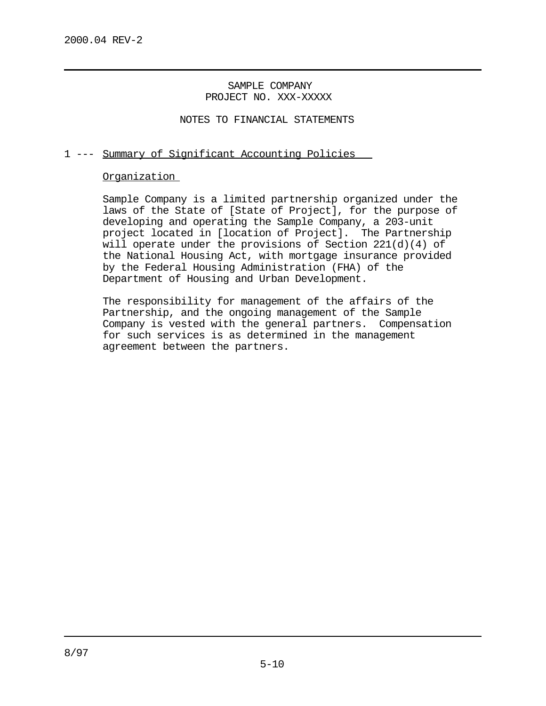SAMPLE COMPANY PROJECT NO. XXX-XXXXX

NOTES TO FINANCIAL STATEMENTS

## 1 --- Summary of Significant Accounting Policies

### Organization

Sample Company is a limited partnership organized under the laws of the State of [State of Project], for the purpose of developing and operating the Sample Company, a 203-unit project located in [location of Project]. The Partnership will operate under the provisions of Section 221(d)(4) of the National Housing Act, with mortgage insurance provided by the Federal Housing Administration (FHA) of the Department of Housing and Urban Development.

The responsibility for management of the affairs of the Partnership, and the ongoing management of the Sample Company is vested with the general partners. Compensation for such services is as determined in the management agreement between the partners.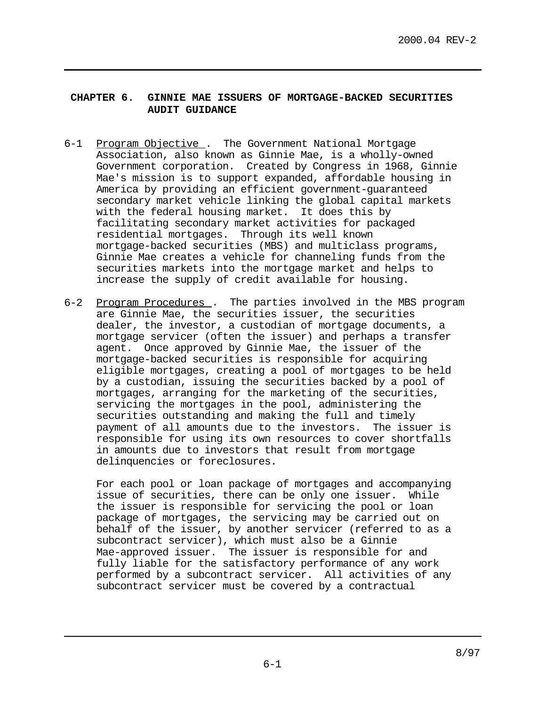## **CHAPTER 6. GINNIE MAE ISSUERS OF MORTGAGE-BACKED SECURITIES AUDIT GUIDANCE**

- 6-1 Program Objective . The Government National Mortgage Association, also known as Ginnie Mae, is a wholly-owned Government corporation. Created by Congress in 1968, Ginnie Mae's mission is to support expanded, affordable housing in America by providing an efficient government-guaranteed secondary market vehicle linking the global capital markets with the federal housing market. It does this by facilitating secondary market activities for packaged residential mortgages. Through its well known mortgage-backed securities (MBS) and multiclass programs, Ginnie Mae creates a vehicle for channeling funds from the securities markets into the mortgage market and helps to increase the supply of credit available for housing.
- 6-2 Program Procedures . The parties involved in the MBS program are Ginnie Mae, the securities issuer, the securities dealer, the investor, a custodian of mortgage documents, a mortgage servicer (often the issuer) and perhaps a transfer agent. Once approved by Ginnie Mae, the issuer of the mortgage-backed securities is responsible for acquiring eligible mortgages, creating a pool of mortgages to be held by a custodian, issuing the securities backed by a pool of mortgages, arranging for the marketing of the securities, servicing the mortgages in the pool, administering the securities outstanding and making the full and timely payment of all amounts due to the investors. The issuer is responsible for using its own resources to cover shortfalls in amounts due to investors that result from mortgage delinquencies or foreclosures.

For each pool or loan package of mortgages and accompanying issue of securities, there can be only one issuer. While the issuer is responsible for servicing the pool or loan package of mortgages, the servicing may be carried out on behalf of the issuer, by another servicer (referred to as a subcontract servicer), which must also be a Ginnie Mae-approved issuer. The issuer is responsible for and fully liable for the satisfactory performance of any work performed by a subcontract servicer. All activities of any subcontract servicer must be covered by a contractual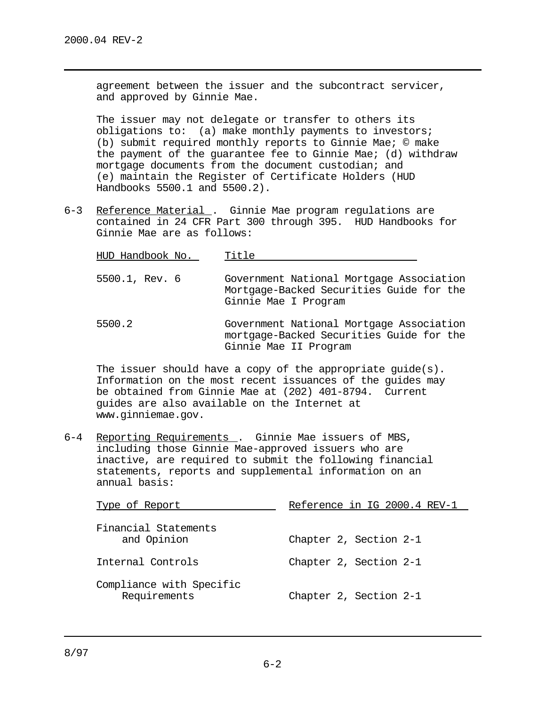agreement between the issuer and the subcontract servicer, and approved by Ginnie Mae.

The issuer may not delegate or transfer to others its obligations to: (a) make monthly payments to investors; (b) submit required monthly reports to Ginnie Mae; © make the payment of the guarantee fee to Ginnie Mae; (d) withdraw mortgage documents from the document custodian; and (e) maintain the Register of Certificate Holders (HUD Handbooks 5500.1 and 5500.2).

6-3 Reference Material . Ginnie Mae program regulations are contained in 24 CFR Part 300 through 395. HUD Handbooks for Ginnie Mae are as follows:

| HUD Handbook No. | Title                                                                                                        |
|------------------|--------------------------------------------------------------------------------------------------------------|
| 5500.1, Rev. 6   | Government National Mortgage Association<br>Mortgage-Backed Securities Guide for the<br>Ginnie Mae I Program |
| 5500.2           | Government National Mortgage Association<br>mortgage-Backed Securities Guide for the                         |

Ginnie Mae II Program

The issuer should have a copy of the appropriate guide(s). Information on the most recent issuances of the guides may be obtained from Ginnie Mae at (202) 401-8794. Current guides are also available on the Internet at www.ginniemae.gov.

6-4 Reporting Requirements . Ginnie Mae issuers of MBS, including those Ginnie Mae-approved issuers who are inactive, are required to submit the following financial statements, reports and supplemental information on an annual basis:

| Type of Report                           | Reference in IG 2000.4 REV-1 |
|------------------------------------------|------------------------------|
| Financial Statements<br>and Opinion      | Chapter 2, Section 2-1       |
| Internal Controls                        | Chapter 2, Section 2-1       |
| Compliance with Specific<br>Requirements | Chapter 2, Section 2-1       |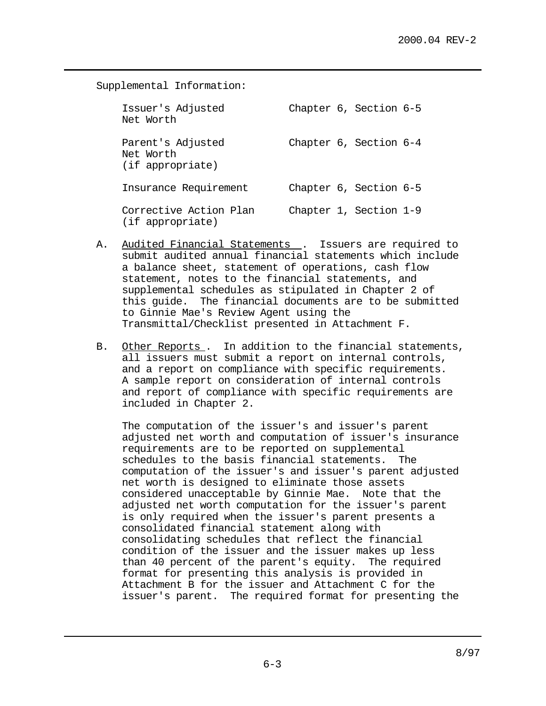Supplemental Information: Issuer's Adjusted Chapter 6, Section 6-5 Net Worth Parent's Adjusted Chapter 6, Section 6-4 Net Worth (if appropriate) Insurance Requirement Chapter 6, Section 6-5 Corrective Action Plan Chapter 1, Section 1-9 (if appropriate)

- A. Audited Financial Statements . Issuers are required to submit audited annual financial statements which include a balance sheet, statement of operations, cash flow statement, notes to the financial statements, and supplemental schedules as stipulated in Chapter 2 of this guide. The financial documents are to be submitted to Ginnie Mae's Review Agent using the Transmittal/Checklist presented in Attachment F.
- B. Other Reports . In addition to the financial statements, all issuers must submit a report on internal controls, and a report on compliance with specific requirements. A sample report on consideration of internal controls and report of compliance with specific requirements are included in Chapter 2.

The computation of the issuer's and issuer's parent adjusted net worth and computation of issuer's insurance requirements are to be reported on supplemental schedules to the basis financial statements. The computation of the issuer's and issuer's parent adjusted net worth is designed to eliminate those assets considered unacceptable by Ginnie Mae. Note that the adjusted net worth computation for the issuer's parent is only required when the issuer's parent presents a consolidated financial statement along with consolidating schedules that reflect the financial condition of the issuer and the issuer makes up less than 40 percent of the parent's equity. The required format for presenting this analysis is provided in Attachment B for the issuer and Attachment C for the issuer's parent. The required format for presenting the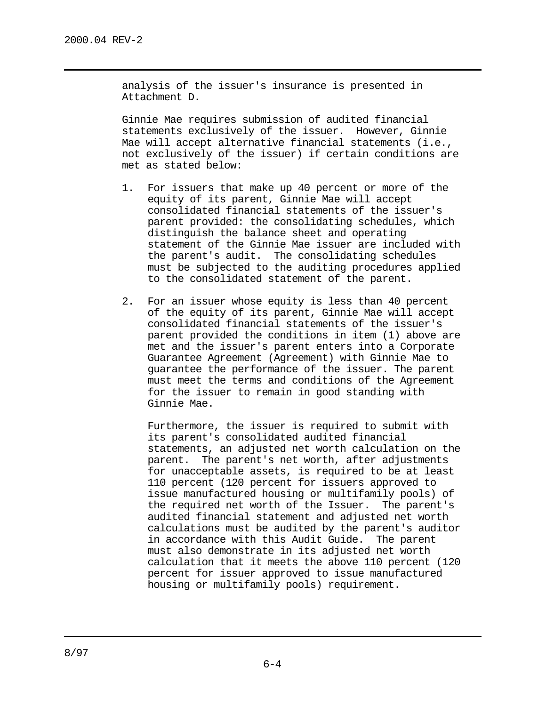analysis of the issuer's insurance is presented in Attachment D.

Ginnie Mae requires submission of audited financial statements exclusively of the issuer. However, Ginnie Mae will accept alternative financial statements (i.e., not exclusively of the issuer) if certain conditions are met as stated below:

- 1. For issuers that make up 40 percent or more of the equity of its parent, Ginnie Mae will accept consolidated financial statements of the issuer's parent provided: the consolidating schedules, which distinguish the balance sheet and operating statement of the Ginnie Mae issuer are included with the parent's audit. The consolidating schedules must be subjected to the auditing procedures applied to the consolidated statement of the parent.
- 2. For an issuer whose equity is less than 40 percent of the equity of its parent, Ginnie Mae will accept consolidated financial statements of the issuer's parent provided the conditions in item (1) above are met and the issuer's parent enters into a Corporate Guarantee Agreement (Agreement) with Ginnie Mae to guarantee the performance of the issuer. The parent must meet the terms and conditions of the Agreement for the issuer to remain in good standing with Ginnie Mae.

Furthermore, the issuer is required to submit with its parent's consolidated audited financial statements, an adjusted net worth calculation on the parent. The parent's net worth, after adjustments for unacceptable assets, is required to be at least 110 percent (120 percent for issuers approved to issue manufactured housing or multifamily pools) of the required net worth of the Issuer. The parent's audited financial statement and adjusted net worth calculations must be audited by the parent's auditor in accordance with this Audit Guide. The parent must also demonstrate in its adjusted net worth calculation that it meets the above 110 percent (120 percent for issuer approved to issue manufactured housing or multifamily pools) requirement.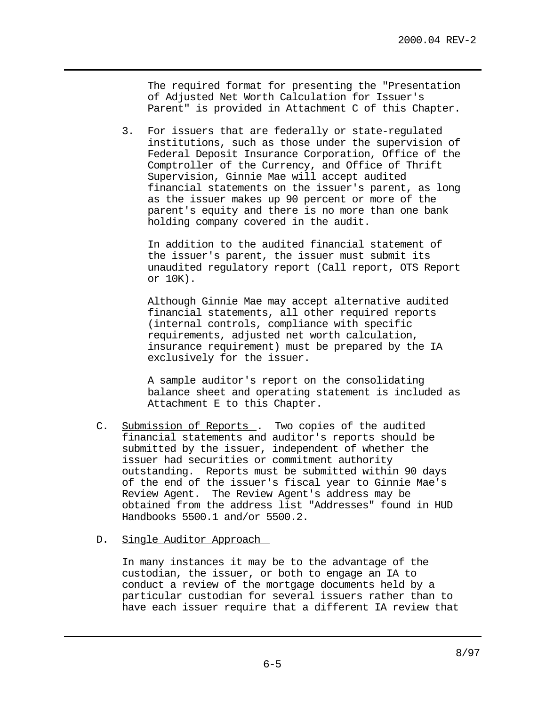The required format for presenting the "Presentation of Adjusted Net Worth Calculation for Issuer's Parent" is provided in Attachment C of this Chapter.

3. For issuers that are federally or state-regulated institutions, such as those under the supervision of Federal Deposit Insurance Corporation, Office of the Comptroller of the Currency, and Office of Thrift Supervision, Ginnie Mae will accept audited financial statements on the issuer's parent, as long as the issuer makes up 90 percent or more of the parent's equity and there is no more than one bank holding company covered in the audit.

In addition to the audited financial statement of the issuer's parent, the issuer must submit its unaudited regulatory report (Call report, OTS Report or 10K).

Although Ginnie Mae may accept alternative audited financial statements, all other required reports (internal controls, compliance with specific requirements, adjusted net worth calculation, insurance requirement) must be prepared by the IA exclusively for the issuer.

A sample auditor's report on the consolidating balance sheet and operating statement is included as Attachment E to this Chapter.

- C. Submission of Reports . Two copies of the audited financial statements and auditor's reports should be submitted by the issuer, independent of whether the issuer had securities or commitment authority outstanding. Reports must be submitted within 90 days of the end of the issuer's fiscal year to Ginnie Mae's Review Agent. The Review Agent's address may be obtained from the address list "Addresses" found in HUD Handbooks 5500.1 and/or 5500.2.
- D. Single Auditor Approach

In many instances it may be to the advantage of the custodian, the issuer, or both to engage an IA to conduct a review of the mortgage documents held by a particular custodian for several issuers rather than to have each issuer require that a different IA review that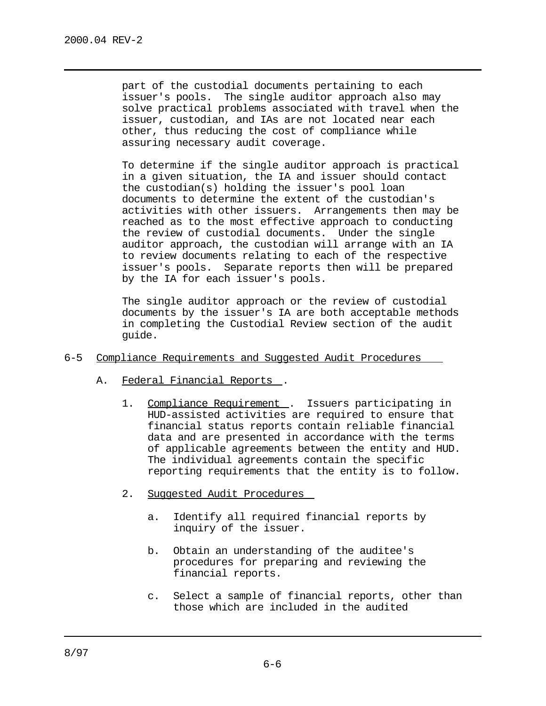part of the custodial documents pertaining to each issuer's pools. The single auditor approach also may solve practical problems associated with travel when the issuer, custodian, and IAs are not located near each other, thus reducing the cost of compliance while assuring necessary audit coverage.

To determine if the single auditor approach is practical in a given situation, the IA and issuer should contact the custodian(s) holding the issuer's pool loan documents to determine the extent of the custodian's activities with other issuers. Arrangements then may be reached as to the most effective approach to conducting the review of custodial documents. Under the single auditor approach, the custodian will arrange with an IA to review documents relating to each of the respective issuer's pools. Separate reports then will be prepared by the IA for each issuer's pools.

The single auditor approach or the review of custodial documents by the issuer's IA are both acceptable methods in completing the Custodial Review section of the audit guide.

- 6-5 Compliance Requirements and Suggested Audit Procedures
	- A. Federal Financial Reports .
		- 1. Compliance Requirement . Issuers participating in HUD-assisted activities are required to ensure that financial status reports contain reliable financial data and are presented in accordance with the terms of applicable agreements between the entity and HUD. The individual agreements contain the specific reporting requirements that the entity is to follow.
		- 2. Suggested Audit Procedures
			- a. Identify all required financial reports by inquiry of the issuer.
			- b. Obtain an understanding of the auditee's procedures for preparing and reviewing the financial reports.
			- c. Select a sample of financial reports, other than those which are included in the audited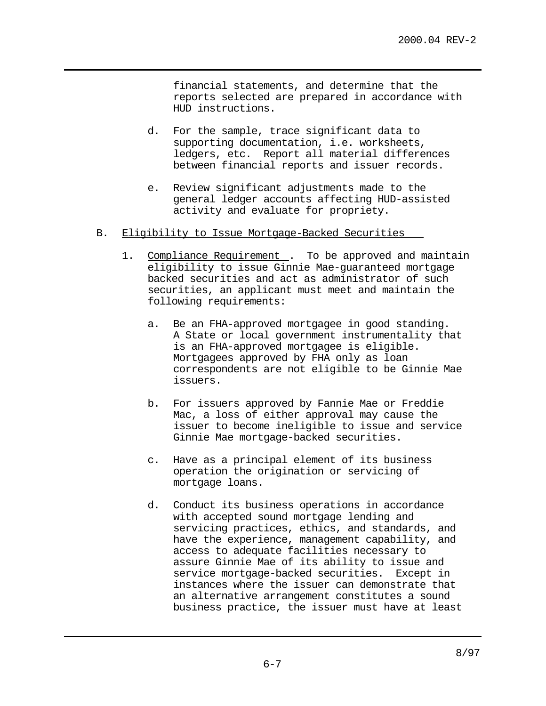financial statements, and determine that the reports selected are prepared in accordance with HUD instructions.

- d. For the sample, trace significant data to supporting documentation, i.e. worksheets, ledgers, etc. Report all material differences between financial reports and issuer records.
- e. Review significant adjustments made to the general ledger accounts affecting HUD-assisted activity and evaluate for propriety.
- B. Eligibility to Issue Mortgage-Backed Securities
	- 1. Compliance Requirement . To be approved and maintain eligibility to issue Ginnie Mae-guaranteed mortgage backed securities and act as administrator of such securities, an applicant must meet and maintain the following requirements:
		- a. Be an FHA-approved mortgagee in good standing. A State or local government instrumentality that is an FHA-approved mortgagee is eligible. Mortgagees approved by FHA only as loan correspondents are not eligible to be Ginnie Mae issuers.
		- b. For issuers approved by Fannie Mae or Freddie Mac, a loss of either approval may cause the issuer to become ineligible to issue and service Ginnie Mae mortgage-backed securities.
		- c. Have as a principal element of its business operation the origination or servicing of mortgage loans.
		- d. Conduct its business operations in accordance with accepted sound mortgage lending and servicing practices, ethics, and standards, and have the experience, management capability, and access to adequate facilities necessary to assure Ginnie Mae of its ability to issue and service mortgage-backed securities. Except in instances where the issuer can demonstrate that an alternative arrangement constitutes a sound business practice, the issuer must have at least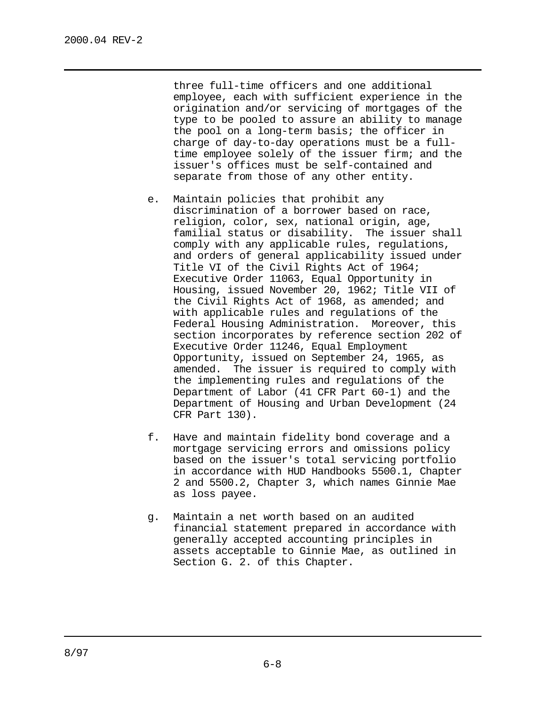three full-time officers and one additional employee, each with sufficient experience in the origination and/or servicing of mortgages of the type to be pooled to assure an ability to manage the pool on a long-term basis; the officer in charge of day-to-day operations must be a fulltime employee solely of the issuer firm; and the issuer's offices must be self-contained and separate from those of any other entity.

- e. Maintain policies that prohibit any discrimination of a borrower based on race, religion, color, sex, national origin, age, familial status or disability. The issuer shall comply with any applicable rules, regulations, and orders of general applicability issued under Title VI of the Civil Rights Act of 1964; Executive Order 11063, Equal Opportunity in Housing, issued November 20, 1962; Title VII of the Civil Rights Act of 1968, as amended; and with applicable rules and regulations of the Federal Housing Administration. Moreover, this section incorporates by reference section 202 of Executive Order 11246, Equal Employment Opportunity, issued on September 24, 1965, as amended. The issuer is required to comply with the implementing rules and regulations of the Department of Labor (41 CFR Part 60-1) and the Department of Housing and Urban Development (24 CFR Part 130).
- f. Have and maintain fidelity bond coverage and a mortgage servicing errors and omissions policy based on the issuer's total servicing portfolio in accordance with HUD Handbooks 5500.1, Chapter 2 and 5500.2, Chapter 3, which names Ginnie Mae as loss payee.
- g. Maintain a net worth based on an audited financial statement prepared in accordance with generally accepted accounting principles in assets acceptable to Ginnie Mae, as outlined in Section G. 2. of this Chapter.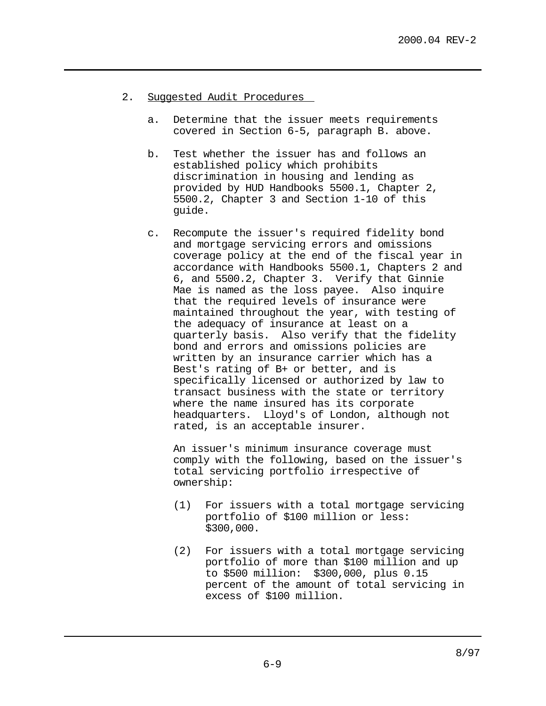- 2. Suggested Audit Procedures
	- a. Determine that the issuer meets requirements covered in Section 6-5, paragraph B. above.
	- b. Test whether the issuer has and follows an established policy which prohibits discrimination in housing and lending as provided by HUD Handbooks 5500.1, Chapter 2, 5500.2, Chapter 3 and Section 1-10 of this guide.
	- c. Recompute the issuer's required fidelity bond and mortgage servicing errors and omissions coverage policy at the end of the fiscal year in accordance with Handbooks 5500.1, Chapters 2 and 6, and 5500.2, Chapter 3. Verify that Ginnie Mae is named as the loss payee. Also inquire that the required levels of insurance were maintained throughout the year, with testing of the adequacy of insurance at least on a quarterly basis. Also verify that the fidelity bond and errors and omissions policies are written by an insurance carrier which has a Best's rating of B+ or better, and is specifically licensed or authorized by law to transact business with the state or territory where the name insured has its corporate headquarters. Lloyd's of London, although not rated, is an acceptable insurer.

An issuer's minimum insurance coverage must comply with the following, based on the issuer's total servicing portfolio irrespective of ownership:

- (1) For issuers with a total mortgage servicing portfolio of \$100 million or less: \$300,000.
- (2) For issuers with a total mortgage servicing portfolio of more than \$100 million and up to \$500 million: \$300,000, plus 0.15 percent of the amount of total servicing in excess of \$100 million.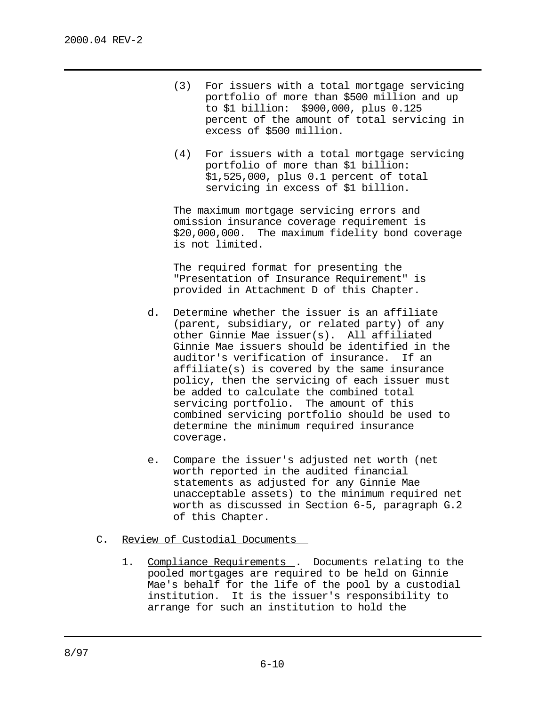- (3) For issuers with a total mortgage servicing portfolio of more than \$500 million and up to \$1 billion: \$900,000, plus 0.125 percent of the amount of total servicing in excess of \$500 million.
- (4) For issuers with a total mortgage servicing portfolio of more than \$1 billion: \$1,525,000, plus 0.1 percent of total servicing in excess of \$1 billion.

The maximum mortgage servicing errors and omission insurance coverage requirement is \$20,000,000. The maximum fidelity bond coverage is not limited.

The required format for presenting the "Presentation of Insurance Requirement" is provided in Attachment D of this Chapter.

- d. Determine whether the issuer is an affiliate (parent, subsidiary, or related party) of any other Ginnie Mae issuer(s). All affiliated Ginnie Mae issuers should be identified in the auditor's verification of insurance. If an affiliate(s) is covered by the same insurance policy, then the servicing of each issuer must be added to calculate the combined total servicing portfolio. The amount of this combined servicing portfolio should be used to determine the minimum required insurance coverage.
- e. Compare the issuer's adjusted net worth (net worth reported in the audited financial statements as adjusted for any Ginnie Mae unacceptable assets) to the minimum required net worth as discussed in Section 6-5, paragraph G.2 of this Chapter.
- C. Review of Custodial Documents
	- 1. Compliance Requirements . Documents relating to the pooled mortgages are required to be held on Ginnie Mae's behalf for the life of the pool by a custodial institution. It is the issuer's responsibility to arrange for such an institution to hold the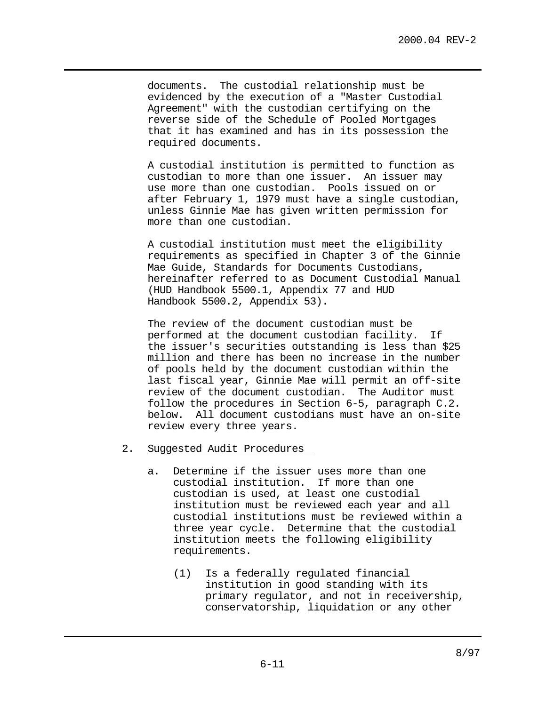documents. The custodial relationship must be evidenced by the execution of a "Master Custodial Agreement" with the custodian certifying on the reverse side of the Schedule of Pooled Mortgages that it has examined and has in its possession the required documents.

A custodial institution is permitted to function as custodian to more than one issuer. An issuer may use more than one custodian. Pools issued on or after February 1, 1979 must have a single custodian, unless Ginnie Mae has given written permission for more than one custodian.

A custodial institution must meet the eligibility requirements as specified in Chapter 3 of the Ginnie Mae Guide, Standards for Documents Custodians, hereinafter referred to as Document Custodial Manual (HUD Handbook 5500.1, Appendix 77 and HUD Handbook 5500.2, Appendix 53).

The review of the document custodian must be performed at the document custodian facility. If the issuer's securities outstanding is less than \$25 million and there has been no increase in the number of pools held by the document custodian within the last fiscal year, Ginnie Mae will permit an off-site review of the document custodian. The Auditor must follow the procedures in Section 6-5, paragraph C.2. below. All document custodians must have an on-site review every three years.

- 2. Suggested Audit Procedures
	- a. Determine if the issuer uses more than one custodial institution. If more than one custodian is used, at least one custodial institution must be reviewed each year and all custodial institutions must be reviewed within a three year cycle. Determine that the custodial institution meets the following eligibility requirements.
		- (1) Is a federally regulated financial institution in good standing with its primary regulator, and not in receivership, conservatorship, liquidation or any other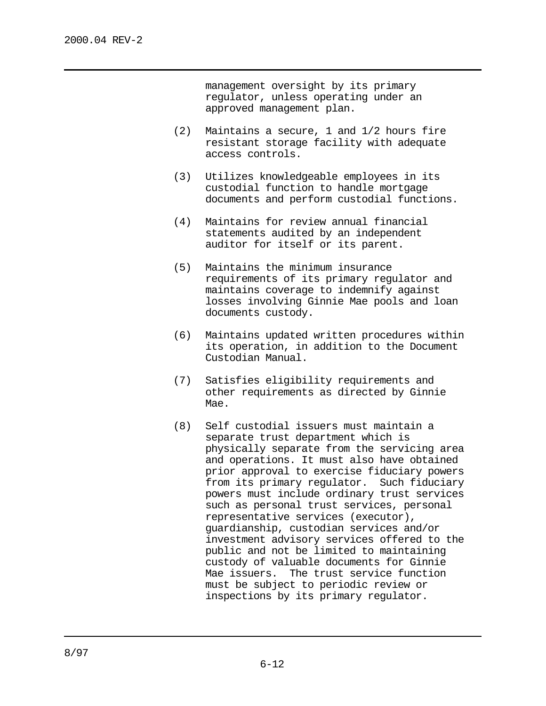management oversight by its primary regulator, unless operating under an approved management plan.

- (2) Maintains a secure, 1 and 1/2 hours fire resistant storage facility with adequate access controls.
- (3) Utilizes knowledgeable employees in its custodial function to handle mortgage documents and perform custodial functions.
- (4) Maintains for review annual financial statements audited by an independent auditor for itself or its parent.
- (5) Maintains the minimum insurance requirements of its primary regulator and maintains coverage to indemnify against losses involving Ginnie Mae pools and loan documents custody.
- (6) Maintains updated written procedures within its operation, in addition to the Document Custodian Manual.
- (7) Satisfies eligibility requirements and other requirements as directed by Ginnie Mae.
- (8) Self custodial issuers must maintain a separate trust department which is physically separate from the servicing area and operations. It must also have obtained prior approval to exercise fiduciary powers from its primary regulator. Such fiduciary powers must include ordinary trust services such as personal trust services, personal representative services (executor), guardianship, custodian services and/or investment advisory services offered to the public and not be limited to maintaining custody of valuable documents for Ginnie Mae issuers. The trust service function must be subject to periodic review or inspections by its primary regulator.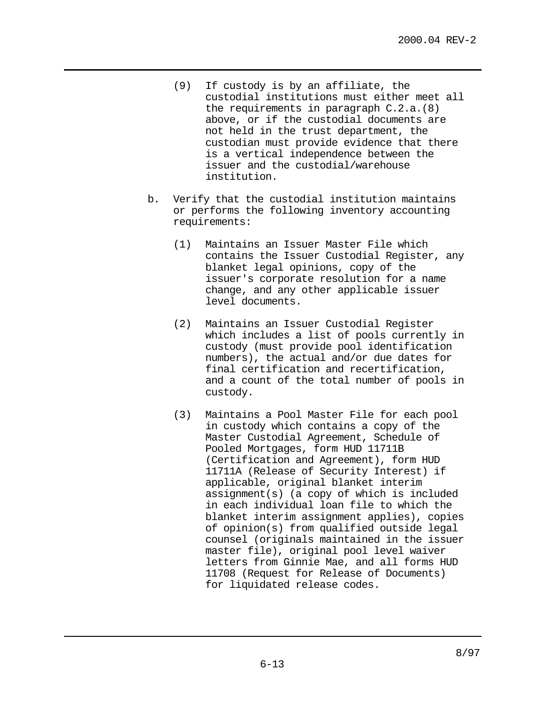- (9) If custody is by an affiliate, the custodial institutions must either meet all the requirements in paragraph C.2.a.(8) above, or if the custodial documents are not held in the trust department, the custodian must provide evidence that there is a vertical independence between the issuer and the custodial/warehouse institution.
- b. Verify that the custodial institution maintains or performs the following inventory accounting requirements:
	- (1) Maintains an Issuer Master File which contains the Issuer Custodial Register, any blanket legal opinions, copy of the issuer's corporate resolution for a name change, and any other applicable issuer level documents.
	- (2) Maintains an Issuer Custodial Register which includes a list of pools currently in custody (must provide pool identification numbers), the actual and/or due dates for final certification and recertification, and a count of the total number of pools in custody.
	- (3) Maintains a Pool Master File for each pool in custody which contains a copy of the Master Custodial Agreement, Schedule of Pooled Mortgages, form HUD 11711B (Certification and Agreement), form HUD 11711A (Release of Security Interest) if applicable, original blanket interim assignment(s) (a copy of which is included in each individual loan file to which the blanket interim assignment applies), copies of opinion(s) from qualified outside legal counsel (originals maintained in the issuer master file), original pool level waiver letters from Ginnie Mae, and all forms HUD 11708 (Request for Release of Documents) for liquidated release codes.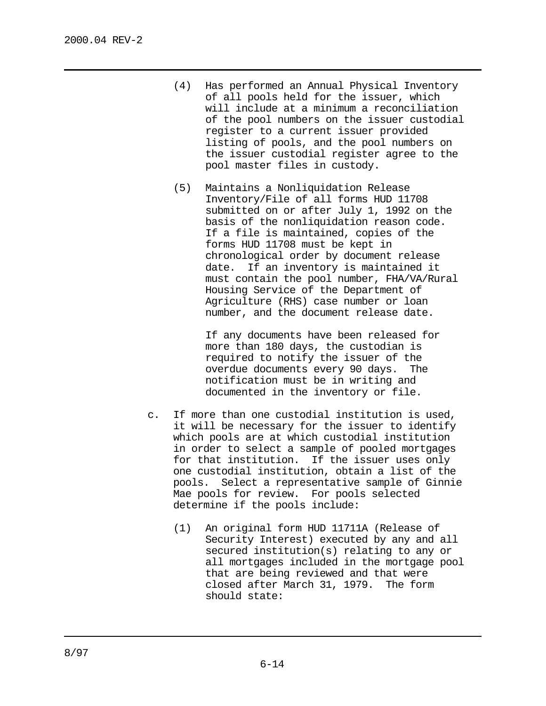- (4) Has performed an Annual Physical Inventory of all pools held for the issuer, which will include at a minimum a reconciliation of the pool numbers on the issuer custodial register to a current issuer provided listing of pools, and the pool numbers on the issuer custodial register agree to the pool master files in custody.
- (5) Maintains a Nonliquidation Release Inventory/File of all forms HUD 11708 submitted on or after July 1, 1992 on the basis of the nonliquidation reason code. If a file is maintained, copies of the forms HUD 11708 must be kept in chronological order by document release date. If an inventory is maintained it must contain the pool number, FHA/VA/Rural Housing Service of the Department of Agriculture (RHS) case number or loan number, and the document release date.

If any documents have been released for more than 180 days, the custodian is required to notify the issuer of the overdue documents every 90 days. The notification must be in writing and documented in the inventory or file.

- c. If more than one custodial institution is used, it will be necessary for the issuer to identify which pools are at which custodial institution in order to select a sample of pooled mortgages for that institution. If the issuer uses only one custodial institution, obtain a list of the pools. Select a representative sample of Ginnie Mae pools for review. For pools selected determine if the pools include:
	- (1) An original form HUD 11711A (Release of Security Interest) executed by any and all secured institution(s) relating to any or all mortgages included in the mortgage pool that are being reviewed and that were closed after March 31, 1979. The form should state: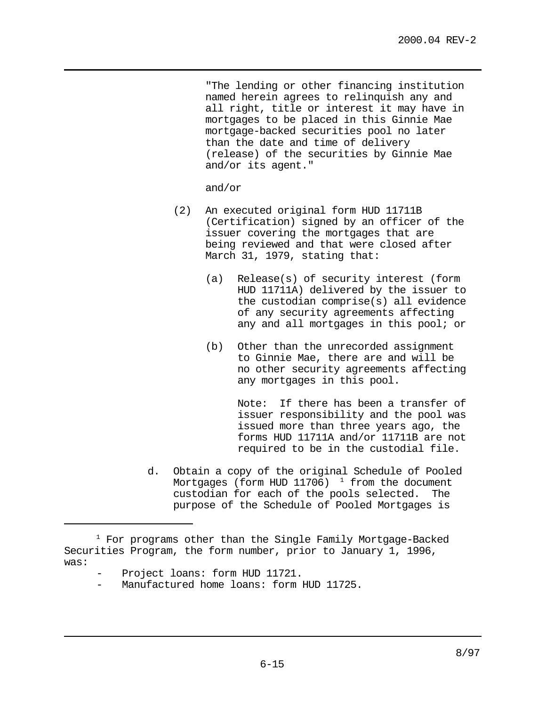"The lending or other financing institution named herein agrees to relinquish any and all right, title or interest it may have in mortgages to be placed in this Ginnie Mae mortgage-backed securities pool no later than the date and time of delivery (release) of the securities by Ginnie Mae and/or its agent."

and/or

- (2) An executed original form HUD 11711B (Certification) signed by an officer of the issuer covering the mortgages that are being reviewed and that were closed after March 31, 1979, stating that:
	- (a) Release(s) of security interest (form HUD 11711A) delivered by the issuer to the custodian comprise(s) all evidence of any security agreements affecting any and all mortgages in this pool; or
	- (b) Other than the unrecorded assignment to Ginnie Mae, there are and will be no other security agreements affecting any mortgages in this pool.

Note: If there has been a transfer of issuer responsibility and the pool was issued more than three years ago, the forms HUD 11711A and/or 11711B are not required to be in the custodial file.

d. Obtain a copy of the original Schedule of Pooled Mortgages (form HUD 11706)  $1$  from the document custodian for each of the pools selected. The purpose of the Schedule of Pooled Mortgages is

 $1$  For programs other than the Single Family Mortgage-Backed Securities Program, the form number, prior to January 1, 1996, was:

Project loans: form HUD 11721.

Manufactured home loans: form HUD 11725.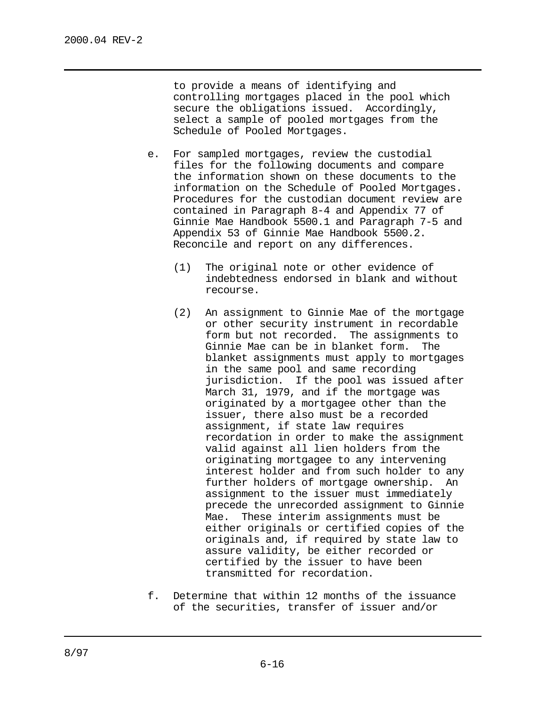to provide a means of identifying and controlling mortgages placed in the pool which secure the obligations issued. Accordingly, select a sample of pooled mortgages from the Schedule of Pooled Mortgages.

- e. For sampled mortgages, review the custodial files for the following documents and compare the information shown on these documents to the information on the Schedule of Pooled Mortgages. Procedures for the custodian document review are contained in Paragraph 8-4 and Appendix 77 of Ginnie Mae Handbook 5500.1 and Paragraph 7-5 and Appendix 53 of Ginnie Mae Handbook 5500.2. Reconcile and report on any differences.
	- (1) The original note or other evidence of indebtedness endorsed in blank and without recourse.
	- (2) An assignment to Ginnie Mae of the mortgage or other security instrument in recordable form but not recorded. The assignments to Ginnie Mae can be in blanket form. The blanket assignments must apply to mortgages in the same pool and same recording jurisdiction. If the pool was issued after March 31, 1979, and if the mortgage was originated by a mortgagee other than the issuer, there also must be a recorded assignment, if state law requires recordation in order to make the assignment valid against all lien holders from the originating mortgagee to any intervening interest holder and from such holder to any further holders of mortgage ownership. An assignment to the issuer must immediately precede the unrecorded assignment to Ginnie Mae. These interim assignments must be either originals or certified copies of the originals and, if required by state law to assure validity, be either recorded or certified by the issuer to have been transmitted for recordation.
- f. Determine that within 12 months of the issuance of the securities, transfer of issuer and/or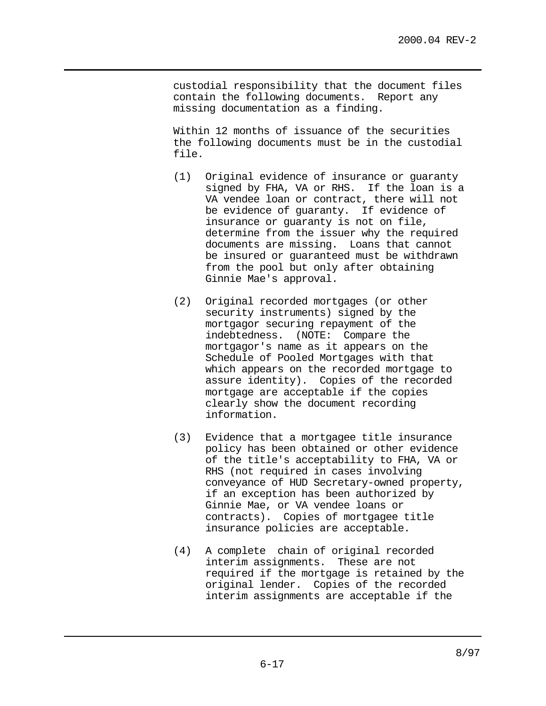custodial responsibility that the document files contain the following documents. Report any missing documentation as a finding.

Within 12 months of issuance of the securities the following documents must be in the custodial file.

- (1) Original evidence of insurance or guaranty signed by FHA, VA or RHS. If the loan is a VA vendee loan or contract, there will not be evidence of guaranty. If evidence of insurance or guaranty is not on file, determine from the issuer why the required documents are missing. Loans that cannot be insured or guaranteed must be withdrawn from the pool but only after obtaining Ginnie Mae's approval.
- (2) Original recorded mortgages (or other security instruments) signed by the mortgagor securing repayment of the indebtedness. (NOTE: Compare the mortgagor's name as it appears on the Schedule of Pooled Mortgages with that which appears on the recorded mortgage to assure identity). Copies of the recorded mortgage are acceptable if the copies clearly show the document recording information.
- (3) Evidence that a mortgagee title insurance policy has been obtained or other evidence of the title's acceptability to FHA, VA or RHS (not required in cases involving conveyance of HUD Secretary-owned property, if an exception has been authorized by Ginnie Mae, or VA vendee loans or contracts). Copies of mortgagee title insurance policies are acceptable.
- (4) A complete chain of original recorded interim assignments. These are not required if the mortgage is retained by the original lender. Copies of the recorded interim assignments are acceptable if the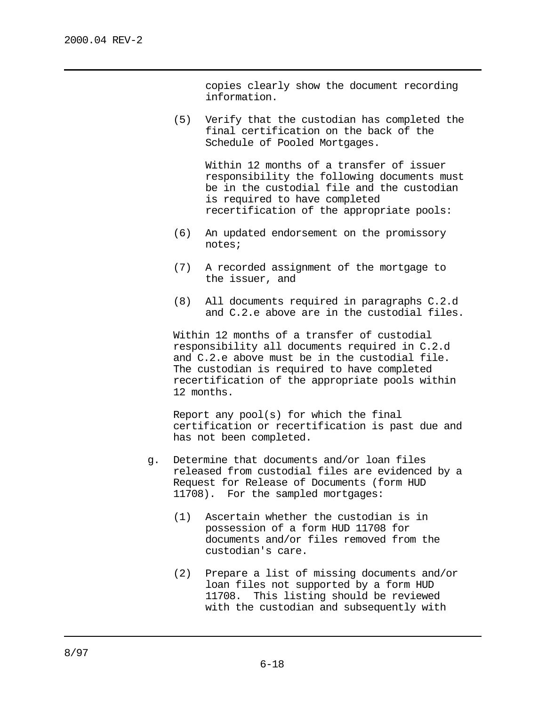copies clearly show the document recording information.

(5) Verify that the custodian has completed the final certification on the back of the Schedule of Pooled Mortgages.

> Within 12 months of a transfer of issuer responsibility the following documents must be in the custodial file and the custodian is required to have completed recertification of the appropriate pools:

- (6) An updated endorsement on the promissory notes;
- (7) A recorded assignment of the mortgage to the issuer, and
- (8) All documents required in paragraphs C.2.d and C.2.e above are in the custodial files.

Within 12 months of a transfer of custodial responsibility all documents required in C.2.d and C.2.e above must be in the custodial file. The custodian is required to have completed recertification of the appropriate pools within 12 months.

Report any pool(s) for which the final certification or recertification is past due and has not been completed.

- g. Determine that documents and/or loan files released from custodial files are evidenced by a Request for Release of Documents (form HUD 11708). For the sampled mortgages:
	- (1) Ascertain whether the custodian is in possession of a form HUD 11708 for documents and/or files removed from the custodian's care.
	- (2) Prepare a list of missing documents and/or loan files not supported by a form HUD 11708. This listing should be reviewed with the custodian and subsequently with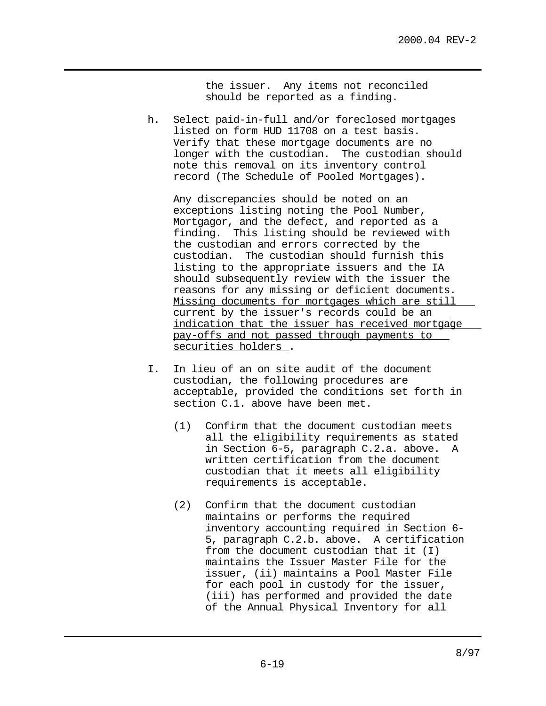the issuer. Any items not reconciled should be reported as a finding.

h. Select paid-in-full and/or foreclosed mortgages listed on form HUD 11708 on a test basis. Verify that these mortgage documents are no longer with the custodian. The custodian should note this removal on its inventory control record (The Schedule of Pooled Mortgages).

Any discrepancies should be noted on an exceptions listing noting the Pool Number, Mortgagor, and the defect, and reported as a finding. This listing should be reviewed with the custodian and errors corrected by the custodian. The custodian should furnish this listing to the appropriate issuers and the IA should subsequently review with the issuer the reasons for any missing or deficient documents. Missing documents for mortgages which are still current by the issuer's records could be an indication that the issuer has received mortgage pay-offs and not passed through payments to securities holders .

- I. In lieu of an on site audit of the document custodian, the following procedures are acceptable, provided the conditions set forth in section C.1. above have been met.
	- (1) Confirm that the document custodian meets all the eligibility requirements as stated in Section 6-5, paragraph C.2.a. above. A written certification from the document custodian that it meets all eligibility requirements is acceptable.
	- (2) Confirm that the document custodian maintains or performs the required inventory accounting required in Section 6- 5, paragraph C.2.b. above. A certification from the document custodian that it (I) maintains the Issuer Master File for the issuer, (ii) maintains a Pool Master File for each pool in custody for the issuer, (iii) has performed and provided the date of the Annual Physical Inventory for all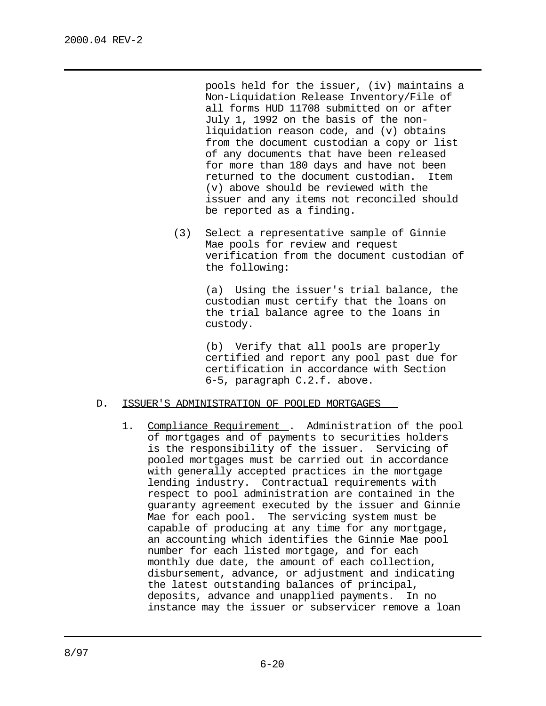pools held for the issuer, (iv) maintains a Non-Liquidation Release Inventory/File of all forms HUD 11708 submitted on or after July 1, 1992 on the basis of the nonliquidation reason code, and (v) obtains from the document custodian a copy or list of any documents that have been released for more than 180 days and have not been returned to the document custodian. Item (v) above should be reviewed with the issuer and any items not reconciled should be reported as a finding.

(3) Select a representative sample of Ginnie Mae pools for review and request verification from the document custodian of the following:

> (a) Using the issuer's trial balance, the custodian must certify that the loans on the trial balance agree to the loans in custody.

> (b) Verify that all pools are properly certified and report any pool past due for certification in accordance with Section 6-5, paragraph C.2.f. above.

#### D. ISSUER'S ADMINISTRATION OF POOLED MORTGAGES

1. Compliance Requirement . Administration of the pool of mortgages and of payments to securities holders is the responsibility of the issuer. Servicing of pooled mortgages must be carried out in accordance with generally accepted practices in the mortgage lending industry. Contractual requirements with respect to pool administration are contained in the guaranty agreement executed by the issuer and Ginnie Mae for each pool. The servicing system must be capable of producing at any time for any mortgage, an accounting which identifies the Ginnie Mae pool number for each listed mortgage, and for each monthly due date, the amount of each collection, disbursement, advance, or adjustment and indicating the latest outstanding balances of principal, deposits, advance and unapplied payments. In no instance may the issuer or subservicer remove a loan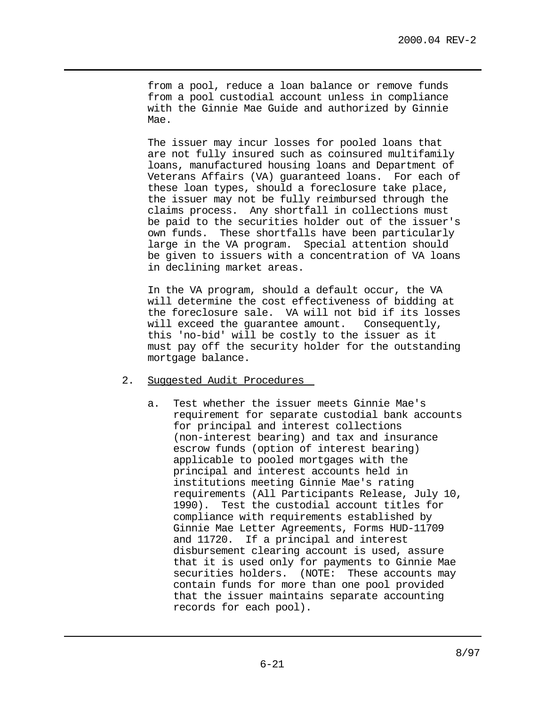from a pool, reduce a loan balance or remove funds from a pool custodial account unless in compliance with the Ginnie Mae Guide and authorized by Ginnie Mae.

The issuer may incur losses for pooled loans that are not fully insured such as coinsured multifamily loans, manufactured housing loans and Department of Veterans Affairs (VA) guaranteed loans. For each of these loan types, should a foreclosure take place, the issuer may not be fully reimbursed through the claims process. Any shortfall in collections must be paid to the securities holder out of the issuer's own funds. These shortfalls have been particularly large in the VA program. Special attention should be given to issuers with a concentration of VA loans in declining market areas.

In the VA program, should a default occur, the VA will determine the cost effectiveness of bidding at the foreclosure sale. VA will not bid if its losses will exceed the guarantee amount. Consequently, this 'no-bid' will be costly to the issuer as it must pay off the security holder for the outstanding mortgage balance.

## 2. Suggested Audit Procedures

a. Test whether the issuer meets Ginnie Mae's requirement for separate custodial bank accounts for principal and interest collections (non-interest bearing) and tax and insurance escrow funds (option of interest bearing) applicable to pooled mortgages with the principal and interest accounts held in institutions meeting Ginnie Mae's rating requirements (All Participants Release, July 10, 1990). Test the custodial account titles for compliance with requirements established by Ginnie Mae Letter Agreements, Forms HUD-11709 and 11720. If a principal and interest disbursement clearing account is used, assure that it is used only for payments to Ginnie Mae securities holders. (NOTE: These accounts may contain funds for more than one pool provided that the issuer maintains separate accounting records for each pool).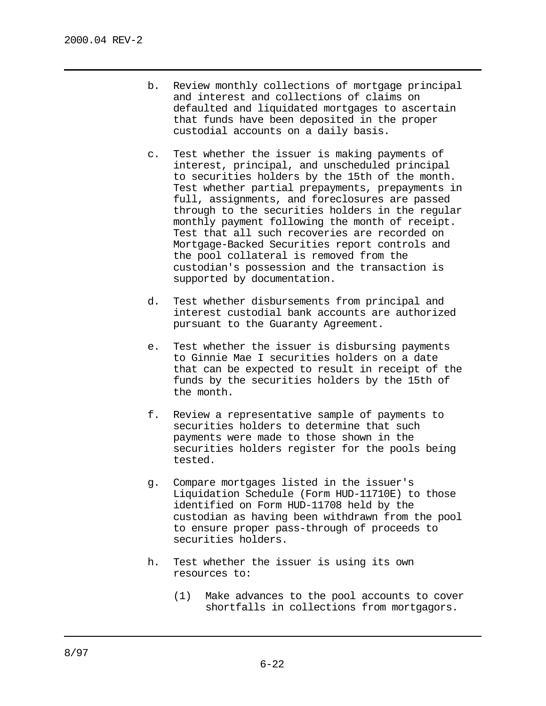- b. Review monthly collections of mortgage principal and interest and collections of claims on defaulted and liquidated mortgages to ascertain that funds have been deposited in the proper custodial accounts on a daily basis.
- c. Test whether the issuer is making payments of interest, principal, and unscheduled principal to securities holders by the 15th of the month. Test whether partial prepayments, prepayments in full, assignments, and foreclosures are passed through to the securities holders in the regular monthly payment following the month of receipt. Test that all such recoveries are recorded on Mortgage-Backed Securities report controls and the pool collateral is removed from the custodian's possession and the transaction is supported by documentation.
- d. Test whether disbursements from principal and interest custodial bank accounts are authorized pursuant to the Guaranty Agreement.
- e. Test whether the issuer is disbursing payments to Ginnie Mae I securities holders on a date that can be expected to result in receipt of the funds by the securities holders by the 15th of the month.
- f. Review a representative sample of payments to securities holders to determine that such payments were made to those shown in the securities holders register for the pools being tested.
- g. Compare mortgages listed in the issuer's Liquidation Schedule (Form HUD-11710E) to those identified on Form HUD-11708 held by the custodian as having been withdrawn from the pool to ensure proper pass-through of proceeds to securities holders.
- h. Test whether the issuer is using its own resources to:
	- (1) Make advances to the pool accounts to cover shortfalls in collections from mortgagors.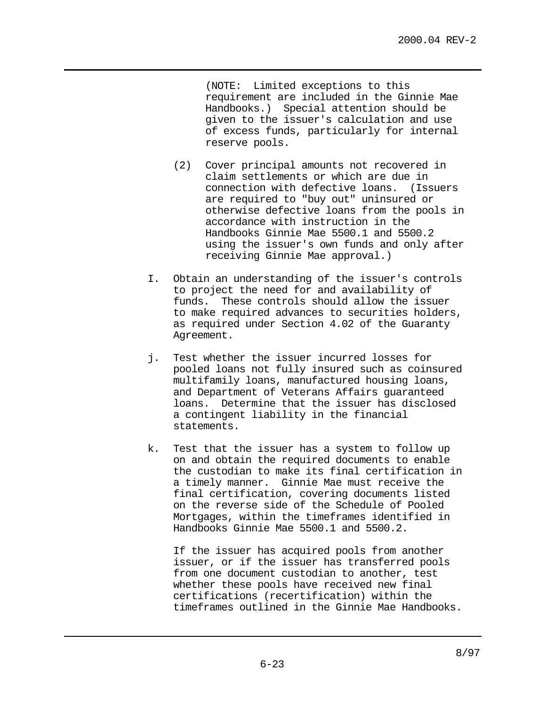(NOTE: Limited exceptions to this requirement are included in the Ginnie Mae Handbooks.) Special attention should be given to the issuer's calculation and use of excess funds, particularly for internal reserve pools.

- (2) Cover principal amounts not recovered in claim settlements or which are due in connection with defective loans. (Issuers are required to "buy out" uninsured or otherwise defective loans from the pools in accordance with instruction in the Handbooks Ginnie Mae 5500.1 and 5500.2 using the issuer's own funds and only after receiving Ginnie Mae approval.)
- I. Obtain an understanding of the issuer's controls to project the need for and availability of funds. These controls should allow the issuer to make required advances to securities holders, as required under Section 4.02 of the Guaranty Agreement.
- j. Test whether the issuer incurred losses for pooled loans not fully insured such as coinsured multifamily loans, manufactured housing loans, and Department of Veterans Affairs guaranteed loans. Determine that the issuer has disclosed a contingent liability in the financial statements.
- k. Test that the issuer has a system to follow up on and obtain the required documents to enable the custodian to make its final certification in a timely manner. Ginnie Mae must receive the final certification, covering documents listed on the reverse side of the Schedule of Pooled Mortgages, within the timeframes identified in Handbooks Ginnie Mae 5500.1 and 5500.2.

If the issuer has acquired pools from another issuer, or if the issuer has transferred pools from one document custodian to another, test whether these pools have received new final certifications (recertification) within the timeframes outlined in the Ginnie Mae Handbooks.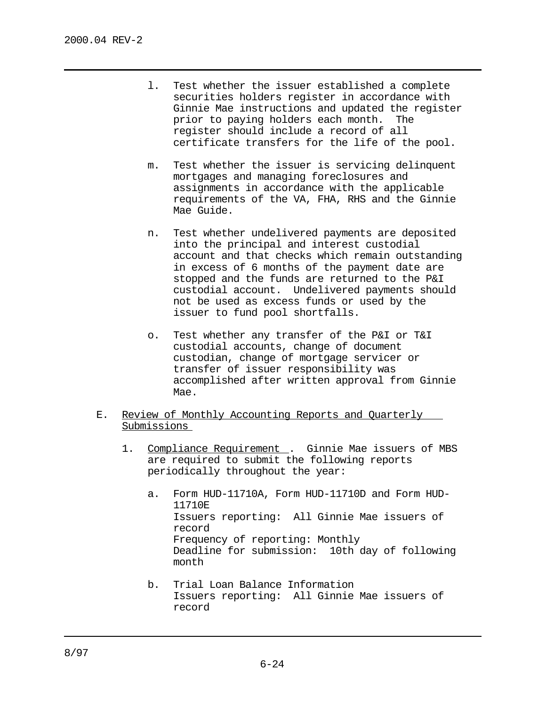- l. Test whether the issuer established a complete securities holders register in accordance with Ginnie Mae instructions and updated the register prior to paying holders each month. The register should include a record of all certificate transfers for the life of the pool.
- m. Test whether the issuer is servicing delinquent mortgages and managing foreclosures and assignments in accordance with the applicable requirements of the VA, FHA, RHS and the Ginnie Mae Guide.
- n. Test whether undelivered payments are deposited into the principal and interest custodial account and that checks which remain outstanding in excess of 6 months of the payment date are stopped and the funds are returned to the P&I custodial account. Undelivered payments should not be used as excess funds or used by the issuer to fund pool shortfalls.
- o. Test whether any transfer of the P&I or T&I custodial accounts, change of document custodian, change of mortgage servicer or transfer of issuer responsibility was accomplished after written approval from Ginnie Mae.
- E. Review of Monthly Accounting Reports and Quarterly Submissions
	- 1. Compliance Requirement . Ginnie Mae issuers of MBS are required to submit the following reports periodically throughout the year:
		- a. Form HUD-11710A, Form HUD-11710D and Form HUD-11710E Issuers reporting: All Ginnie Mae issuers of record Frequency of reporting: Monthly Deadline for submission: 10th day of following month
		- b. Trial Loan Balance Information Issuers reporting: All Ginnie Mae issuers of record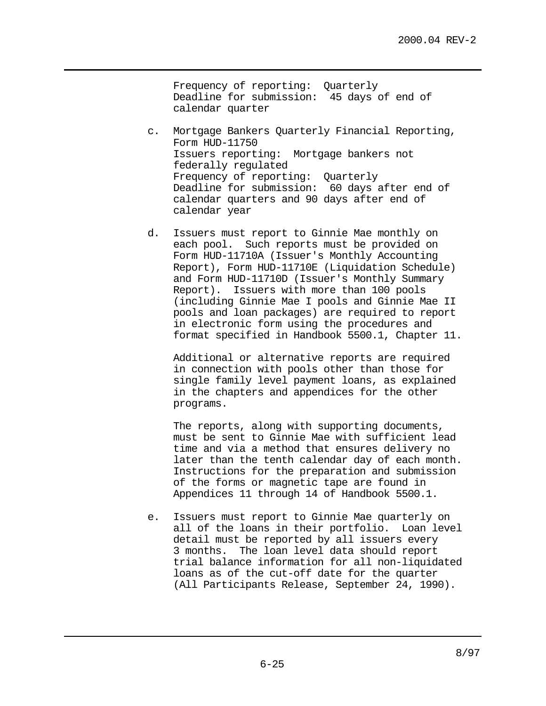Frequency of reporting: Quarterly Deadline for submission: 45 days of end of calendar quarter

- c. Mortgage Bankers Quarterly Financial Reporting, Form HUD-11750 Issuers reporting: Mortgage bankers not federally regulated Frequency of reporting: Quarterly Deadline for submission: 60 days after end of calendar quarters and 90 days after end of calendar year
- d. Issuers must report to Ginnie Mae monthly on each pool. Such reports must be provided on Form HUD-11710A (Issuer's Monthly Accounting Report), Form HUD-11710E (Liquidation Schedule) and Form HUD-11710D (Issuer's Monthly Summary Report). Issuers with more than 100 pools (including Ginnie Mae I pools and Ginnie Mae II pools and loan packages) are required to report in electronic form using the procedures and format specified in Handbook 5500.1, Chapter 11.

Additional or alternative reports are required in connection with pools other than those for single family level payment loans, as explained in the chapters and appendices for the other programs.

The reports, along with supporting documents, must be sent to Ginnie Mae with sufficient lead time and via a method that ensures delivery no later than the tenth calendar day of each month. Instructions for the preparation and submission of the forms or magnetic tape are found in Appendices 11 through 14 of Handbook 5500.1.

e. Issuers must report to Ginnie Mae quarterly on all of the loans in their portfolio. Loan level detail must be reported by all issuers every 3 months. The loan level data should report trial balance information for all non-liquidated loans as of the cut-off date for the quarter (All Participants Release, September 24, 1990).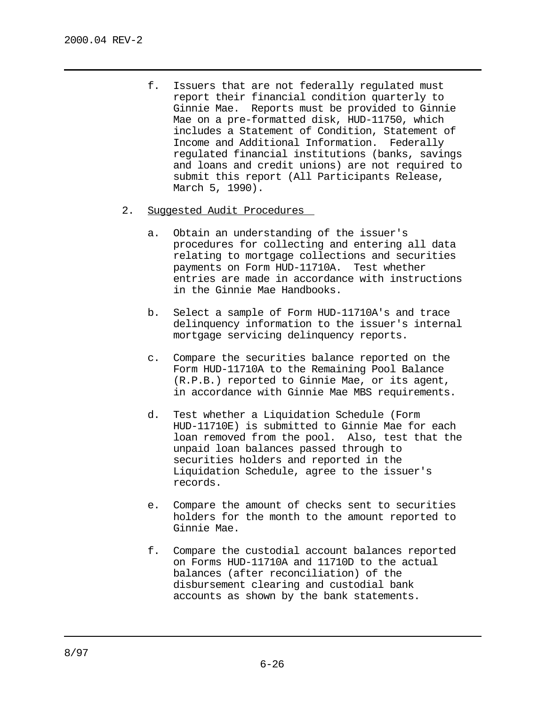- f. Issuers that are not federally regulated must report their financial condition quarterly to Ginnie Mae. Reports must be provided to Ginnie Mae on a pre-formatted disk, HUD-11750, which includes a Statement of Condition, Statement of Income and Additional Information. Federally regulated financial institutions (banks, savings and loans and credit unions) are not required to submit this report (All Participants Release, March 5, 1990).
- 2. Suggested Audit Procedures
	- a. Obtain an understanding of the issuer's procedures for collecting and entering all data relating to mortgage collections and securities payments on Form HUD-11710A. Test whether entries are made in accordance with instructions in the Ginnie Mae Handbooks.
	- b. Select a sample of Form HUD-11710A's and trace delinquency information to the issuer's internal mortgage servicing delinquency reports.
	- c. Compare the securities balance reported on the Form HUD-11710A to the Remaining Pool Balance (R.P.B.) reported to Ginnie Mae, or its agent, in accordance with Ginnie Mae MBS requirements.
	- d. Test whether a Liquidation Schedule (Form HUD-11710E) is submitted to Ginnie Mae for each loan removed from the pool. Also, test that the unpaid loan balances passed through to securities holders and reported in the Liquidation Schedule, agree to the issuer's records.
	- e. Compare the amount of checks sent to securities holders for the month to the amount reported to Ginnie Mae.
	- f. Compare the custodial account balances reported on Forms HUD-11710A and 11710D to the actual balances (after reconciliation) of the disbursement clearing and custodial bank accounts as shown by the bank statements.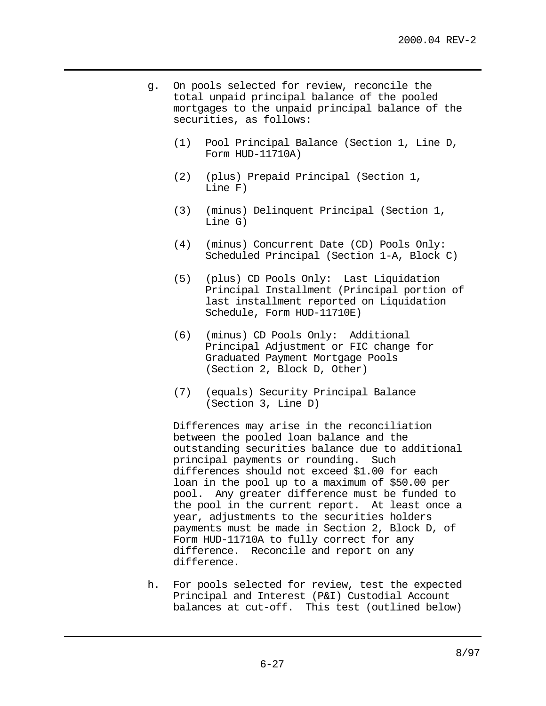- g. On pools selected for review, reconcile the total unpaid principal balance of the pooled mortgages to the unpaid principal balance of the securities, as follows:
	- (1) Pool Principal Balance (Section 1, Line D, Form HUD-11710A)
	- (2) (plus) Prepaid Principal (Section 1, Line F)
	- (3) (minus) Delinquent Principal (Section 1, Line G)
	- (4) (minus) Concurrent Date (CD) Pools Only: Scheduled Principal (Section 1-A, Block C)
	- (5) (plus) CD Pools Only: Last Liquidation Principal Installment (Principal portion of last installment reported on Liquidation Schedule, Form HUD-11710E)
	- (6) (minus) CD Pools Only: Additional Principal Adjustment or FIC change for Graduated Payment Mortgage Pools (Section 2, Block D, Other)
	- (7) (equals) Security Principal Balance (Section 3, Line D)

Differences may arise in the reconciliation between the pooled loan balance and the outstanding securities balance due to additional principal payments or rounding. Such differences should not exceed \$1.00 for each loan in the pool up to a maximum of \$50.00 per pool. Any greater difference must be funded to the pool in the current report. At least once a year, adjustments to the securities holders payments must be made in Section 2, Block D, of Form HUD-11710A to fully correct for any difference. Reconcile and report on any difference.

h. For pools selected for review, test the expected Principal and Interest (P&I) Custodial Account balances at cut-off. This test (outlined below)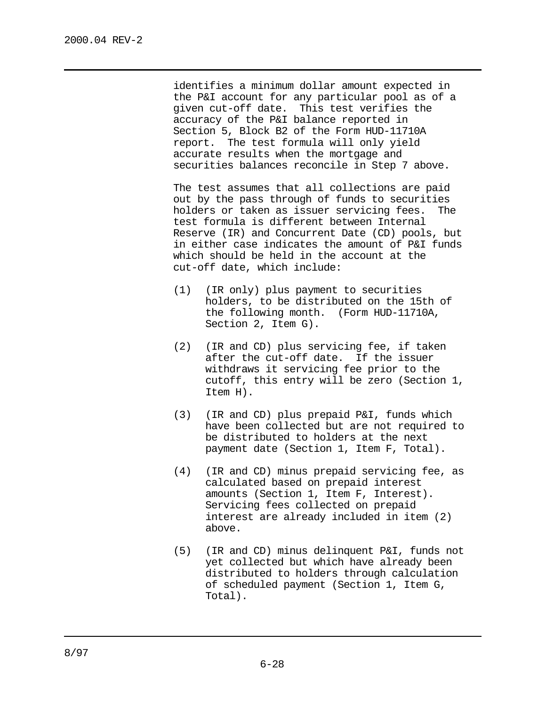identifies a minimum dollar amount expected in the P&I account for any particular pool as of a given cut-off date. This test verifies the accuracy of the P&I balance reported in Section 5, Block B2 of the Form HUD-11710A report. The test formula will only yield accurate results when the mortgage and securities balances reconcile in Step 7 above.

The test assumes that all collections are paid out by the pass through of funds to securities holders or taken as issuer servicing fees. The test formula is different between Internal Reserve (IR) and Concurrent Date (CD) pools, but in either case indicates the amount of P&I funds which should be held in the account at the cut-off date, which include:

- (1) (IR only) plus payment to securities holders, to be distributed on the 15th of the following month. (Form HUD-11710A, Section 2, Item G).
- (2) (IR and CD) plus servicing fee, if taken after the cut-off date. If the issuer withdraws it servicing fee prior to the cutoff, this entry will be zero (Section 1, Item H).
- (3) (IR and CD) plus prepaid P&I, funds which have been collected but are not required to be distributed to holders at the next payment date (Section 1, Item F, Total).
- (4) (IR and CD) minus prepaid servicing fee, as calculated based on prepaid interest amounts (Section 1, Item F, Interest). Servicing fees collected on prepaid interest are already included in item (2) above.
- (5) (IR and CD) minus delinquent P&I, funds not yet collected but which have already been distributed to holders through calculation of scheduled payment (Section 1, Item G, Total).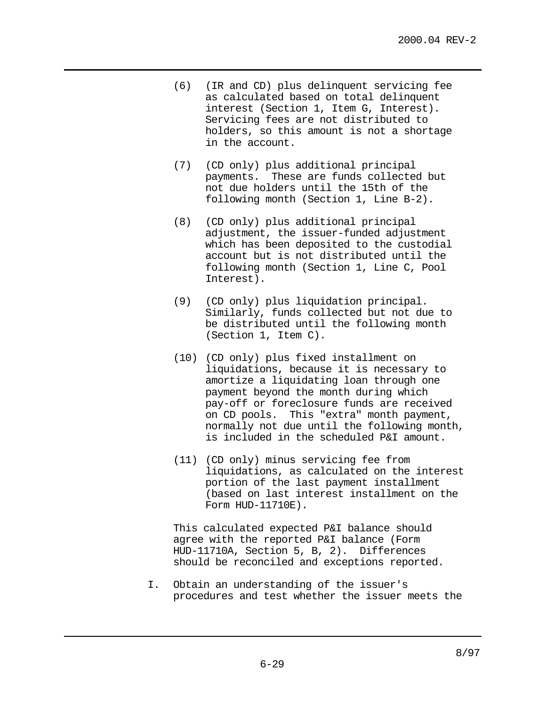- (6) (IR and CD) plus delinquent servicing fee as calculated based on total delinquent interest (Section 1, Item G, Interest). Servicing fees are not distributed to holders, so this amount is not a shortage in the account.
- (7) (CD only) plus additional principal payments. These are funds collected but not due holders until the 15th of the following month (Section 1, Line B-2).
- (8) (CD only) plus additional principal adjustment, the issuer-funded adjustment which has been deposited to the custodial account but is not distributed until the following month (Section 1, Line C, Pool Interest).
- (9) (CD only) plus liquidation principal. Similarly, funds collected but not due to be distributed until the following month (Section 1, Item C).
- (10) (CD only) plus fixed installment on liquidations, because it is necessary to amortize a liquidating loan through one payment beyond the month during which pay-off or foreclosure funds are received on CD pools. This "extra" month payment, normally not due until the following month, is included in the scheduled P&I amount.
- (11) (CD only) minus servicing fee from liquidations, as calculated on the interest portion of the last payment installment (based on last interest installment on the Form HUD-11710E).

This calculated expected P&I balance should agree with the reported P&I balance (Form HUD-11710A, Section 5, B, 2). Differences should be reconciled and exceptions reported.

I. Obtain an understanding of the issuer's procedures and test whether the issuer meets the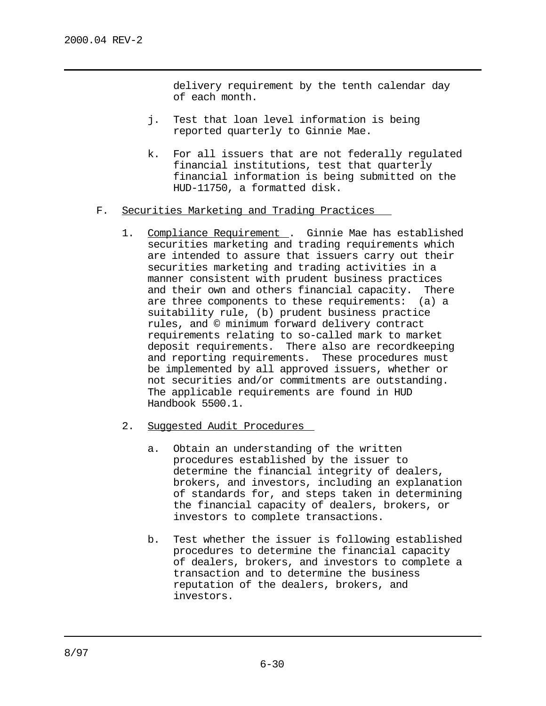delivery requirement by the tenth calendar day of each month.

- j. Test that loan level information is being reported quarterly to Ginnie Mae.
- k. For all issuers that are not federally regulated financial institutions, test that quarterly financial information is being submitted on the HUD-11750, a formatted disk.
- F. Securities Marketing and Trading Practices
	- 1. Compliance Requirement . Ginnie Mae has established securities marketing and trading requirements which are intended to assure that issuers carry out their securities marketing and trading activities in a manner consistent with prudent business practices and their own and others financial capacity. There are three components to these requirements: (a) a suitability rule, (b) prudent business practice rules, and © minimum forward delivery contract requirements relating to so-called mark to market deposit requirements. There also are recordkeeping and reporting requirements. These procedures must be implemented by all approved issuers, whether or not securities and/or commitments are outstanding. The applicable requirements are found in HUD Handbook 5500.1.
	- 2. Suggested Audit Procedures
		- a. Obtain an understanding of the written procedures established by the issuer to determine the financial integrity of dealers, brokers, and investors, including an explanation of standards for, and steps taken in determining the financial capacity of dealers, brokers, or investors to complete transactions.
		- b. Test whether the issuer is following established procedures to determine the financial capacity of dealers, brokers, and investors to complete a transaction and to determine the business reputation of the dealers, brokers, and investors.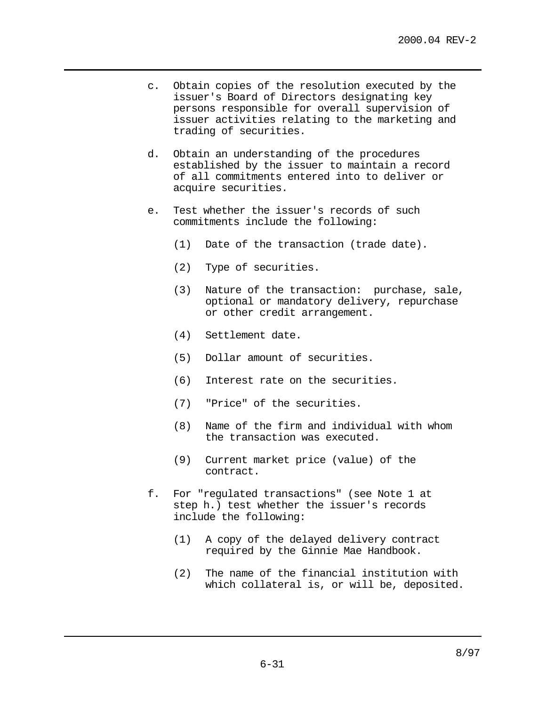- c. Obtain copies of the resolution executed by the issuer's Board of Directors designating key persons responsible for overall supervision of issuer activities relating to the marketing and trading of securities.
- d. Obtain an understanding of the procedures established by the issuer to maintain a record of all commitments entered into to deliver or acquire securities.
- e. Test whether the issuer's records of such commitments include the following:
	- (1) Date of the transaction (trade date).
	- (2) Type of securities.
	- (3) Nature of the transaction: purchase, sale, optional or mandatory delivery, repurchase or other credit arrangement.
	- (4) Settlement date.
	- (5) Dollar amount of securities.
	- (6) Interest rate on the securities.
	- (7) "Price" of the securities.
	- (8) Name of the firm and individual with whom the transaction was executed.
	- (9) Current market price (value) of the contract.
- f. For "regulated transactions" (see Note 1 at step h.) test whether the issuer's records include the following:
	- (1) A copy of the delayed delivery contract required by the Ginnie Mae Handbook.
	- (2) The name of the financial institution with which collateral is, or will be, deposited.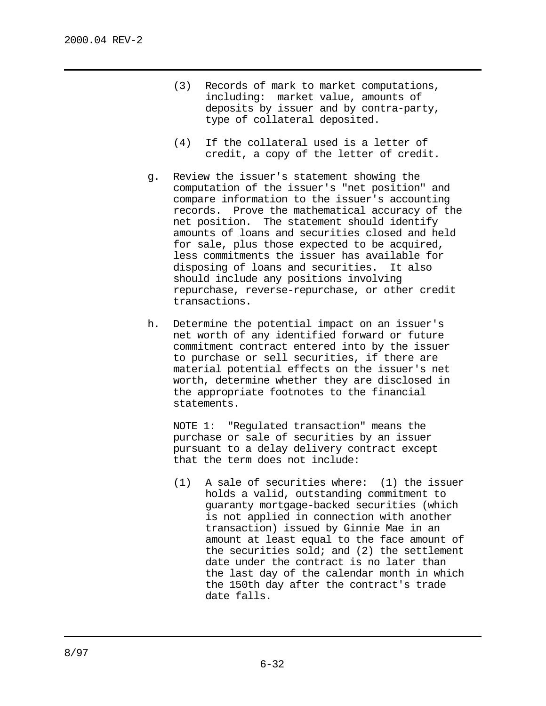- (3) Records of mark to market computations, including: market value, amounts of deposits by issuer and by contra-party, type of collateral deposited.
- (4) If the collateral used is a letter of credit, a copy of the letter of credit.
- g. Review the issuer's statement showing the computation of the issuer's "net position" and compare information to the issuer's accounting records. Prove the mathematical accuracy of the net position. The statement should identify amounts of loans and securities closed and held for sale, plus those expected to be acquired, less commitments the issuer has available for disposing of loans and securities. It also should include any positions involving repurchase, reverse-repurchase, or other credit transactions.
- h. Determine the potential impact on an issuer's net worth of any identified forward or future commitment contract entered into by the issuer to purchase or sell securities, if there are material potential effects on the issuer's net worth, determine whether they are disclosed in the appropriate footnotes to the financial statements.

NOTE 1: "Regulated transaction" means the purchase or sale of securities by an issuer pursuant to a delay delivery contract except that the term does not include:

(1) A sale of securities where: (1) the issuer holds a valid, outstanding commitment to guaranty mortgage-backed securities (which is not applied in connection with another transaction) issued by Ginnie Mae in an amount at least equal to the face amount of the securities sold; and (2) the settlement date under the contract is no later than the last day of the calendar month in which the 150th day after the contract's trade date falls.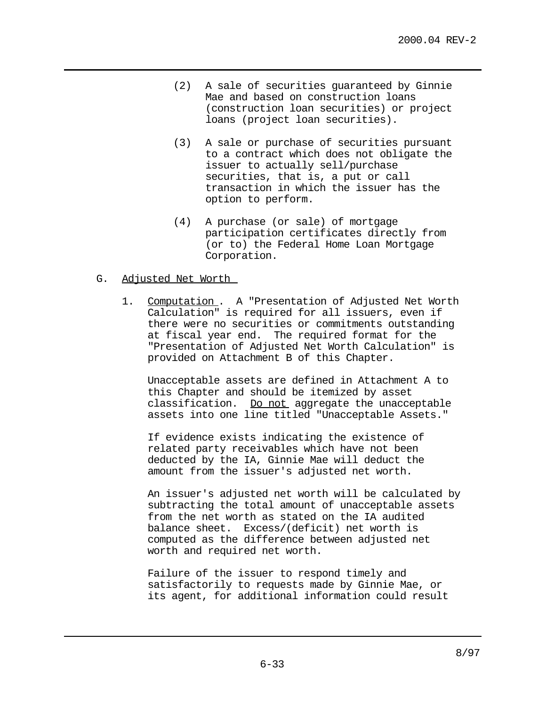- (2) A sale of securities guaranteed by Ginnie Mae and based on construction loans (construction loan securities) or project loans (project loan securities).
- (3) A sale or purchase of securities pursuant to a contract which does not obligate the issuer to actually sell/purchase securities, that is, a put or call transaction in which the issuer has the option to perform.
- (4) A purchase (or sale) of mortgage participation certificates directly from (or to) the Federal Home Loan Mortgage Corporation.
- G. Adjusted Net Worth
	- 1. Computation . A "Presentation of Adjusted Net Worth Calculation" is required for all issuers, even if there were no securities or commitments outstanding at fiscal year end. The required format for the "Presentation of Adjusted Net Worth Calculation" is provided on Attachment B of this Chapter.

Unacceptable assets are defined in Attachment A to this Chapter and should be itemized by asset classification. Do not aggregate the unacceptable assets into one line titled "Unacceptable Assets."

If evidence exists indicating the existence of related party receivables which have not been deducted by the IA, Ginnie Mae will deduct the amount from the issuer's adjusted net worth.

An issuer's adjusted net worth will be calculated by subtracting the total amount of unacceptable assets from the net worth as stated on the IA audited balance sheet. Excess/(deficit) net worth is computed as the difference between adjusted net worth and required net worth.

Failure of the issuer to respond timely and satisfactorily to requests made by Ginnie Mae, or its agent, for additional information could result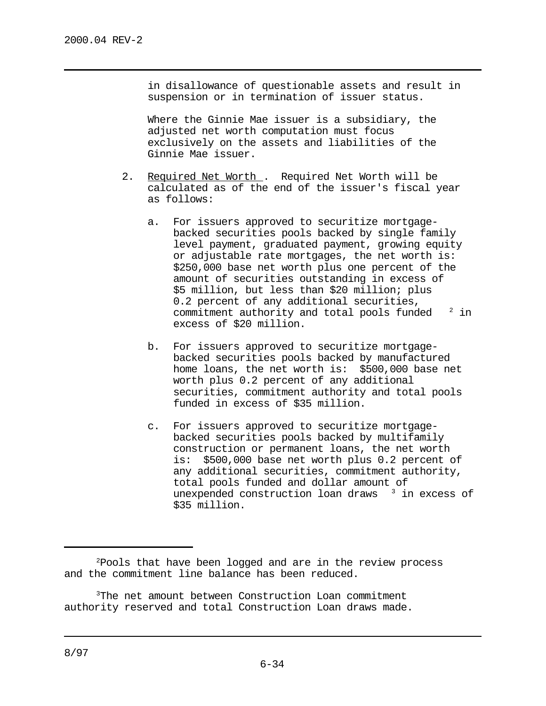in disallowance of questionable assets and result in suspension or in termination of issuer status.

Where the Ginnie Mae issuer is a subsidiary, the adjusted net worth computation must focus exclusively on the assets and liabilities of the Ginnie Mae issuer.

- 2. Required Net Worth . Required Net Worth will be calculated as of the end of the issuer's fiscal year as follows:
	- a. For issuers approved to securitize mortgagebacked securities pools backed by single family level payment, graduated payment, growing equity or adjustable rate mortgages, the net worth is: \$250,000 base net worth plus one percent of the amount of securities outstanding in excess of \$5 million, but less than \$20 million; plus 0.2 percent of any additional securities, commitment authority and total pools funded  $2$  in excess of \$20 million.
	- b. For issuers approved to securitize mortgagebacked securities pools backed by manufactured home loans, the net worth is: \$500,000 base net worth plus 0.2 percent of any additional securities, commitment authority and total pools funded in excess of \$35 million.
	- c. For issuers approved to securitize mortgagebacked securities pools backed by multifamily construction or permanent loans, the net worth is: \$500,000 base net worth plus 0.2 percent of any additional securities, commitment authority, total pools funded and dollar amount of unexpended construction loan draws  $3$  in excess of \$35 million.

 $P$ Pools that have been logged and are in the review process and the commitment line balance has been reduced.

<sup>&</sup>lt;sup>3</sup>The net amount between Construction Loan commitment authority reserved and total Construction Loan draws made.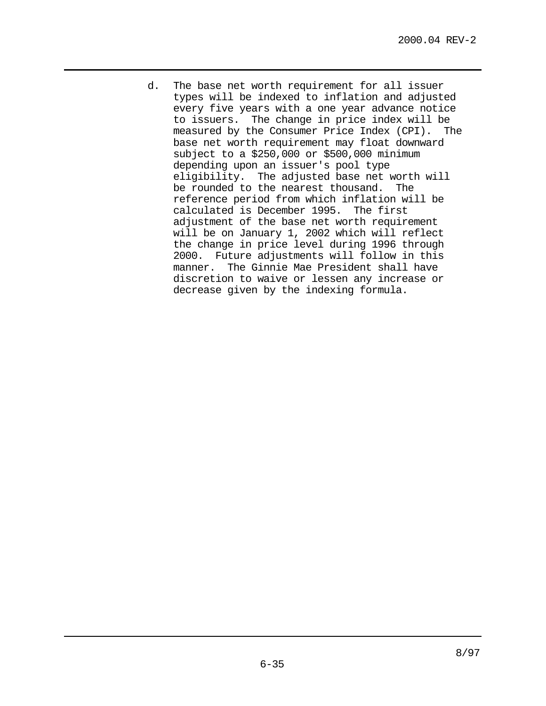d. The base net worth requirement for all issuer types will be indexed to inflation and adjusted every five years with a one year advance notice to issuers. The change in price index will be measured by the Consumer Price Index (CPI). The base net worth requirement may float downward subject to a \$250,000 or \$500,000 minimum depending upon an issuer's pool type eligibility. The adjusted base net worth will be rounded to the nearest thousand. The reference period from which inflation will be calculated is December 1995. The first adjustment of the base net worth requirement will be on January 1, 2002 which will reflect the change in price level during 1996 through 2000. Future adjustments will follow in this manner. The Ginnie Mae President shall have discretion to waive or lessen any increase or decrease given by the indexing formula.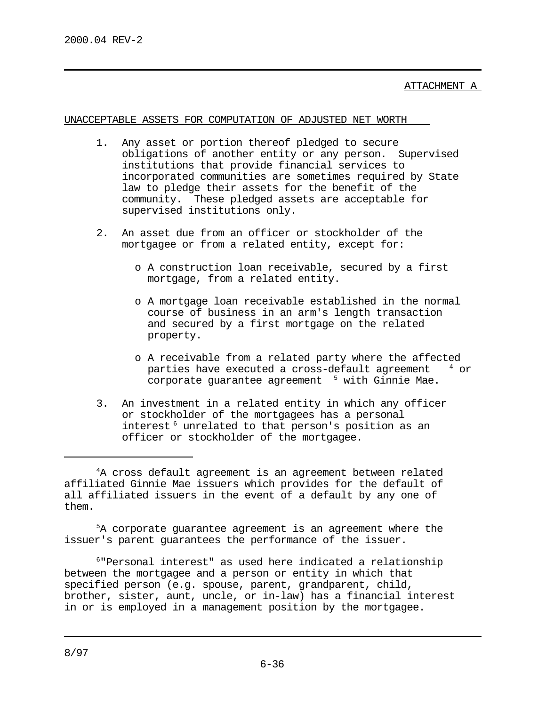ATTACHMENT A

UNACCEPTABLE ASSETS FOR COMPUTATION OF ADJUSTED NET WORTH

- 1. Any asset or portion thereof pledged to secure obligations of another entity or any person. Supervised institutions that provide financial services to incorporated communities are sometimes required by State law to pledge their assets for the benefit of the community. These pledged assets are acceptable for supervised institutions only.
- 2. An asset due from an officer or stockholder of the mortgagee or from a related entity, except for:
	- o A construction loan receivable, secured by a first mortgage, from a related entity.
	- o A mortgage loan receivable established in the normal course of business in an arm's length transaction and secured by a first mortgage on the related property.
	- o A receivable from a related party where the affected parties have executed a cross-default agreement  $4$  or corporate guarantee agreement  $5$  with Ginnie Mae.
- 3. An investment in a related entity in which any officer or stockholder of the mortgagees has a personal interest<sup>6</sup> unrelated to that person's position as an officer or stockholder of the mortgagee.

 $5A$  corporate guarantee agreement is an agreement where the issuer's parent guarantees the performance of the issuer.

 $6$ "Personal interest" as used here indicated a relationship between the mortgagee and a person or entity in which that specified person (e.g. spouse, parent, grandparent, child, brother, sister, aunt, uncle, or in-law) has a financial interest in or is employed in a management position by the mortgagee.

 $4A$  cross default agreement is an agreement between related affiliated Ginnie Mae issuers which provides for the default of all affiliated issuers in the event of a default by any one of them.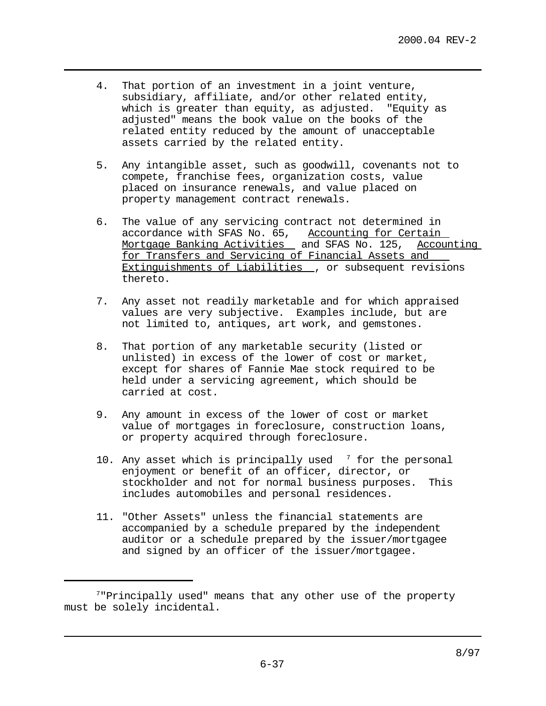- 4. That portion of an investment in a joint venture, subsidiary, affiliate, and/or other related entity, which is greater than equity, as adjusted. "Equity as adjusted" means the book value on the books of the related entity reduced by the amount of unacceptable assets carried by the related entity.
- 5. Any intangible asset, such as goodwill, covenants not to compete, franchise fees, organization costs, value placed on insurance renewals, and value placed on property management contract renewals.
- 6. The value of any servicing contract not determined in accordance with SFAS No. 65, Accounting for Certain Mortgage Banking Activities and SFAS No. 125, Accounting for Transfers and Servicing of Financial Assets and Extinguishments of Liabilities , or subsequent revisions thereto.
- 7. Any asset not readily marketable and for which appraised values are very subjective. Examples include, but are not limited to, antiques, art work, and gemstones.
- 8. That portion of any marketable security (listed or unlisted) in excess of the lower of cost or market, except for shares of Fannie Mae stock required to be held under a servicing agreement, which should be carried at cost.
- 9. Any amount in excess of the lower of cost or market value of mortgages in foreclosure, construction loans, or property acquired through foreclosure.
- 10. Any asset which is principally used  $\frac{7}{7}$  for the personal enjoyment or benefit of an officer, director, or stockholder and not for normal business purposes. This includes automobiles and personal residences.
- 11. "Other Assets" unless the financial statements are accompanied by a schedule prepared by the independent auditor or a schedule prepared by the issuer/mortgagee and signed by an officer of the issuer/mortgagee.

 $7$ "Principally used" means that any other use of the property must be solely incidental.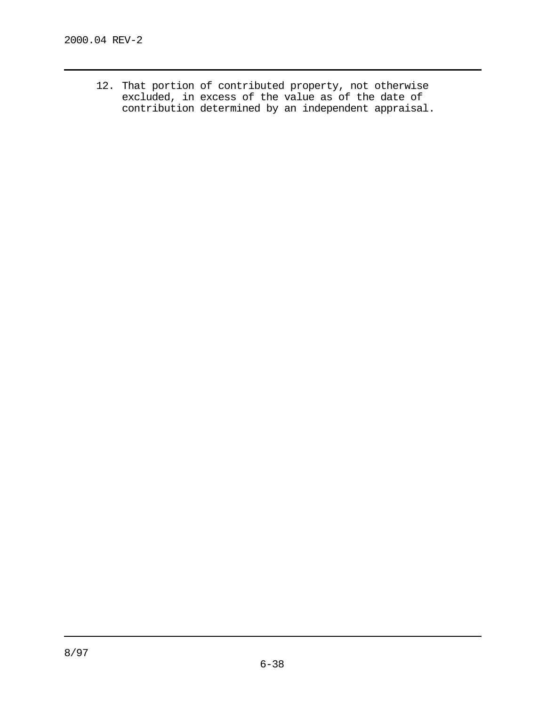12. That portion of contributed property, not otherwise excluded, in excess of the value as of the date of contribution determined by an independent appraisal.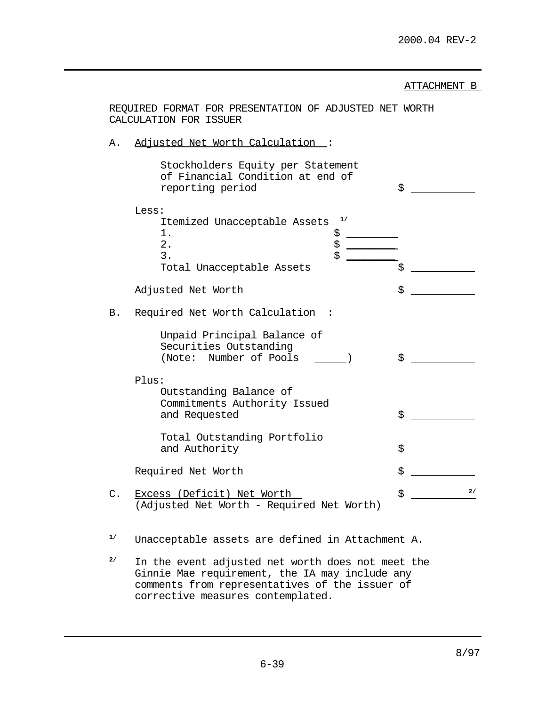ATTACHMENT B

|                                       | REQUIRED FORMAT FOR PRESENTATION OF ADJUSTED NET WORTH<br>CALCULATION FOR ISSUER                     |          |  |  |
|---------------------------------------|------------------------------------------------------------------------------------------------------|----------|--|--|
| Adjusted Net Worth Calculation:<br>Α. |                                                                                                      |          |  |  |
|                                       | Stockholders Equity per Statement<br>of Financial Condition at end of<br>reporting period            | \$       |  |  |
|                                       | Less:<br>1/<br>Itemized Unacceptable Assets<br>$1$ .<br>ななさ<br>2.<br>3.<br>Total Unacceptable Assets | \$       |  |  |
|                                       | Adjusted Net Worth                                                                                   | \$       |  |  |
| В.                                    | Required Net Worth Calculation :                                                                     |          |  |  |
|                                       | Unpaid Principal Balance of<br>Securities Outstanding<br>(Note: Number of Pools                      | \$       |  |  |
|                                       | Plus:<br>Outstanding Balance of<br>Commitments Authority Issued<br>and Requested                     | \$       |  |  |
|                                       | Total Outstanding Portfolio<br>and Authority                                                         | \$       |  |  |
|                                       | Required Net Worth                                                                                   | \$       |  |  |
| $\mathsf{C}$ .                        | Excess (Deficit) Net Worth<br>(Adjusted Net Worth - Required Net Worth)                              | 2/<br>\$ |  |  |
| 1/                                    | Unacceptable assets are defined in Attachment A.                                                     |          |  |  |

<sup>2/</sup> In the event adjusted net worth does not meet the Ginnie Mae requirement, the IA may include any comments from representatives of the issuer of corrective measures contemplated.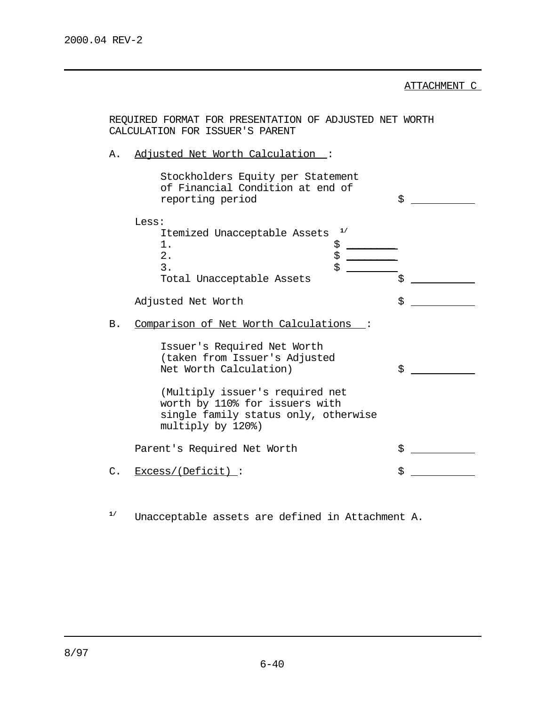ATTACHMENT C

|    | REQUIRED FORMAT FOR PRESENTATION OF ADJUSTED NET WORTH<br>CALCULATION FOR ISSUER'S PARENT                                        |    |
|----|----------------------------------------------------------------------------------------------------------------------------------|----|
| Α. | Adjusted Net Worth Calculation :                                                                                                 |    |
|    | Stockholders Equity per Statement<br>of Financial Condition at end of<br>reporting period                                        | \$ |
|    | Less:<br>1/<br>Itemized Unacceptable Assets<br>1.<br>\$<br>\$<br>2.<br>\$<br>3.                                                  |    |
|    | Total Unacceptable Assets                                                                                                        | \$ |
|    | Adjusted Net Worth                                                                                                               | \$ |
| Β. | Comparison of Net Worth Calculations :<br>Issuer's Required Net Worth<br>(taken from Issuer's Adjusted<br>Net Worth Calculation) | \$ |
|    | (Multiply issuer's required net<br>worth by 110% for issuers with<br>single family status only, otherwise<br>multiply by 120%)   |    |
|    | Parent's Required Net Worth                                                                                                      | \$ |
| C. | <u>Excess/(Deficit)</u> :                                                                                                        | \$ |

Unacceptable assets are defined in Attachment A. **1/**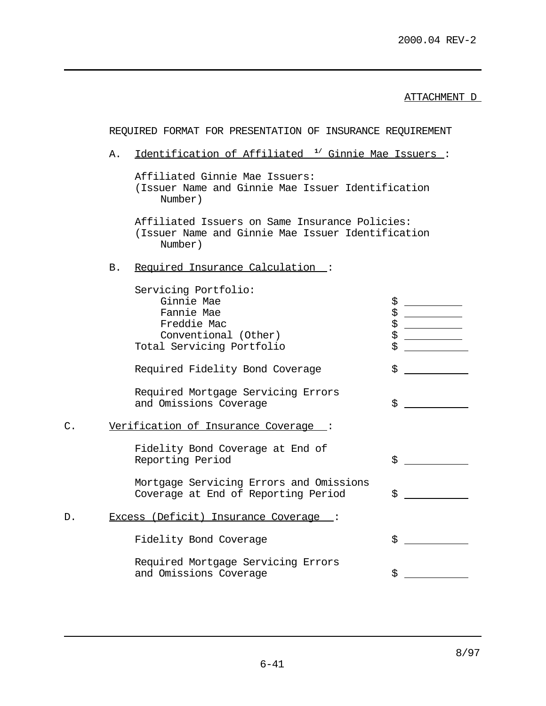ATTACHMENT D

|    |    | REQUIRED FORMAT FOR PRESENTATION OF INSURANCE REQUIREMENT                                                            |                      |
|----|----|----------------------------------------------------------------------------------------------------------------------|----------------------|
|    | Α. | Identification of Affiliated <sup>1</sup> / Ginnie Mae Issuers:                                                      |                      |
|    |    | Affiliated Ginnie Mae Issuers:<br>(Issuer Name and Ginnie Mae Issuer Identification<br>Number)                       |                      |
|    |    | Affiliated Issuers on Same Insurance Policies:<br>(Issuer Name and Ginnie Mae Issuer Identification<br>Number)       |                      |
|    | B. | Required Insurance Calculation:                                                                                      |                      |
|    |    | Servicing Portfolio:<br>Ginnie Mae<br>Fannie Mae<br>Freddie Mac<br>Conventional (Other)<br>Total Servicing Portfolio | \$<br>\$<br>\$<br>\$ |
|    |    | Required Fidelity Bond Coverage                                                                                      | \$                   |
|    |    | Required Mortgage Servicing Errors<br>and Omissions Coverage                                                         | \$                   |
| C. |    | Verification of Insurance Coverage :                                                                                 |                      |
|    |    | Fidelity Bond Coverage at End of<br>Reporting Period                                                                 | \$                   |
|    |    | Mortgage Servicing Errors and Omissions<br>Coverage at End of Reporting Period                                       | \$.                  |
| D. |    | Excess (Deficit) Insurance Coverage :                                                                                |                      |
|    |    | Fidelity Bond Coverage                                                                                               | \$                   |
|    |    | Required Mortgage Servicing Errors<br>and Omissions Coverage                                                         | \$                   |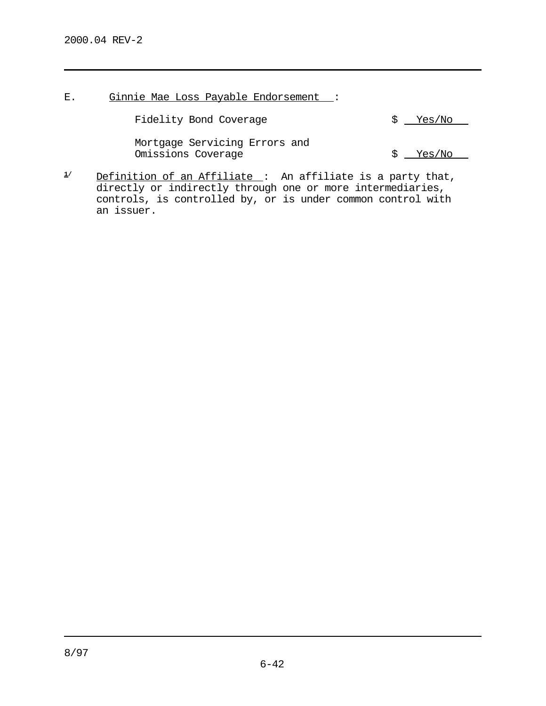E. Ginnie Mae Loss Payable Endorsement :

Fidelity Bond Coverage  $\frac{1}{2}$   $\frac{1}{2}$   $\frac{1}{2}$   $\frac{1}{2}$   $\frac{1}{2}$   $\frac{1}{2}$   $\frac{1}{2}$   $\frac{1}{2}$   $\frac{1}{2}$   $\frac{1}{2}$   $\frac{1}{2}$   $\frac{1}{2}$   $\frac{1}{2}$   $\frac{1}{2}$   $\frac{1}{2}$   $\frac{1}{2}$   $\frac{1}{2}$   $\frac{1}{2}$   $\frac{1}{2}$   $\frac{1}{2}$ 

Mortgage Servicing Errors and Omissions Coverage  $\frac{1}{2}$   $\frac{1}{2}$   $\frac{1}{2}$   $\frac{1}{2}$   $\frac{1}{2}$   $\frac{1}{2}$   $\frac{1}{2}$   $\frac{1}{2}$   $\frac{1}{2}$   $\frac{1}{2}$   $\frac{1}{2}$   $\frac{1}{2}$   $\frac{1}{2}$   $\frac{1}{2}$   $\frac{1}{2}$   $\frac{1}{2}$   $\frac{1}{2}$   $\frac{1}{2}$   $\frac{1}{2}$   $\frac{1}{2}$   $\frac$ 

1/ Definition of an Affiliate : An affiliate is a party that, directly or indirectly through one or more intermediaries, controls, is controlled by, or is under common control with an issuer.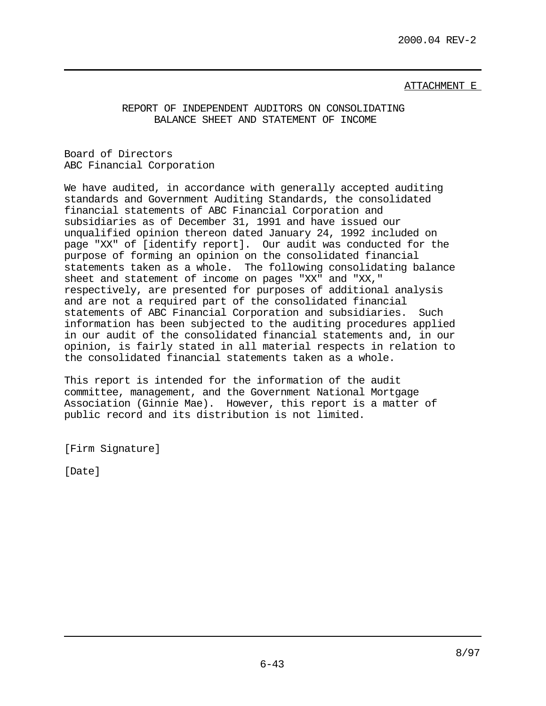### ATTACHMENT E

REPORT OF INDEPENDENT AUDITORS ON CONSOLIDATING BALANCE SHEET AND STATEMENT OF INCOME

Board of Directors ABC Financial Corporation

We have audited, in accordance with generally accepted auditing standards and Government Auditing Standards, the consolidated financial statements of ABC Financial Corporation and subsidiaries as of December 31, 1991 and have issued our unqualified opinion thereon dated January 24, 1992 included on page "XX" of [identify report]. Our audit was conducted for the purpose of forming an opinion on the consolidated financial statements taken as a whole. The following consolidating balance sheet and statement of income on pages "XX" and "XX," respectively, are presented for purposes of additional analysis and are not a required part of the consolidated financial statements of ABC Financial Corporation and subsidiaries. Such information has been subjected to the auditing procedures applied in our audit of the consolidated financial statements and, in our opinion, is fairly stated in all material respects in relation to the consolidated financial statements taken as a whole.

This report is intended for the information of the audit committee, management, and the Government National Mortgage Association (Ginnie Mae). However, this report is a matter of public record and its distribution is not limited.

[Firm Signature]

[Date]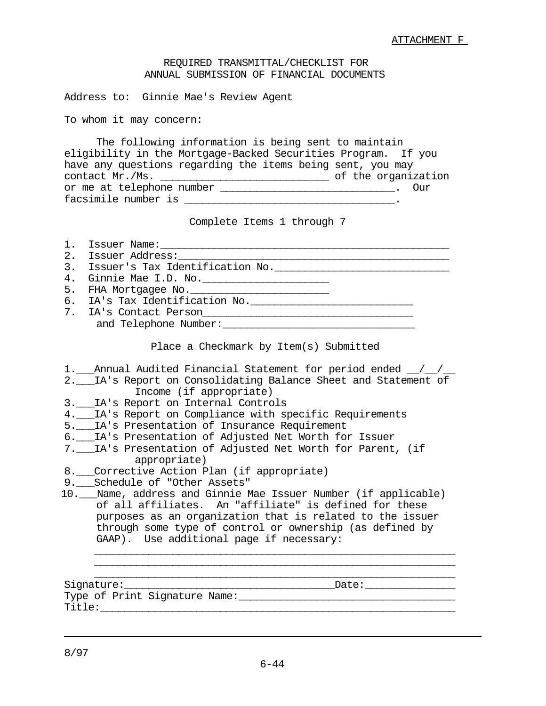#### REQUIRED TRANSMITTAL/CHECKLIST FOR ANNUAL SUBMISSION OF FINANCIAL DOCUMENTS

Address to: Ginnie Mae's Review Agent

To whom it may concern:

| The following information is being sent to maintain           |  |  |                     |
|---------------------------------------------------------------|--|--|---------------------|
| eligibility in the Mortgage-Backed Securities Program. If you |  |  |                     |
| have any questions regarding the items being sent, you may    |  |  |                     |
| contact Mr./Ms.                                               |  |  | of the organization |
| or me at telephone number                                     |  |  | – Our               |
| facsimile number is                                           |  |  |                     |

Complete Items 1 through 7

| $1$ . |                                                                |  |  |  |
|-------|----------------------------------------------------------------|--|--|--|
|       |                                                                |  |  |  |
|       | 3. Issuer's Tax Identification No.                             |  |  |  |
| 4.    | Ginnie Mae I.D. No. ________________________                   |  |  |  |
| 5.    |                                                                |  |  |  |
|       |                                                                |  |  |  |
|       | 7. IA's Contact Person<br>1. Ta's Contact Person               |  |  |  |
|       |                                                                |  |  |  |
|       |                                                                |  |  |  |
|       | Place a Checkmark by Item(s) Submitted                         |  |  |  |
|       |                                                                |  |  |  |
|       | 1. Annual Audited Financial Statement for period ended 1/2/20  |  |  |  |
|       | 2. IA's Report on Consolidating Balance Sheet and Statement of |  |  |  |
|       | Income (if appropriate)                                        |  |  |  |
|       | 3. IA's Report on Internal Controls                            |  |  |  |
|       | 4. IA's Report on Compliance with specific Requirements        |  |  |  |
|       | 5. IA's Presentation of Insurance Requirement                  |  |  |  |
|       | 6. IA's Presentation of Adjusted Net Worth for Issuer          |  |  |  |
|       | 7. IA's Presentation of Adjusted Net Worth for Parent, (if     |  |  |  |

|  |  |  |  |  | 8. Corrective Action Plan (if appropriate) |  |
|--|--|--|--|--|--------------------------------------------|--|
|--|--|--|--|--|--------------------------------------------|--|

- 9.\_\_\_Schedule of "Other Assets"
- 10.\_\_\_Name, address and Ginnie Mae Issuer Number (if applicable) of all affiliates. An "affiliate" is defined for these purposes as an organization that is related to the issuer through some type of control or ownership (as defined by GAAP). Use additional page if necessary:  $\overline{\phantom{a}}$  ,  $\overline{\phantom{a}}$  ,  $\overline{\phantom{a}}$  ,  $\overline{\phantom{a}}$  ,  $\overline{\phantom{a}}$  ,  $\overline{\phantom{a}}$  ,  $\overline{\phantom{a}}$  ,  $\overline{\phantom{a}}$  ,  $\overline{\phantom{a}}$  ,  $\overline{\phantom{a}}$  ,  $\overline{\phantom{a}}$  ,  $\overline{\phantom{a}}$  ,  $\overline{\phantom{a}}$  ,  $\overline{\phantom{a}}$  ,  $\overline{\phantom{a}}$  ,  $\overline{\phantom{a}}$

 $\overline{\phantom{a}}$  ,  $\overline{\phantom{a}}$  ,  $\overline{\phantom{a}}$  ,  $\overline{\phantom{a}}$  ,  $\overline{\phantom{a}}$  ,  $\overline{\phantom{a}}$  ,  $\overline{\phantom{a}}$  ,  $\overline{\phantom{a}}$  ,  $\overline{\phantom{a}}$  ,  $\overline{\phantom{a}}$  ,  $\overline{\phantom{a}}$  ,  $\overline{\phantom{a}}$  ,  $\overline{\phantom{a}}$  ,  $\overline{\phantom{a}}$  ,  $\overline{\phantom{a}}$  ,  $\overline{\phantom{a}}$ Signature:\_\_\_\_\_\_\_\_\_\_\_\_\_\_\_\_\_\_\_\_\_\_\_\_\_\_\_\_\_\_\_\_\_\_\_Date:\_\_\_\_\_\_\_\_\_\_\_\_\_\_\_ Type of Print Signature Name:\_\_\_\_\_\_\_\_\_\_\_\_\_\_\_\_\_\_\_\_\_\_\_\_\_\_\_\_\_\_\_\_\_\_\_\_  $\verb+Title+ = \textcolor{red}{\textbf{1}}$ 

 $\overline{\phantom{a}}$  ,  $\overline{\phantom{a}}$  ,  $\overline{\phantom{a}}$  ,  $\overline{\phantom{a}}$  ,  $\overline{\phantom{a}}$  ,  $\overline{\phantom{a}}$  ,  $\overline{\phantom{a}}$  ,  $\overline{\phantom{a}}$  ,  $\overline{\phantom{a}}$  ,  $\overline{\phantom{a}}$  ,  $\overline{\phantom{a}}$  ,  $\overline{\phantom{a}}$  ,  $\overline{\phantom{a}}$  ,  $\overline{\phantom{a}}$  ,  $\overline{\phantom{a}}$  ,  $\overline{\phantom{a}}$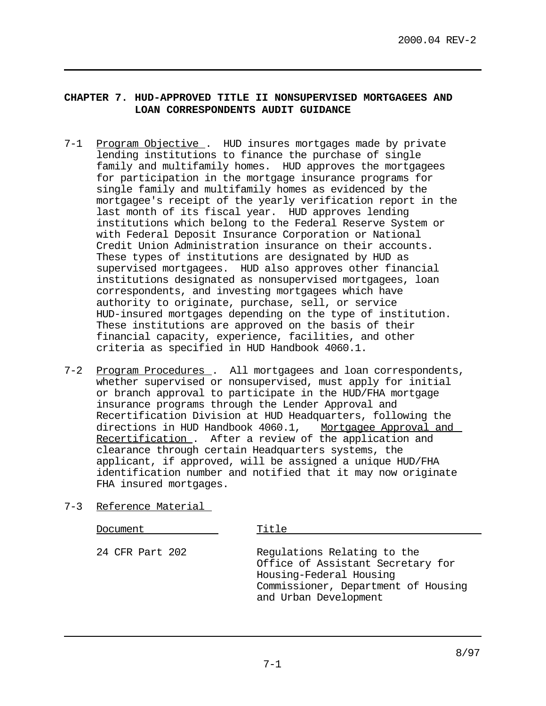## **CHAPTER 7. HUD-APPROVED TITLE II NONSUPERVISED MORTGAGEES AND LOAN CORRESPONDENTS AUDIT GUIDANCE**

- 7-1 Program Objective . HUD insures mortgages made by private lending institutions to finance the purchase of single family and multifamily homes. HUD approves the mortgagees for participation in the mortgage insurance programs for single family and multifamily homes as evidenced by the mortgagee's receipt of the yearly verification report in the last month of its fiscal year. HUD approves lending institutions which belong to the Federal Reserve System or with Federal Deposit Insurance Corporation or National Credit Union Administration insurance on their accounts. These types of institutions are designated by HUD as supervised mortgagees. HUD also approves other financial institutions designated as nonsupervised mortgagees, loan correspondents, and investing mortgagees which have authority to originate, purchase, sell, or service HUD-insured mortgages depending on the type of institution. These institutions are approved on the basis of their financial capacity, experience, facilities, and other criteria as specified in HUD Handbook 4060.1.
- 7-2 Program Procedures. All mortgagees and loan correspondents, whether supervised or nonsupervised, must apply for initial or branch approval to participate in the HUD/FHA mortgage insurance programs through the Lender Approval and Recertification Division at HUD Headquarters, following the directions in HUD Handbook 4060.1, Mortgagee Approval and Recertification . After a review of the application and clearance through certain Headquarters systems, the applicant, if approved, will be assigned a unique HUD/FHA identification number and notified that it may now originate FHA insured mortgages.
- 7-3 Reference Material

| Document        | Title                                                                                                                                                       |  |  |  |
|-----------------|-------------------------------------------------------------------------------------------------------------------------------------------------------------|--|--|--|
| 24 CFR Part 202 | Regulations Relating to the<br>Office of Assistant Secretary for<br>Housing-Federal Housing<br>Commissioner, Department of Housing<br>and Urban Development |  |  |  |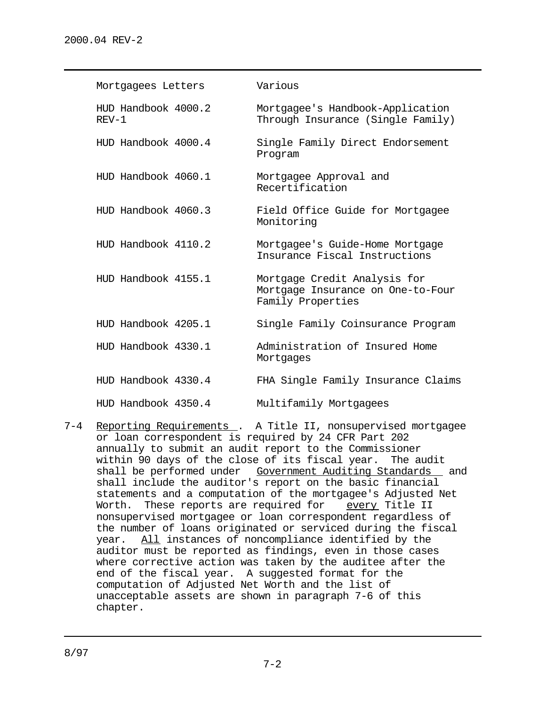| Mortgagees Letters             | Various                                                                                |
|--------------------------------|----------------------------------------------------------------------------------------|
| HUD Handbook 4000.2<br>$REV-1$ | Mortgagee's Handbook-Application<br>Through Insurance (Single Family)                  |
| HUD Handbook 4000.4            | Single Family Direct Endorsement<br>Program                                            |
| HUD Handbook 4060.1            | Mortgagee Approval and<br>Recertification                                              |
| HUD Handbook 4060.3            | Field Office Guide for Mortgagee<br>Monitoring                                         |
| HUD Handbook 4110.2            | Mortgagee's Guide-Home Mortgage<br>Insurance Fiscal Instructions                       |
| HUD Handbook 4155.1            | Mortgage Credit Analysis for<br>Mortgage Insurance on One-to-Four<br>Family Properties |
| HUD Handbook 4205.1            | Single Family Coinsurance Program                                                      |
| HUD Handbook 4330.1            | Administration of Insured Home<br>Mortgages                                            |
| HUD Handbook 4330.4            | FHA Single Family Insurance Claims                                                     |
| HUD Handbook 4350.4            | Multifamily Mortgagees                                                                 |

7-4 Reporting Requirements . A Title II, nonsupervised mortgagee or loan correspondent is required by 24 CFR Part 202 annually to submit an audit report to the Commissioner within 90 days of the close of its fiscal year. The audit shall be performed under Government Auditing Standards and shall include the auditor's report on the basic financial statements and a computation of the mortgagee's Adjusted Net Worth. These reports are required for every Title II nonsupervised mortgagee or loan correspondent regardless of the number of loans originated or serviced during the fiscal year. All instances of noncompliance identified by the auditor must be reported as findings, even in those cases where corrective action was taken by the auditee after the end of the fiscal year. A suggested format for the computation of Adjusted Net Worth and the list of unacceptable assets are shown in paragraph 7-6 of this chapter.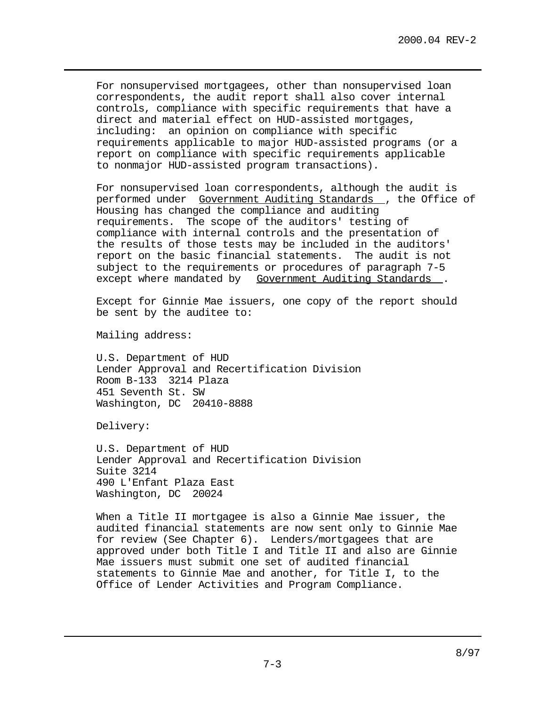For nonsupervised mortgagees, other than nonsupervised loan correspondents, the audit report shall also cover internal controls, compliance with specific requirements that have a direct and material effect on HUD-assisted mortgages, including: an opinion on compliance with specific requirements applicable to major HUD-assisted programs (or a report on compliance with specific requirements applicable to nonmajor HUD-assisted program transactions).

For nonsupervised loan correspondents, although the audit is performed under Government Auditing Standards , the Office of Housing has changed the compliance and auditing requirements. The scope of the auditors' testing of compliance with internal controls and the presentation of the results of those tests may be included in the auditors' report on the basic financial statements. The audit is not subject to the requirements or procedures of paragraph 7-5 except where mandated by Government Auditing Standards.

Except for Ginnie Mae issuers, one copy of the report should be sent by the auditee to:

Mailing address:

U.S. Department of HUD Lender Approval and Recertification Division Room B-133 3214 Plaza 451 Seventh St. SW Washington, DC 20410-8888

Delivery:

U.S. Department of HUD Lender Approval and Recertification Division Suite 3214 490 L'Enfant Plaza East Washington, DC 20024

When a Title II mortgagee is also a Ginnie Mae issuer, the audited financial statements are now sent only to Ginnie Mae for review (See Chapter 6). Lenders/mortgagees that are approved under both Title I and Title II and also are Ginnie Mae issuers must submit one set of audited financial statements to Ginnie Mae and another, for Title I, to the Office of Lender Activities and Program Compliance.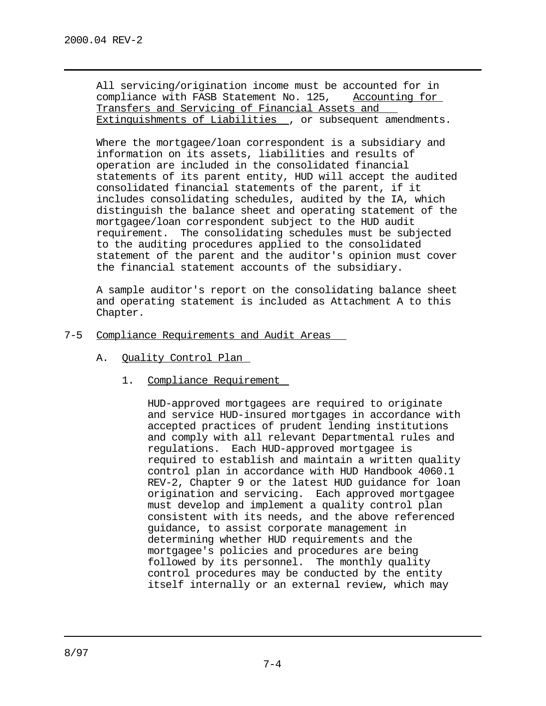All servicing/origination income must be accounted for in compliance with FASB Statement No. 125, Accounting for Transfers and Servicing of Financial Assets and Extinguishments of Liabilities , or subsequent amendments.

Where the mortgagee/loan correspondent is a subsidiary and information on its assets, liabilities and results of operation are included in the consolidated financial statements of its parent entity, HUD will accept the audited consolidated financial statements of the parent, if it includes consolidating schedules, audited by the IA, which distinguish the balance sheet and operating statement of the mortgagee/loan correspondent subject to the HUD audit requirement. The consolidating schedules must be subjected to the auditing procedures applied to the consolidated statement of the parent and the auditor's opinion must cover the financial statement accounts of the subsidiary.

A sample auditor's report on the consolidating balance sheet and operating statement is included as Attachment A to this Chapter.

- 7-5 Compliance Requirements and Audit Areas
	- A. Quality Control Plan
		- 1. Compliance Requirement

HUD-approved mortgagees are required to originate and service HUD-insured mortgages in accordance with accepted practices of prudent lending institutions and comply with all relevant Departmental rules and regulations. Each HUD-approved mortgagee is required to establish and maintain a written quality control plan in accordance with HUD Handbook 4060.1 REV-2, Chapter 9 or the latest HUD guidance for loan origination and servicing. Each approved mortgagee must develop and implement a quality control plan consistent with its needs, and the above referenced guidance, to assist corporate management in determining whether HUD requirements and the mortgagee's policies and procedures are being followed by its personnel. The monthly quality control procedures may be conducted by the entity itself internally or an external review, which may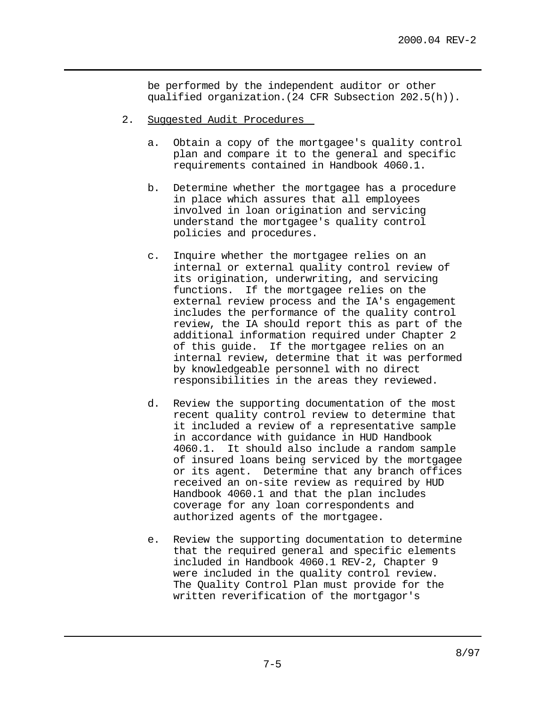be performed by the independent auditor or other qualified organization.(24 CFR Subsection 202.5(h)).

- 2. Suggested Audit Procedures
	- a. Obtain a copy of the mortgagee's quality control plan and compare it to the general and specific requirements contained in Handbook 4060.1.
	- b. Determine whether the mortgagee has a procedure in place which assures that all employees involved in loan origination and servicing understand the mortgagee's quality control policies and procedures.
	- c. Inquire whether the mortgagee relies on an internal or external quality control review of its origination, underwriting, and servicing functions. If the mortgagee relies on the external review process and the IA's engagement includes the performance of the quality control review, the IA should report this as part of the additional information required under Chapter 2 of this guide. If the mortgagee relies on an internal review, determine that it was performed by knowledgeable personnel with no direct responsibilities in the areas they reviewed.
	- d. Review the supporting documentation of the most recent quality control review to determine that it included a review of a representative sample in accordance with guidance in HUD Handbook 4060.1. It should also include a random sample of insured loans being serviced by the mortgagee or its agent. Determine that any branch offices received an on-site review as required by HUD Handbook 4060.1 and that the plan includes coverage for any loan correspondents and authorized agents of the mortgagee.
	- e. Review the supporting documentation to determine that the required general and specific elements included in Handbook 4060.1 REV-2, Chapter 9 were included in the quality control review. The Quality Control Plan must provide for the written reverification of the mortgagor's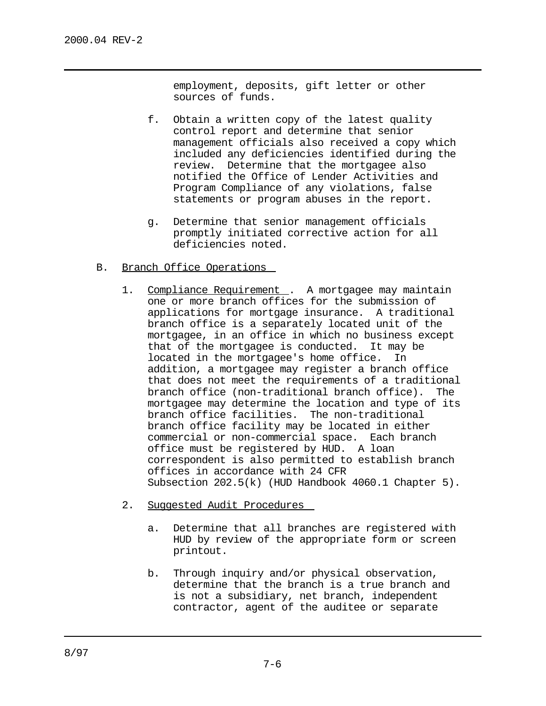employment, deposits, gift letter or other sources of funds.

- f. Obtain a written copy of the latest quality control report and determine that senior management officials also received a copy which included any deficiencies identified during the review. Determine that the mortgagee also notified the Office of Lender Activities and Program Compliance of any violations, false statements or program abuses in the report.
- g. Determine that senior management officials promptly initiated corrective action for all deficiencies noted.
- B. Branch Office Operations
	- 1. Compliance Requirement . A mortgagee may maintain one or more branch offices for the submission of applications for mortgage insurance. A traditional branch office is a separately located unit of the mortgagee, in an office in which no business except that of the mortgagee is conducted. It may be located in the mortgagee's home office. In addition, a mortgagee may register a branch office that does not meet the requirements of a traditional branch office (non-traditional branch office). The mortgagee may determine the location and type of its branch office facilities. The non-traditional branch office facility may be located in either commercial or non-commercial space. Each branch office must be registered by HUD. A loan correspondent is also permitted to establish branch offices in accordance with 24 CFR Subsection 202.5(k) (HUD Handbook 4060.1 Chapter 5).
	- 2. Suggested Audit Procedures
		- a. Determine that all branches are registered with HUD by review of the appropriate form or screen printout.
		- b. Through inquiry and/or physical observation, determine that the branch is a true branch and is not a subsidiary, net branch, independent contractor, agent of the auditee or separate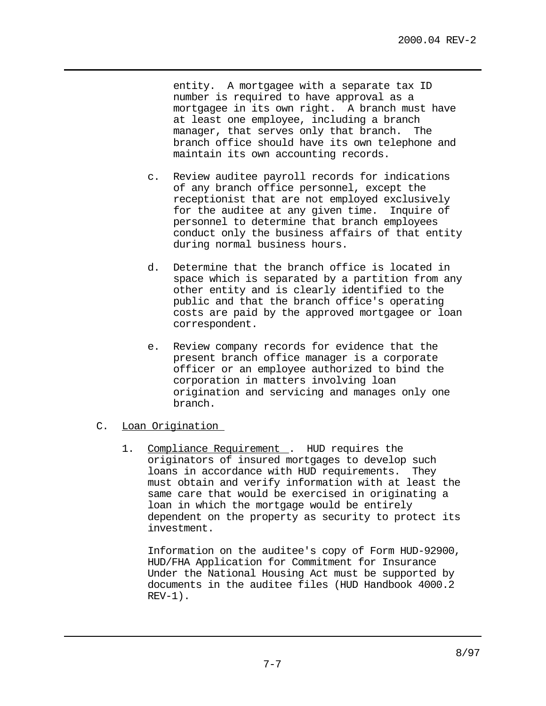entity. A mortgagee with a separate tax ID number is required to have approval as a mortgagee in its own right. A branch must have at least one employee, including a branch manager, that serves only that branch. The branch office should have its own telephone and maintain its own accounting records.

- c. Review auditee payroll records for indications of any branch office personnel, except the receptionist that are not employed exclusively for the auditee at any given time. Inquire of personnel to determine that branch employees conduct only the business affairs of that entity during normal business hours.
- d. Determine that the branch office is located in space which is separated by a partition from any other entity and is clearly identified to the public and that the branch office's operating costs are paid by the approved mortgagee or loan correspondent.
- e. Review company records for evidence that the present branch office manager is a corporate officer or an employee authorized to bind the corporation in matters involving loan origination and servicing and manages only one branch.

# C. Loan Origination

1. Compliance Requirement . HUD requires the originators of insured mortgages to develop such loans in accordance with HUD requirements. They must obtain and verify information with at least the same care that would be exercised in originating a loan in which the mortgage would be entirely dependent on the property as security to protect its investment.

Information on the auditee's copy of Form HUD-92900, HUD/FHA Application for Commitment for Insurance Under the National Housing Act must be supported by documents in the auditee files (HUD Handbook 4000.2  $REV-1)$ .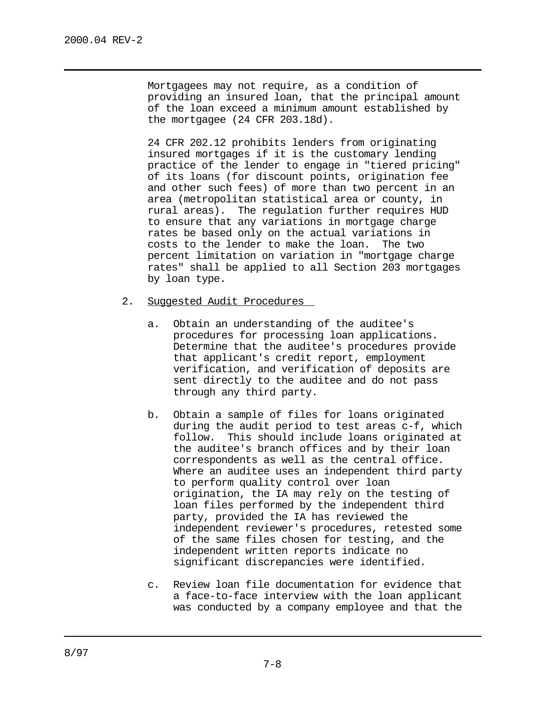Mortgagees may not require, as a condition of providing an insured loan, that the principal amount of the loan exceed a minimum amount established by the mortgagee (24 CFR 203.18d).

24 CFR 202.12 prohibits lenders from originating insured mortgages if it is the customary lending practice of the lender to engage in "tiered pricing" of its loans (for discount points, origination fee and other such fees) of more than two percent in an area (metropolitan statistical area or county, in rural areas). The regulation further requires HUD to ensure that any variations in mortgage charge rates be based only on the actual variations in costs to the lender to make the loan. The two percent limitation on variation in "mortgage charge rates" shall be applied to all Section 203 mortgages by loan type.

- 2. Suggested Audit Procedures
	- a. Obtain an understanding of the auditee's procedures for processing loan applications. Determine that the auditee's procedures provide that applicant's credit report, employment verification, and verification of deposits are sent directly to the auditee and do not pass through any third party.
	- b. Obtain a sample of files for loans originated during the audit period to test areas c-f, which follow. This should include loans originated at the auditee's branch offices and by their loan correspondents as well as the central office. Where an auditee uses an independent third party to perform quality control over loan origination, the IA may rely on the testing of loan files performed by the independent third party, provided the IA has reviewed the independent reviewer's procedures, retested some of the same files chosen for testing, and the independent written reports indicate no significant discrepancies were identified.
	- c. Review loan file documentation for evidence that a face-to-face interview with the loan applicant was conducted by a company employee and that the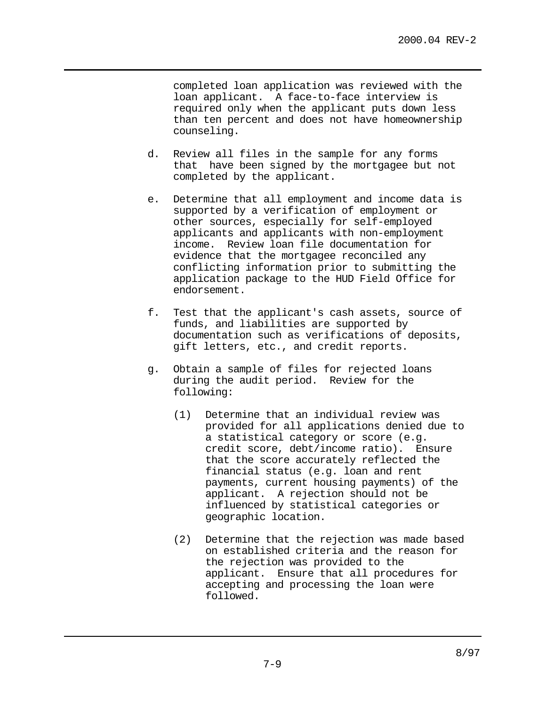completed loan application was reviewed with the loan applicant. A face-to-face interview is required only when the applicant puts down less than ten percent and does not have homeownership counseling.

- d. Review all files in the sample for any forms that have been signed by the mortgagee but not completed by the applicant.
- e. Determine that all employment and income data is supported by a verification of employment or other sources, especially for self-employed applicants and applicants with non-employment income. Review loan file documentation for evidence that the mortgagee reconciled any conflicting information prior to submitting the application package to the HUD Field Office for endorsement.
- f. Test that the applicant's cash assets, source of funds, and liabilities are supported by documentation such as verifications of deposits, gift letters, etc., and credit reports.
- g. Obtain a sample of files for rejected loans during the audit period. Review for the following:
	- (1) Determine that an individual review was provided for all applications denied due to a statistical category or score (e.g. credit score, debt/income ratio). Ensure that the score accurately reflected the financial status (e.g. loan and rent payments, current housing payments) of the applicant. A rejection should not be influenced by statistical categories or geographic location.
	- (2) Determine that the rejection was made based on established criteria and the reason for the rejection was provided to the applicant. Ensure that all procedures for accepting and processing the loan were followed.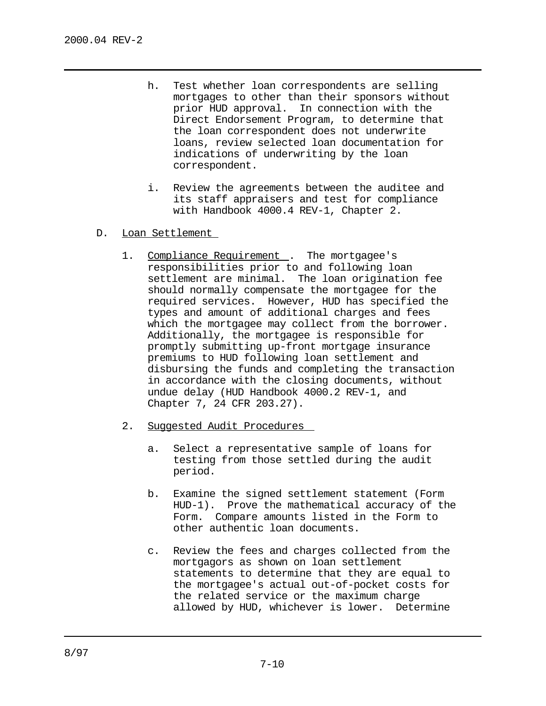- h. Test whether loan correspondents are selling mortgages to other than their sponsors without prior HUD approval. In connection with the Direct Endorsement Program, to determine that the loan correspondent does not underwrite loans, review selected loan documentation for indications of underwriting by the loan correspondent.
- i. Review the agreements between the auditee and its staff appraisers and test for compliance with Handbook 4000.4 REV-1, Chapter 2.
- D. Loan Settlement
	- 1. Compliance Requirement . The mortgagee's responsibilities prior to and following loan settlement are minimal. The loan origination fee should normally compensate the mortgagee for the required services. However, HUD has specified the types and amount of additional charges and fees which the mortgagee may collect from the borrower. Additionally, the mortgagee is responsible for promptly submitting up-front mortgage insurance premiums to HUD following loan settlement and disbursing the funds and completing the transaction in accordance with the closing documents, without undue delay (HUD Handbook 4000.2 REV-1, and Chapter 7, 24 CFR 203.27).
	- 2. Suggested Audit Procedures
		- a. Select a representative sample of loans for testing from those settled during the audit period.
		- b. Examine the signed settlement statement (Form HUD-1). Prove the mathematical accuracy of the Form. Compare amounts listed in the Form to other authentic loan documents.
		- c. Review the fees and charges collected from the mortgagors as shown on loan settlement statements to determine that they are equal to the mortgagee's actual out-of-pocket costs for the related service or the maximum charge allowed by HUD, whichever is lower. Determine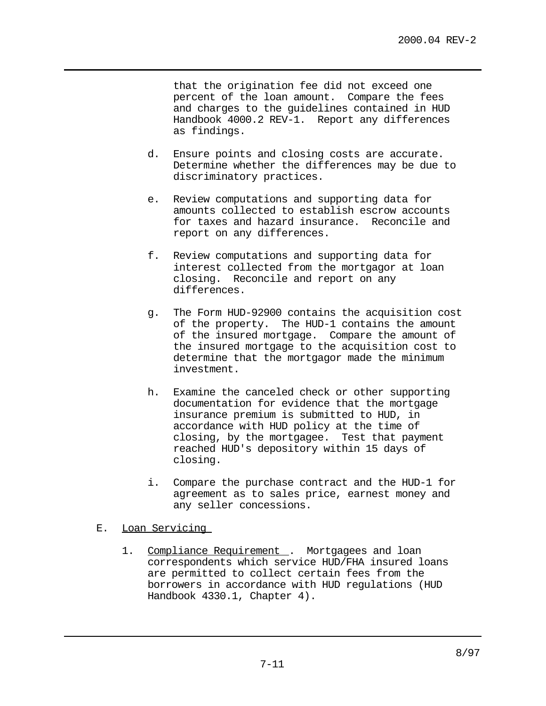that the origination fee did not exceed one percent of the loan amount. Compare the fees and charges to the guidelines contained in HUD Handbook 4000.2 REV-1. Report any differences as findings.

- d. Ensure points and closing costs are accurate. Determine whether the differences may be due to discriminatory practices.
- e. Review computations and supporting data for amounts collected to establish escrow accounts for taxes and hazard insurance. Reconcile and report on any differences.
- f. Review computations and supporting data for interest collected from the mortgagor at loan closing. Reconcile and report on any differences.
- g. The Form HUD-92900 contains the acquisition cost of the property. The HUD-1 contains the amount of the insured mortgage. Compare the amount of the insured mortgage to the acquisition cost to determine that the mortgagor made the minimum investment.
- h. Examine the canceled check or other supporting documentation for evidence that the mortgage insurance premium is submitted to HUD, in accordance with HUD policy at the time of closing, by the mortgagee. Test that payment reached HUD's depository within 15 days of closing.
- i. Compare the purchase contract and the HUD-1 for agreement as to sales price, earnest money and any seller concessions.

### E. Loan Servicing

1. Compliance Requirement . Mortgagees and loan correspondents which service HUD/FHA insured loans are permitted to collect certain fees from the borrowers in accordance with HUD regulations (HUD Handbook 4330.1, Chapter 4).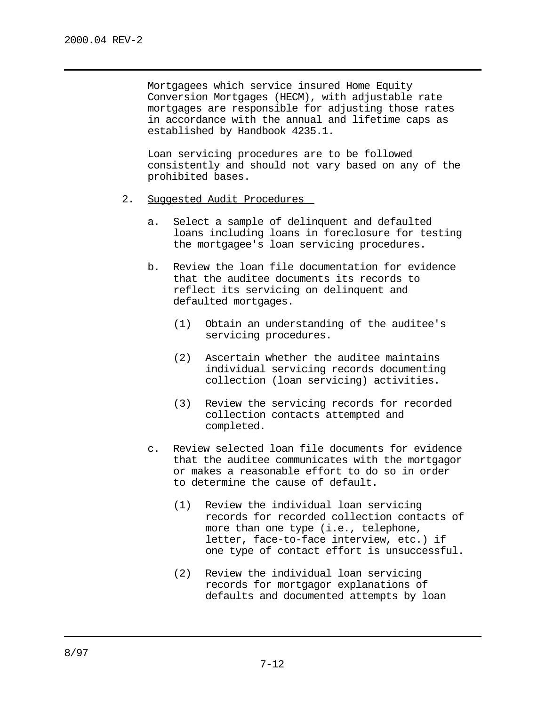Mortgagees which service insured Home Equity Conversion Mortgages (HECM), with adjustable rate mortgages are responsible for adjusting those rates in accordance with the annual and lifetime caps as established by Handbook 4235.1.

Loan servicing procedures are to be followed consistently and should not vary based on any of the prohibited bases.

- 2. Suggested Audit Procedures
	- a. Select a sample of delinquent and defaulted loans including loans in foreclosure for testing the mortgagee's loan servicing procedures.
	- b. Review the loan file documentation for evidence that the auditee documents its records to reflect its servicing on delinquent and defaulted mortgages.
		- (1) Obtain an understanding of the auditee's servicing procedures.
		- (2) Ascertain whether the auditee maintains individual servicing records documenting collection (loan servicing) activities.
		- (3) Review the servicing records for recorded collection contacts attempted and completed.
	- c. Review selected loan file documents for evidence that the auditee communicates with the mortgagor or makes a reasonable effort to do so in order to determine the cause of default.
		- (1) Review the individual loan servicing records for recorded collection contacts of more than one type (i.e., telephone, letter, face-to-face interview, etc.) if one type of contact effort is unsuccessful.
		- (2) Review the individual loan servicing records for mortgagor explanations of defaults and documented attempts by loan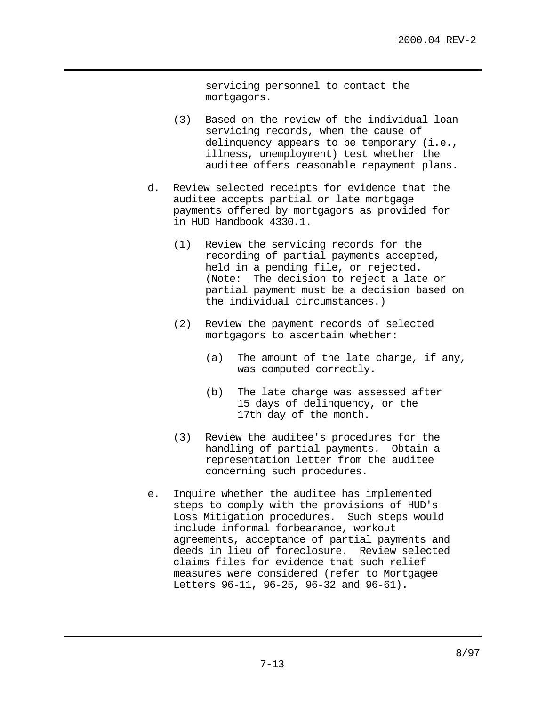servicing personnel to contact the mortgagors.

- (3) Based on the review of the individual loan servicing records, when the cause of delinquency appears to be temporary (i.e., illness, unemployment) test whether the auditee offers reasonable repayment plans.
- d. Review selected receipts for evidence that the auditee accepts partial or late mortgage payments offered by mortgagors as provided for in HUD Handbook 4330.1.
	- (1) Review the servicing records for the recording of partial payments accepted, held in a pending file, or rejected. (Note: The decision to reject a late or partial payment must be a decision based on the individual circumstances.)
	- (2) Review the payment records of selected mortgagors to ascertain whether:
		- (a) The amount of the late charge, if any, was computed correctly.
		- (b) The late charge was assessed after 15 days of delinquency, or the 17th day of the month.
	- (3) Review the auditee's procedures for the handling of partial payments. Obtain a representation letter from the auditee concerning such procedures.
- e. Inquire whether the auditee has implemented steps to comply with the provisions of HUD's Loss Mitigation procedures. Such steps would include informal forbearance, workout agreements, acceptance of partial payments and deeds in lieu of foreclosure. Review selected claims files for evidence that such relief measures were considered (refer to Mortgagee Letters 96-11, 96-25, 96-32 and 96-61).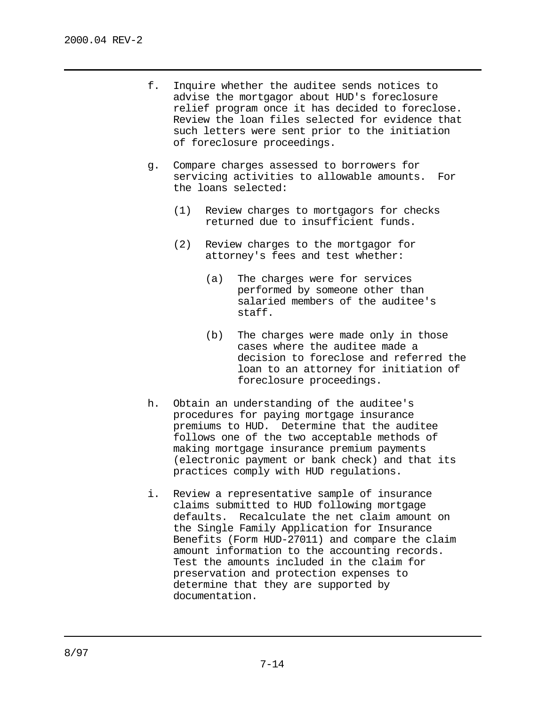- f. Inquire whether the auditee sends notices to advise the mortgagor about HUD's foreclosure relief program once it has decided to foreclose. Review the loan files selected for evidence that such letters were sent prior to the initiation of foreclosure proceedings.
- g. Compare charges assessed to borrowers for servicing activities to allowable amounts. For the loans selected:
	- (1) Review charges to mortgagors for checks returned due to insufficient funds.
	- (2) Review charges to the mortgagor for attorney's fees and test whether:
		- (a) The charges were for services performed by someone other than salaried members of the auditee's staff.
		- (b) The charges were made only in those cases where the auditee made a decision to foreclose and referred the loan to an attorney for initiation of foreclosure proceedings.
- h. Obtain an understanding of the auditee's procedures for paying mortgage insurance premiums to HUD. Determine that the auditee follows one of the two acceptable methods of making mortgage insurance premium payments (electronic payment or bank check) and that its practices comply with HUD regulations.
- i. Review a representative sample of insurance claims submitted to HUD following mortgage defaults. Recalculate the net claim amount on the Single Family Application for Insurance Benefits (Form HUD-27011) and compare the claim amount information to the accounting records. Test the amounts included in the claim for preservation and protection expenses to determine that they are supported by documentation.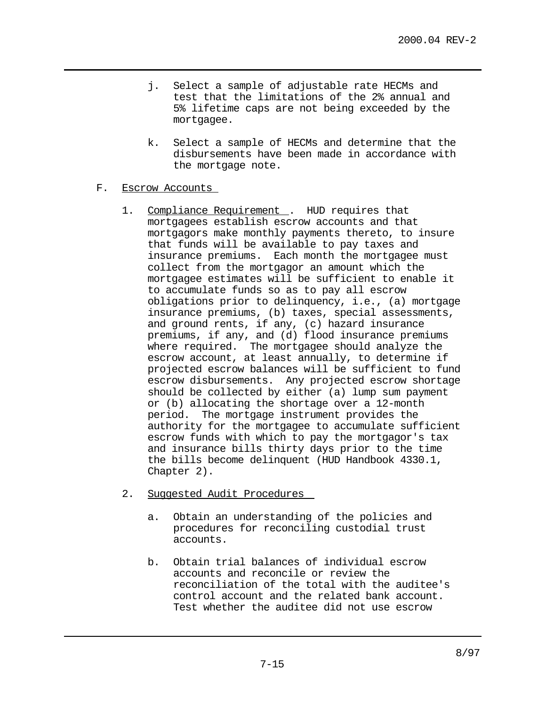- j. Select a sample of adjustable rate HECMs and test that the limitations of the 2% annual and 5% lifetime caps are not being exceeded by the mortgagee.
- k. Select a sample of HECMs and determine that the disbursements have been made in accordance with the mortgage note.
- F. Escrow Accounts
	- 1. Compliance Requirement . HUD requires that mortgagees establish escrow accounts and that mortgagors make monthly payments thereto, to insure that funds will be available to pay taxes and insurance premiums. Each month the mortgagee must collect from the mortgagor an amount which the mortgagee estimates will be sufficient to enable it to accumulate funds so as to pay all escrow obligations prior to delinquency, i.e., (a) mortgage insurance premiums, (b) taxes, special assessments, and ground rents, if any, (c) hazard insurance premiums, if any, and (d) flood insurance premiums where required. The mortgagee should analyze the escrow account, at least annually, to determine if projected escrow balances will be sufficient to fund escrow disbursements. Any projected escrow shortage should be collected by either (a) lump sum payment or (b) allocating the shortage over a 12-month period. The mortgage instrument provides the authority for the mortgagee to accumulate sufficient escrow funds with which to pay the mortgagor's tax and insurance bills thirty days prior to the time the bills become delinquent (HUD Handbook 4330.1, Chapter 2).
	- 2. Suggested Audit Procedures
		- a. Obtain an understanding of the policies and procedures for reconciling custodial trust accounts.
		- b. Obtain trial balances of individual escrow accounts and reconcile or review the reconciliation of the total with the auditee's control account and the related bank account. Test whether the auditee did not use escrow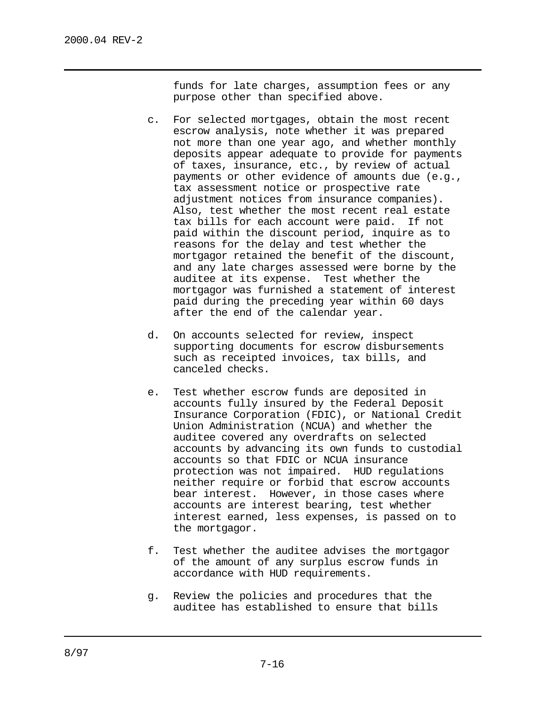funds for late charges, assumption fees or any purpose other than specified above.

- c. For selected mortgages, obtain the most recent escrow analysis, note whether it was prepared not more than one year ago, and whether monthly deposits appear adequate to provide for payments of taxes, insurance, etc., by review of actual payments or other evidence of amounts due (e.g., tax assessment notice or prospective rate adjustment notices from insurance companies). Also, test whether the most recent real estate tax bills for each account were paid. If not paid within the discount period, inquire as to reasons for the delay and test whether the mortgagor retained the benefit of the discount, and any late charges assessed were borne by the auditee at its expense. Test whether the mortgagor was furnished a statement of interest paid during the preceding year within 60 days after the end of the calendar year.
- d. On accounts selected for review, inspect supporting documents for escrow disbursements such as receipted invoices, tax bills, and canceled checks.
- e. Test whether escrow funds are deposited in accounts fully insured by the Federal Deposit Insurance Corporation (FDIC), or National Credit Union Administration (NCUA) and whether the auditee covered any overdrafts on selected accounts by advancing its own funds to custodial accounts so that FDIC or NCUA insurance protection was not impaired. HUD regulations neither require or forbid that escrow accounts bear interest. However, in those cases where accounts are interest bearing, test whether interest earned, less expenses, is passed on to the mortgagor.
- f. Test whether the auditee advises the mortgagor of the amount of any surplus escrow funds in accordance with HUD requirements.
- g. Review the policies and procedures that the auditee has established to ensure that bills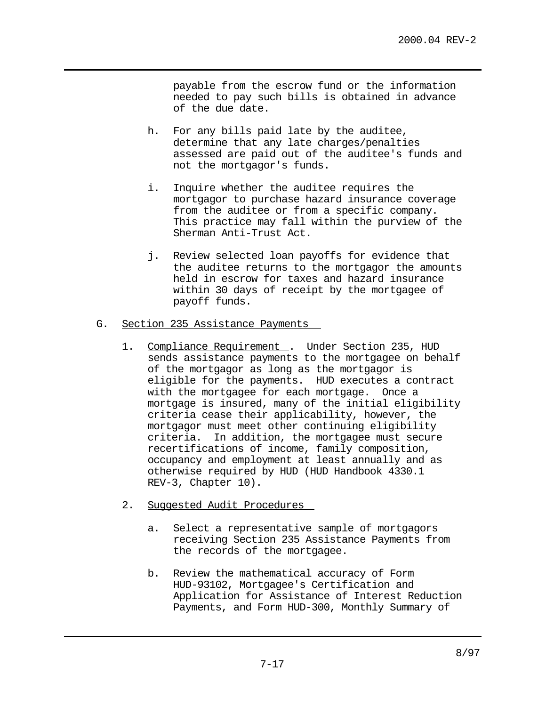payable from the escrow fund or the information needed to pay such bills is obtained in advance of the due date.

- h. For any bills paid late by the auditee, determine that any late charges/penalties assessed are paid out of the auditee's funds and not the mortgagor's funds.
- i. Inquire whether the auditee requires the mortgagor to purchase hazard insurance coverage from the auditee or from a specific company. This practice may fall within the purview of the Sherman Anti-Trust Act.
- j. Review selected loan payoffs for evidence that the auditee returns to the mortgagor the amounts held in escrow for taxes and hazard insurance within 30 days of receipt by the mortgagee of payoff funds.

# G. Section 235 Assistance Payments

- 1. Compliance Requirement . Under Section 235, HUD sends assistance payments to the mortgagee on behalf of the mortgagor as long as the mortgagor is eligible for the payments. HUD executes a contract with the mortgagee for each mortgage. Once a mortgage is insured, many of the initial eligibility criteria cease their applicability, however, the mortgagor must meet other continuing eligibility criteria. In addition, the mortgagee must secure recertifications of income, family composition, occupancy and employment at least annually and as otherwise required by HUD (HUD Handbook 4330.1 REV-3, Chapter 10).
- 2. Suggested Audit Procedures
	- a. Select a representative sample of mortgagors receiving Section 235 Assistance Payments from the records of the mortgagee.
	- b. Review the mathematical accuracy of Form HUD-93102, Mortgagee's Certification and Application for Assistance of Interest Reduction Payments, and Form HUD-300, Monthly Summary of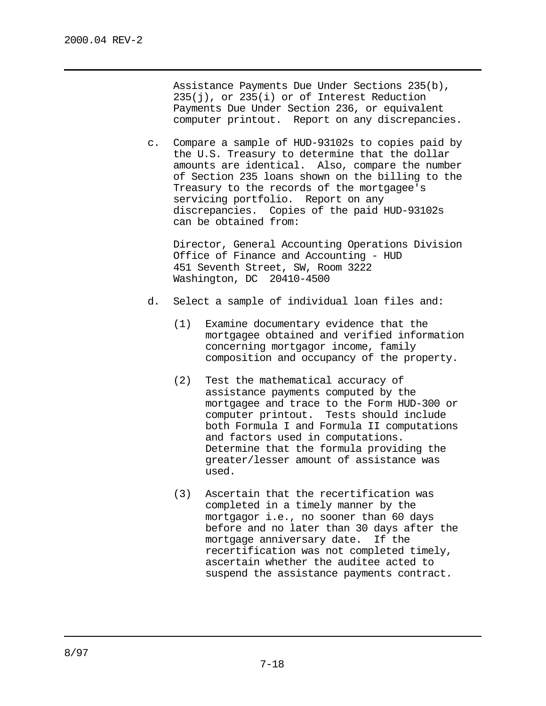Assistance Payments Due Under Sections 235(b), 235(j), or 235(i) or of Interest Reduction Payments Due Under Section 236, or equivalent computer printout. Report on any discrepancies.

c. Compare a sample of HUD-93102s to copies paid by the U.S. Treasury to determine that the dollar amounts are identical. Also, compare the number of Section 235 loans shown on the billing to the Treasury to the records of the mortgagee's servicing portfolio. Report on any discrepancies. Copies of the paid HUD-93102s can be obtained from:

Director, General Accounting Operations Division Office of Finance and Accounting - HUD 451 Seventh Street, SW, Room 3222 Washington, DC 20410-4500

- d. Select a sample of individual loan files and:
	- (1) Examine documentary evidence that the mortgagee obtained and verified information concerning mortgagor income, family composition and occupancy of the property.
	- (2) Test the mathematical accuracy of assistance payments computed by the mortgagee and trace to the Form HUD-300 or computer printout. Tests should include both Formula I and Formula II computations and factors used in computations. Determine that the formula providing the greater/lesser amount of assistance was used.
	- (3) Ascertain that the recertification was completed in a timely manner by the mortgagor i.e., no sooner than 60 days before and no later than 30 days after the mortgage anniversary date. If the recertification was not completed timely, ascertain whether the auditee acted to suspend the assistance payments contract.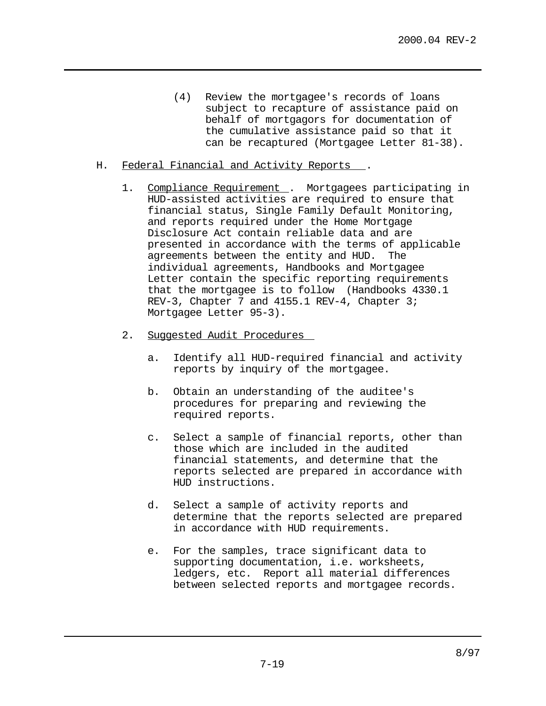- (4) Review the mortgagee's records of loans subject to recapture of assistance paid on behalf of mortgagors for documentation of the cumulative assistance paid so that it can be recaptured (Mortgagee Letter 81-38).
- H. Federal Financial and Activity Reports .
	- 1. Compliance Requirement . Mortgagees participating in HUD-assisted activities are required to ensure that financial status, Single Family Default Monitoring, and reports required under the Home Mortgage Disclosure Act contain reliable data and are presented in accordance with the terms of applicable agreements between the entity and HUD. The individual agreements, Handbooks and Mortgagee Letter contain the specific reporting requirements that the mortgagee is to follow (Handbooks 4330.1 REV-3, Chapter 7 and 4155.1 REV-4, Chapter 3; Mortgagee Letter 95-3).
	- 2. Suggested Audit Procedures
		- a. Identify all HUD-required financial and activity reports by inquiry of the mortgagee.
		- b. Obtain an understanding of the auditee's procedures for preparing and reviewing the required reports.
		- c. Select a sample of financial reports, other than those which are included in the audited financial statements, and determine that the reports selected are prepared in accordance with HUD instructions.
		- d. Select a sample of activity reports and determine that the reports selected are prepared in accordance with HUD requirements.
		- e. For the samples, trace significant data to supporting documentation, i.e. worksheets, ledgers, etc. Report all material differences between selected reports and mortgagee records.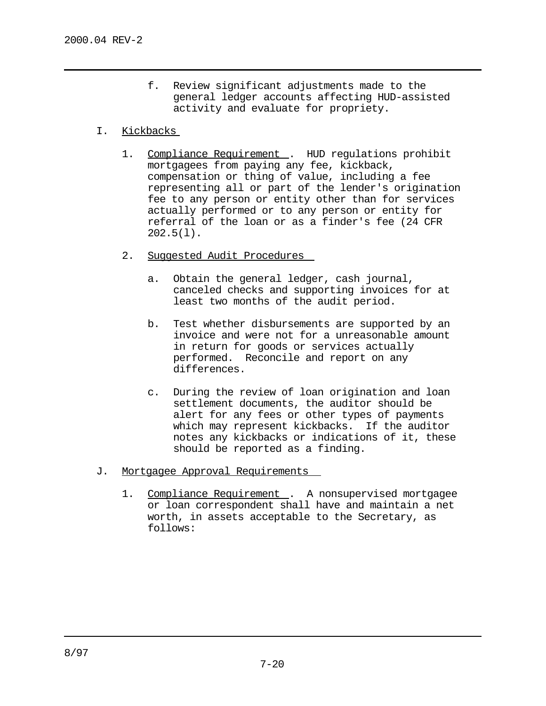f. Review significant adjustments made to the general ledger accounts affecting HUD-assisted activity and evaluate for propriety.

### I. Kickbacks

- 1. Compliance Requirement . HUD regulations prohibit mortgagees from paying any fee, kickback, compensation or thing of value, including a fee representing all or part of the lender's origination fee to any person or entity other than for services actually performed or to any person or entity for referral of the loan or as a finder's fee (24 CFR  $202.5(1)$ .
- 2. Suggested Audit Procedures
	- a. Obtain the general ledger, cash journal, canceled checks and supporting invoices for at least two months of the audit period.
	- b. Test whether disbursements are supported by an invoice and were not for a unreasonable amount in return for goods or services actually performed. Reconcile and report on any differences.
	- c. During the review of loan origination and loan settlement documents, the auditor should be alert for any fees or other types of payments which may represent kickbacks. If the auditor notes any kickbacks or indications of it, these should be reported as a finding.
- J. Mortgagee Approval Requirements
	- 1. Compliance Requirement . A nonsupervised mortgagee or loan correspondent shall have and maintain a net worth, in assets acceptable to the Secretary, as follows: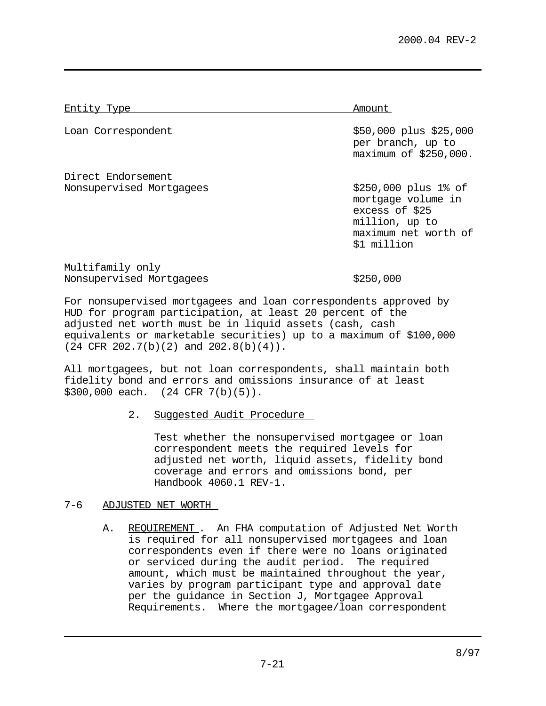Entity Type Amount

Direct Endorsement Nonsupervised Mortgagees \$250,000 plus 1% of

Loan Correspondent the state of the state  $$50,000$  plus \$25,000 per branch, up to maximum of \$250,000.

> mortgage volume in excess of \$25 million, up to maximum net worth of \$1 million

Multifamily only Nonsupervised Mortgagees  $$250,000$ 

For nonsupervised mortgagees and loan correspondents approved by HUD for program participation, at least 20 percent of the adjusted net worth must be in liquid assets (cash, cash equivalents or marketable securities) up to a maximum of \$100,000  $(24$  CFR  $202.7(b)(2)$  and  $202.8(b)(4)$ .

All mortgagees, but not loan correspondents, shall maintain both fidelity bond and errors and omissions insurance of at least \$300,000 each. (24 CFR 7(b)(5)).

2. Suggested Audit Procedure

Test whether the nonsupervised mortgagee or loan correspondent meets the required levels for adjusted net worth, liquid assets, fidelity bond coverage and errors and omissions bond, per Handbook 4060.1 REV-1.

# 7-6 ADJUSTED NET WORTH

A. REQUIREMENT. An FHA computation of Adjusted Net Worth is required for all nonsupervised mortgagees and loan correspondents even if there were no loans originated or serviced during the audit period. The required amount, which must be maintained throughout the year, varies by program participant type and approval date per the guidance in Section J, Mortgagee Approval Requirements. Where the mortgagee/loan correspondent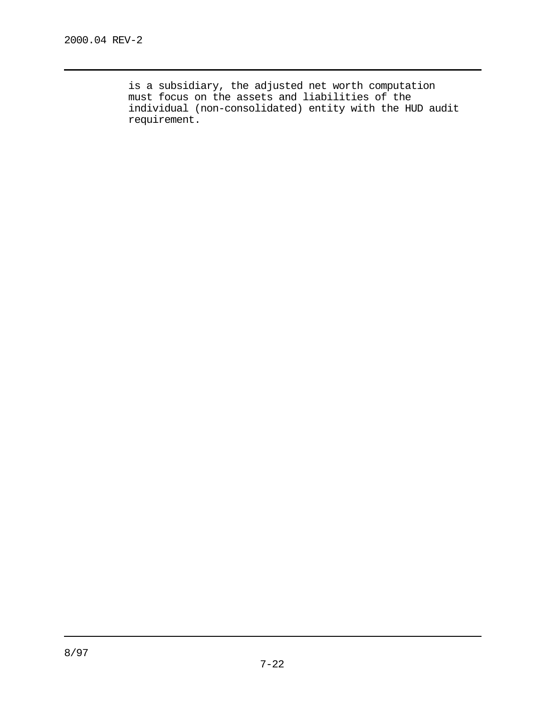is a subsidiary, the adjusted net worth computation must focus on the assets and liabilities of the individual (non-consolidated) entity with the HUD audit requirement.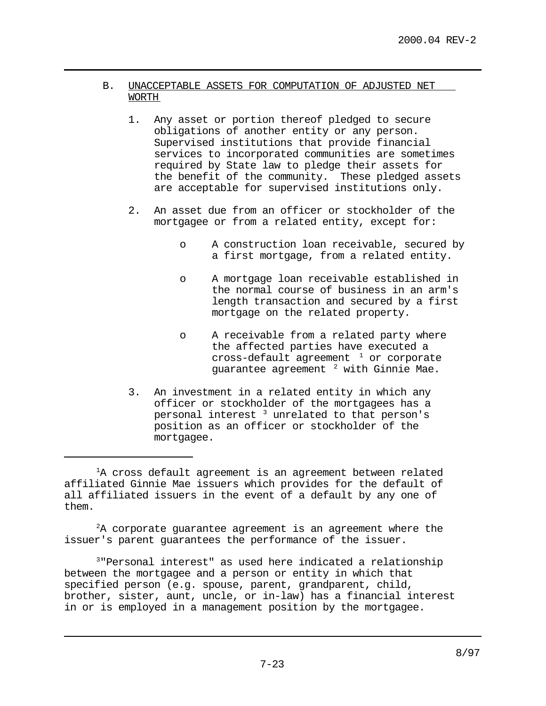- B. UNACCEPTABLE ASSETS FOR COMPUTATION OF ADJUSTED NET WORTH
	- 1. Any asset or portion thereof pledged to secure obligations of another entity or any person. Supervised institutions that provide financial services to incorporated communities are sometimes required by State law to pledge their assets for the benefit of the community. These pledged assets are acceptable for supervised institutions only.
	- 2. An asset due from an officer or stockholder of the mortgagee or from a related entity, except for:
		- o A construction loan receivable, secured by a first mortgage, from a related entity.
		- o A mortgage loan receivable established in the normal course of business in an arm's length transaction and secured by a first mortgage on the related property.
		- o A receivable from a related party where the affected parties have executed a cross-default agreement  $1$  or corporate guarantee agreement  $2$  with Ginnie Mae.
	- 3. An investment in a related entity in which any officer or stockholder of the mortgagees has a personal interest  $3$  unrelated to that person's position as an officer or stockholder of the mortgagee.

 $A$  corporate guarantee agreement is an agreement where the issuer's parent guarantees the performance of the issuer.

 $3"$ Personal interest" as used here indicated a relationship between the mortgagee and a person or entity in which that specified person (e.g. spouse, parent, grandparent, child, brother, sister, aunt, uncle, or in-law) has a financial interest in or is employed in a management position by the mortgagee.

 ${}^{1}$ A cross default agreement is an agreement between related affiliated Ginnie Mae issuers which provides for the default of all affiliated issuers in the event of a default by any one of them.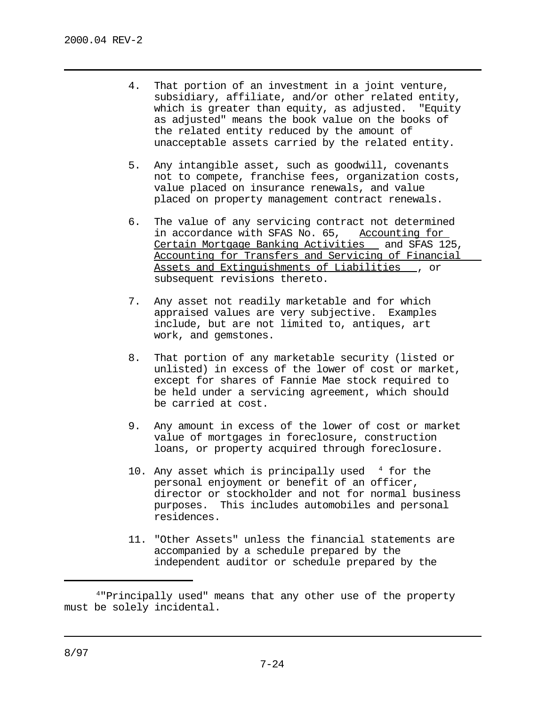- 4. That portion of an investment in a joint venture, subsidiary, affiliate, and/or other related entity, which is greater than equity, as adjusted. "Equity as adjusted" means the book value on the books of the related entity reduced by the amount of unacceptable assets carried by the related entity.
- 5. Any intangible asset, such as goodwill, covenants not to compete, franchise fees, organization costs, value placed on insurance renewals, and value placed on property management contract renewals.
- 6. The value of any servicing contract not determined in accordance with SFAS No. 65, Accounting for Certain Mortgage Banking Activities and SFAS 125, Accounting for Transfers and Servicing of Financial Assets and Extinguishments of Liabilities , or subsequent revisions thereto.
- 7. Any asset not readily marketable and for which appraised values are very subjective. Examples include, but are not limited to, antiques, art work, and gemstones.
- 8. That portion of any marketable security (listed or unlisted) in excess of the lower of cost or market, except for shares of Fannie Mae stock required to be held under a servicing agreement, which should be carried at cost.
- 9. Any amount in excess of the lower of cost or market value of mortgages in foreclosure, construction loans, or property acquired through foreclosure.
- 10. Any asset which is principally used  $4$  for the personal enjoyment or benefit of an officer, director or stockholder and not for normal business purposes. This includes automobiles and personal residences.
- 11. "Other Assets" unless the financial statements are accompanied by a schedule prepared by the independent auditor or schedule prepared by the

 <sup>&</sup>quot;Principally used" means that any other use of the property <sup>4</sup> must be solely incidental.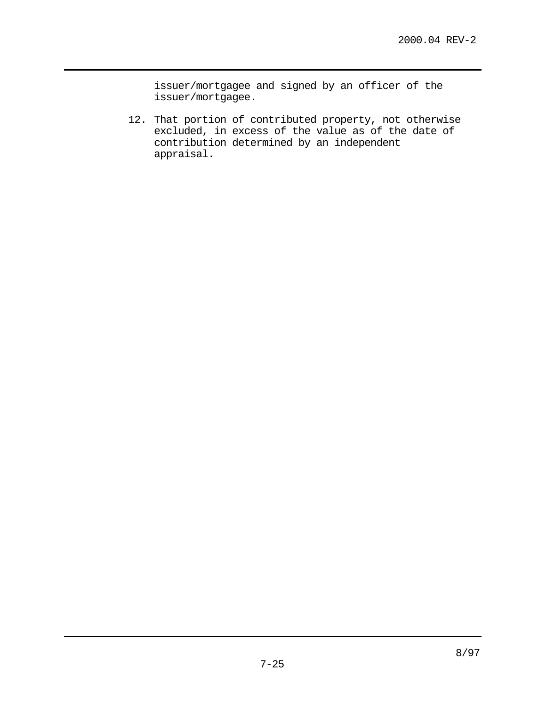issuer/mortgagee and signed by an officer of the issuer/mortgagee.

12. That portion of contributed property, not otherwise excluded, in excess of the value as of the date of contribution determined by an independent appraisal.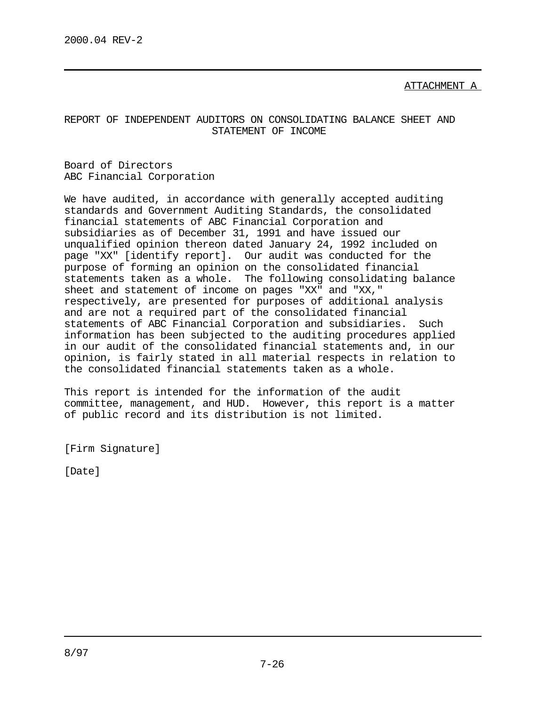ATTACHMENT A

# REPORT OF INDEPENDENT AUDITORS ON CONSOLIDATING BALANCE SHEET AND STATEMENT OF INCOME

Board of Directors ABC Financial Corporation

We have audited, in accordance with generally accepted auditing standards and Government Auditing Standards, the consolidated financial statements of ABC Financial Corporation and subsidiaries as of December 31, 1991 and have issued our unqualified opinion thereon dated January 24, 1992 included on page "XX" [identify report]. Our audit was conducted for the purpose of forming an opinion on the consolidated financial statements taken as a whole. The following consolidating balance sheet and statement of income on pages "XX" and "XX," respectively, are presented for purposes of additional analysis and are not a required part of the consolidated financial statements of ABC Financial Corporation and subsidiaries. Such information has been subjected to the auditing procedures applied in our audit of the consolidated financial statements and, in our opinion, is fairly stated in all material respects in relation to the consolidated financial statements taken as a whole.

This report is intended for the information of the audit committee, management, and HUD. However, this report is a matter of public record and its distribution is not limited.

[Firm Signature]

[Date]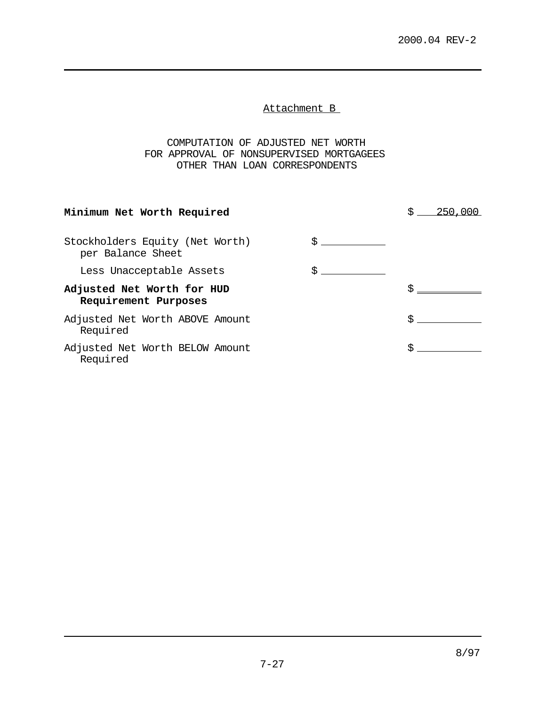Attachment B

COMPUTATION OF ADJUSTED NET WORTH FOR APPROVAL OF NONSUPERVISED MORTGAGEES OTHER THAN LOAN CORRESPONDENTS

| Minimum Net Worth Required                           |  |  |
|------------------------------------------------------|--|--|
| Stockholders Equity (Net Worth)<br>per Balance Sheet |  |  |
| Less Unacceptable Assets                             |  |  |
| Adjusted Net Worth for HUD<br>Requirement Purposes   |  |  |
| Adjusted Net Worth ABOVE Amount<br>Required          |  |  |
| Adjusted Net Worth BELOW Amount<br>Required          |  |  |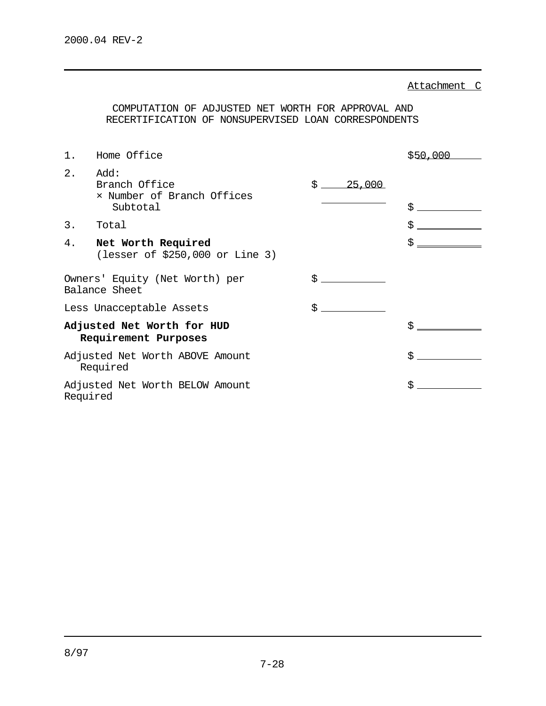Attachment C

COMPUTATION OF ADJUSTED NET WORTH FOR APPROVAL AND RECERTIFICATION OF NONSUPERVISED LOAN CORRESPONDENTS

| 1.                         | Home Office                                                     |              | \$50,000 |
|----------------------------|-----------------------------------------------------------------|--------------|----------|
| 2.                         | Add:<br>Branch Office<br>x Number of Branch Offices<br>Subtotal | \$<br>25,000 | \$       |
| 3.                         | Total                                                           |              | \$       |
| 4.                         | Net Worth Required<br>(lesser of $$250,000$ or Line 3)          |              | \$       |
|                            | Owners' Equity (Net Worth) per<br>Balance Sheet                 | \$           |          |
|                            | Less Unacceptable Assets                                        |              |          |
| Adjusted Net Worth for HUD |                                                                 |              | \$       |
|                            | Requirement Purposes                                            |              |          |
|                            | Adjusted Net Worth ABOVE Amount<br>Required                     |              | \$       |
| Required                   | Adjusted Net Worth BELOW Amount                                 |              | \$       |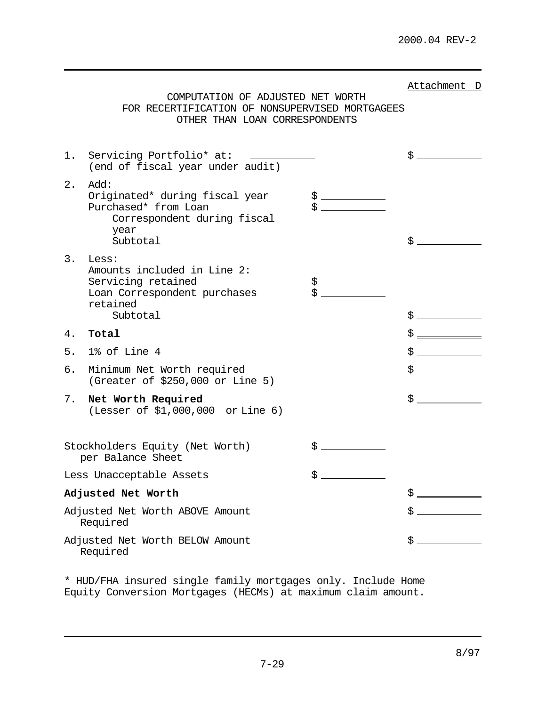|    | COMPUTATION OF ADJUSTED NET WORTH<br>FOR RECERTIFICATION OF NONSUPERVISED MORTGAGEES<br>OTHER THAN LOAN CORRESPONDENTS                                                                |            | Attachment D |
|----|---------------------------------------------------------------------------------------------------------------------------------------------------------------------------------------|------------|--------------|
| 1. | Servicing Portfolio* at:<br><u> 1989 - Andrea State Barbara, politik a postal de la provincia de la provincia de la provincia de la provincia</u><br>(end of fiscal year under audit) |            |              |
| 2. | Add:<br>Originated* during fiscal year<br>Purchased* from Loan<br>Correspondent during fiscal<br>year<br>Subtotal                                                                     | $\ddot{S}$ | \$           |
| 3. | Less:<br>Amounts included in Line 2:<br>Servicing retained<br>Loan Correspondent purchases<br>retained<br>Subtotal                                                                    |            |              |
| 4. | Total                                                                                                                                                                                 |            |              |
| 5. | 1% of Line 4                                                                                                                                                                          |            | \$           |
| б. | Minimum Net Worth required<br>(Greater of \$250,000 or Line 5)                                                                                                                        |            | \$           |
| 7. | Net Worth Required<br>(Lesser of \$1,000,000 or Line 6)                                                                                                                               |            | \$ _         |
|    | Stockholders Equity (Net Worth)<br>per Balance Sheet                                                                                                                                  | \$         |              |
|    | Less Unacceptable Assets                                                                                                                                                              | \$         |              |
|    | Adjusted Net Worth                                                                                                                                                                    |            | \$           |
|    | Adjusted Net Worth ABOVE Amount<br>Required                                                                                                                                           |            | \$           |
|    | Adjusted Net Worth BELOW Amount<br>Required                                                                                                                                           |            | \$           |

\* HUD/FHA insured single family mortgages only. Include Home Equity Conversion Mortgages (HECMs) at maximum claim amount.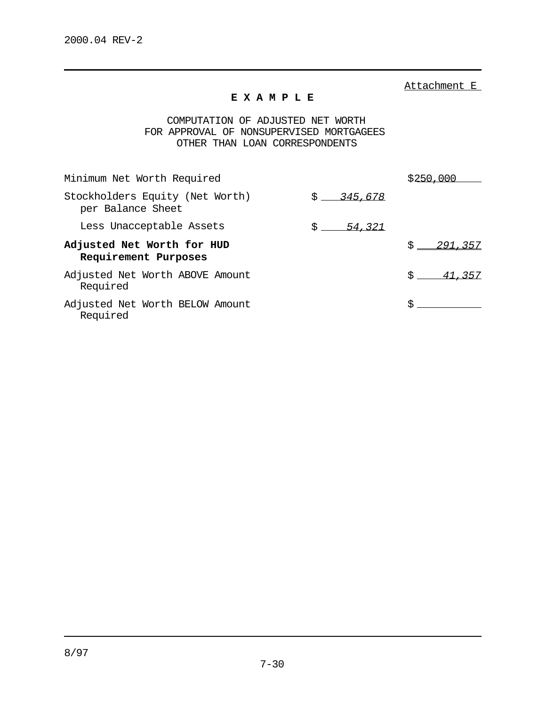Attachment E

## **E X A M P L E**

COMPUTATION OF ADJUSTED NET WORTH FOR APPROVAL OF NONSUPERVISED MORTGAGEES OTHER THAN LOAN CORRESPONDENTS

| Minimum Net Worth Required                           |                 | S 250     |
|------------------------------------------------------|-----------------|-----------|
| Stockholders Equity (Net Worth)<br>per Balance Sheet | \$345.678       |           |
| Less Unacceptable Assets                             | $S =$<br>54.321 |           |
| Adjusted Net Worth for HUD<br>Requirement Purposes   |                 | S.<br>291 |
| Adjusted Net Worth ABOVE Amount<br>Required          |                 | 357       |
| Adjusted Net Worth BELOW Amount<br>Required          |                 |           |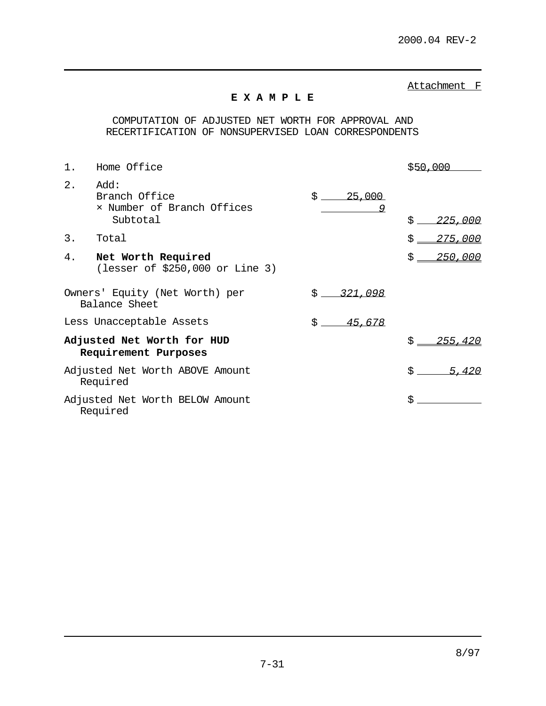Attachment F

# **E X A M P L E**

COMPUTATION OF ADJUSTED NET WORTH FOR APPROVAL AND RECERTIFICATION OF NONSUPERVISED LOAN CORRESPONDENTS

| 1.                                                 | Home Office                                                     |                   | \$50.000        |
|----------------------------------------------------|-----------------------------------------------------------------|-------------------|-----------------|
| 2.                                                 | Add:<br>Branch Office<br>x Number of Branch Offices<br>Subtotal | \$<br>25,000<br>9 | Š.<br>225,000   |
| 3.                                                 | Total                                                           |                   | 275.000         |
| 4.                                                 | Net Worth Required<br>(lesser of \$250,000 or Line 3)           |                   | \$ _<br>250.000 |
|                                                    | Owners' Equity (Net Worth) per<br>Balance Sheet                 | 321,098<br>$S =$  |                 |
|                                                    | Less Unacceptable Assets                                        | Ŝ.<br>45,678      |                 |
| Adjusted Net Worth for HUD<br>Requirement Purposes |                                                                 | 255,420           |                 |
|                                                    | Adjusted Net Worth ABOVE Amount<br>Required                     |                   | \$ _<br>5.420   |
|                                                    | Adjusted Net Worth BELOW Amount<br>Required                     |                   | \$              |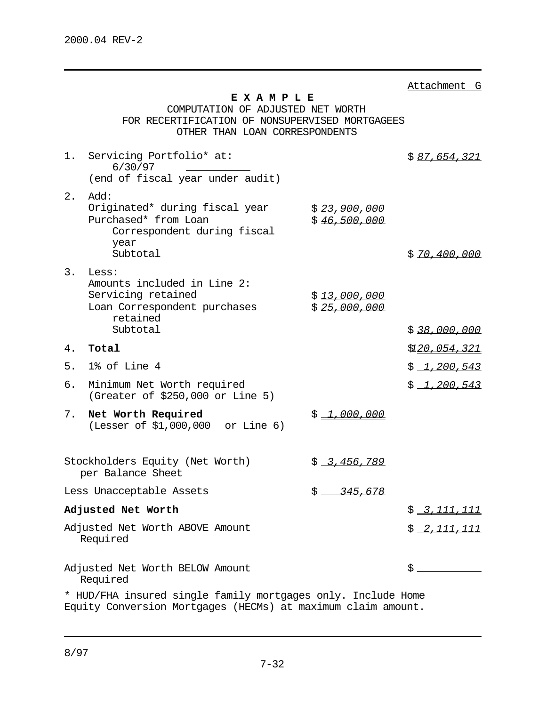|                                                                                                                              |                                                                                                                                   |                              | Attachment G          |
|------------------------------------------------------------------------------------------------------------------------------|-----------------------------------------------------------------------------------------------------------------------------------|------------------------------|-----------------------|
|                                                                                                                              | EXAMPLE<br>COMPUTATION OF ADJUSTED NET WORTH<br>FOR RECERTIFICATION OF NONSUPERVISED MORTGAGEES<br>OTHER THAN LOAN CORRESPONDENTS |                              |                       |
| $1$ .                                                                                                                        | Servicing Portfolio* at:<br>6/30/97<br>(end of fiscal year under audit)                                                           |                              | \$87,654,321          |
| 2.                                                                                                                           | Add:<br>Originated* during fiscal year<br>Purchased* from Loan<br>Correspondent during fiscal<br>year                             | \$23,900,000<br>\$46,500,000 |                       |
|                                                                                                                              | Subtotal                                                                                                                          |                              | \$70,400,000          |
| 3.                                                                                                                           | Less:<br>Amounts included in Line 2:<br>Servicing retained<br>Loan Correspondent purchases<br>retained<br>Subtotal                | \$13,000,000<br>\$25,000,000 | \$38,000,000          |
| 4.                                                                                                                           | Total                                                                                                                             |                              | \$1 <u>20,054,321</u> |
| 5.                                                                                                                           | 1% of Line 4                                                                                                                      |                              | \$1,200,543           |
| б.                                                                                                                           | Minimum Net Worth required<br>(Greater of \$250,000 or Line 5)                                                                    |                              | \$1,200,543           |
| 7.                                                                                                                           | Net Worth Required<br>(Lesser of \$1,000,000 or Line 6)                                                                           | \$1,000,000                  |                       |
|                                                                                                                              | Stockholders Equity (Net Worth)<br>per Balance Sheet                                                                              | $$ -3.456.789$               |                       |
|                                                                                                                              | Less Unacceptable Assets                                                                                                          | \$345,678                    |                       |
|                                                                                                                              | Adjusted Net Worth                                                                                                                |                              | \$2,111,111           |
|                                                                                                                              | Adjusted Net Worth ABOVE Amount<br>Required                                                                                       |                              | \$2,111,111           |
| Adjusted Net Worth BELOW Amount<br>\$<br>Required                                                                            |                                                                                                                                   |                              |                       |
| * HUD/FHA insured single family mortgages only. Include Home<br>Equity Conversion Mortgages (HECMs) at maximum claim amount. |                                                                                                                                   |                              |                       |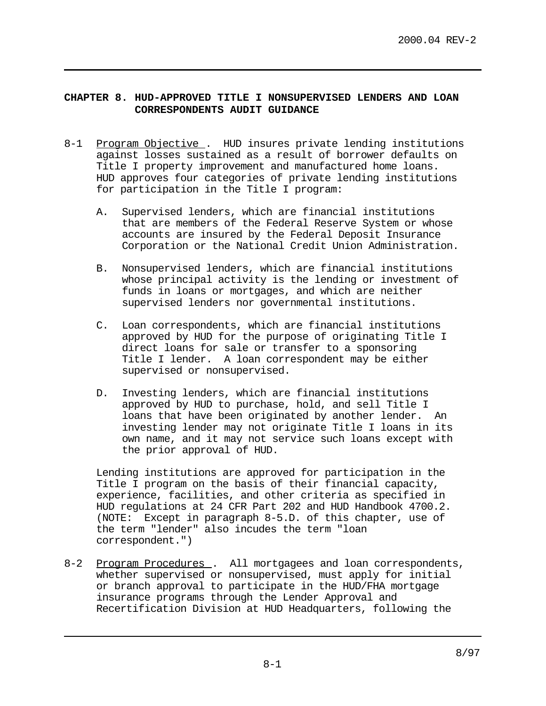# **CHAPTER 8. HUD-APPROVED TITLE I NONSUPERVISED LENDERS AND LOAN CORRESPONDENTS AUDIT GUIDANCE**

- 8-1 Program Objective . HUD insures private lending institutions against losses sustained as a result of borrower defaults on Title I property improvement and manufactured home loans. HUD approves four categories of private lending institutions for participation in the Title I program:
	- A. Supervised lenders, which are financial institutions that are members of the Federal Reserve System or whose accounts are insured by the Federal Deposit Insurance Corporation or the National Credit Union Administration.
	- B. Nonsupervised lenders, which are financial institutions whose principal activity is the lending or investment of funds in loans or mortgages, and which are neither supervised lenders nor governmental institutions.
	- C. Loan correspondents, which are financial institutions approved by HUD for the purpose of originating Title I direct loans for sale or transfer to a sponsoring Title I lender. A loan correspondent may be either supervised or nonsupervised.
	- D. Investing lenders, which are financial institutions approved by HUD to purchase, hold, and sell Title I loans that have been originated by another lender. An investing lender may not originate Title I loans in its own name, and it may not service such loans except with the prior approval of HUD.

Lending institutions are approved for participation in the Title I program on the basis of their financial capacity, experience, facilities, and other criteria as specified in HUD regulations at 24 CFR Part 202 and HUD Handbook 4700.2. (NOTE: Except in paragraph 8-5.D. of this chapter, use of the term "lender" also incudes the term "loan correspondent.")

8-2 Program Procedures . All mortgagees and loan correspondents, whether supervised or nonsupervised, must apply for initial or branch approval to participate in the HUD/FHA mortgage insurance programs through the Lender Approval and Recertification Division at HUD Headquarters, following the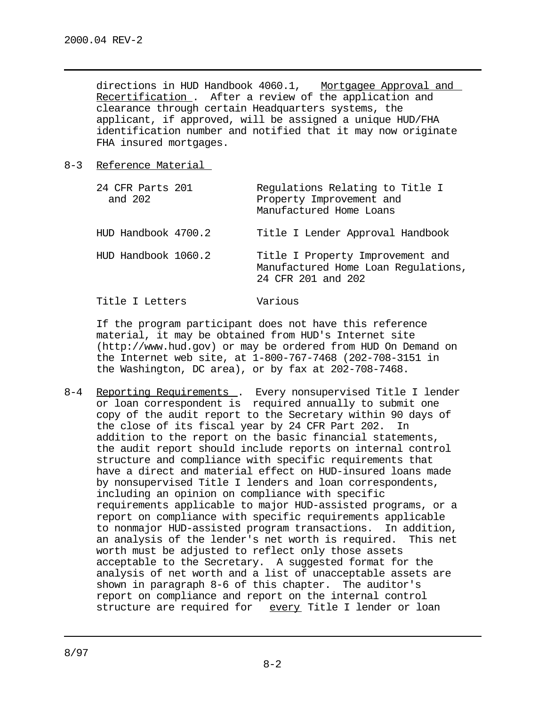directions in HUD Handbook 4060.1, Mortgagee Approval and Recertification . After a review of the application and clearance through certain Headquarters systems, the applicant, if approved, will be assigned a unique HUD/FHA identification number and notified that it may now originate FHA insured mortgages.

#### 8-3 Reference Material

Title I Letters Various

| 24 CFR Parts 201<br>and 202 | Regulations Relating to Title I<br>Property Improvement and<br>Manufactured Home Loans        |
|-----------------------------|-----------------------------------------------------------------------------------------------|
| HUD Handbook 4700.2         | Title I Lender Approval Handbook                                                              |
| HUD Handbook 1060.2         | Title I Property Improvement and<br>Manufactured Home Loan Regulations,<br>24 CFR 201 and 202 |

If the program participant does not have this reference material, it may be obtained from HUD's Internet site (http://www.hud.gov) or may be ordered from HUD On Demand on the Internet web site, at 1-800-767-7468 (202-708-3151 in the Washington, DC area), or by fax at 202-708-7468.

8-4 Reporting Requirements . Every nonsupervised Title I lender or loan correspondent is required annually to submit one copy of the audit report to the Secretary within 90 days of the close of its fiscal year by 24 CFR Part 202. In addition to the report on the basic financial statements, the audit report should include reports on internal control structure and compliance with specific requirements that have a direct and material effect on HUD-insured loans made by nonsupervised Title I lenders and loan correspondents, including an opinion on compliance with specific requirements applicable to major HUD-assisted programs, or a report on compliance with specific requirements applicable to nonmajor HUD-assisted program transactions. In addition, an analysis of the lender's net worth is required. This net worth must be adjusted to reflect only those assets acceptable to the Secretary. A suggested format for the analysis of net worth and a list of unacceptable assets are shown in paragraph 8-6 of this chapter. The auditor's report on compliance and report on the internal control structure are required for every Title I lender or loan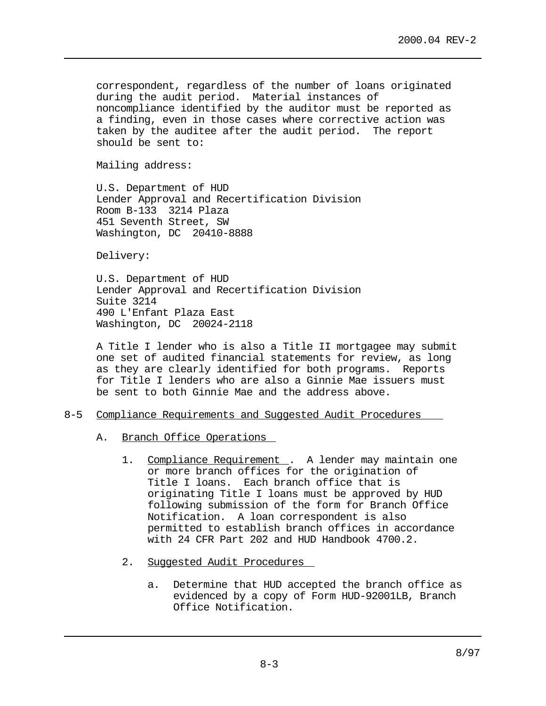correspondent, regardless of the number of loans originated during the audit period. Material instances of noncompliance identified by the auditor must be reported as a finding, even in those cases where corrective action was taken by the auditee after the audit period. The report should be sent to:

Mailing address:

U.S. Department of HUD Lender Approval and Recertification Division Room B-133 3214 Plaza 451 Seventh Street, SW Washington, DC 20410-8888

Delivery:

U.S. Department of HUD Lender Approval and Recertification Division Suite 3214 490 L'Enfant Plaza East Washington, DC 20024-2118

A Title I lender who is also a Title II mortgagee may submit one set of audited financial statements for review, as long as they are clearly identified for both programs. Reports for Title I lenders who are also a Ginnie Mae issuers must be sent to both Ginnie Mae and the address above.

- 8-5 Compliance Requirements and Suggested Audit Procedures
	- A. Branch Office Operations
		- 1. Compliance Requirement . A lender may maintain one or more branch offices for the origination of Title I loans. Each branch office that is originating Title I loans must be approved by HUD following submission of the form for Branch Office Notification. A loan correspondent is also permitted to establish branch offices in accordance with 24 CFR Part 202 and HUD Handbook 4700.2.
		- 2. Suggested Audit Procedures
			- a. Determine that HUD accepted the branch office as evidenced by a copy of Form HUD-92001LB, Branch Office Notification.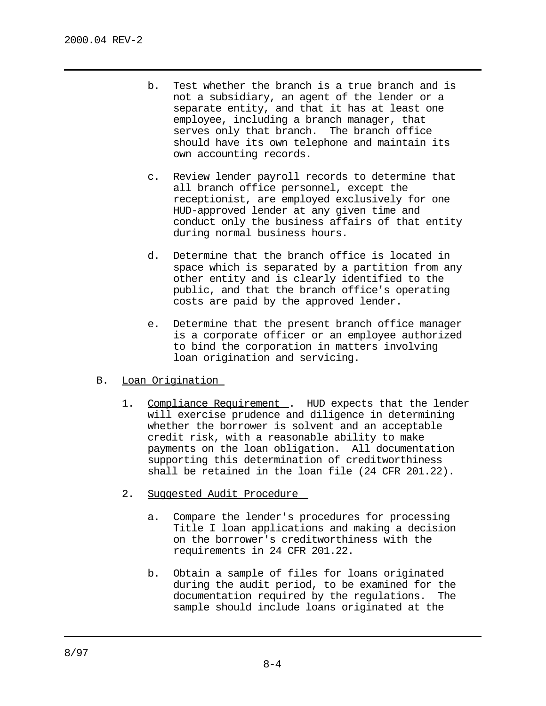- b. Test whether the branch is a true branch and is not a subsidiary, an agent of the lender or a separate entity, and that it has at least one employee, including a branch manager, that serves only that branch. The branch office should have its own telephone and maintain its own accounting records.
- c. Review lender payroll records to determine that all branch office personnel, except the receptionist, are employed exclusively for one HUD-approved lender at any given time and conduct only the business affairs of that entity during normal business hours.
- d. Determine that the branch office is located in space which is separated by a partition from any other entity and is clearly identified to the public, and that the branch office's operating costs are paid by the approved lender.
- e. Determine that the present branch office manager is a corporate officer or an employee authorized to bind the corporation in matters involving loan origination and servicing.

# B. Loan Origination

- 1. Compliance Requirement . HUD expects that the lender will exercise prudence and diligence in determining whether the borrower is solvent and an acceptable credit risk, with a reasonable ability to make payments on the loan obligation. All documentation supporting this determination of creditworthiness shall be retained in the loan file (24 CFR 201.22).
- 2. Suggested Audit Procedure
	- a. Compare the lender's procedures for processing Title I loan applications and making a decision on the borrower's creditworthiness with the requirements in 24 CFR 201.22.
	- b. Obtain a sample of files for loans originated during the audit period, to be examined for the documentation required by the regulations. The sample should include loans originated at the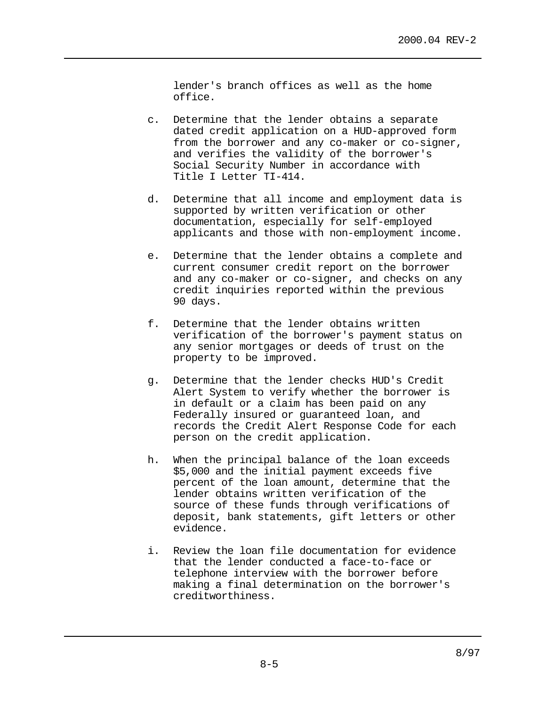lender's branch offices as well as the home office.

- c. Determine that the lender obtains a separate dated credit application on a HUD-approved form from the borrower and any co-maker or co-signer, and verifies the validity of the borrower's Social Security Number in accordance with Title I Letter TI-414.
- d. Determine that all income and employment data is supported by written verification or other documentation, especially for self-employed applicants and those with non-employment income.
- e. Determine that the lender obtains a complete and current consumer credit report on the borrower and any co-maker or co-signer, and checks on any credit inquiries reported within the previous 90 days.
- f. Determine that the lender obtains written verification of the borrower's payment status on any senior mortgages or deeds of trust on the property to be improved.
- g. Determine that the lender checks HUD's Credit Alert System to verify whether the borrower is in default or a claim has been paid on any Federally insured or guaranteed loan, and records the Credit Alert Response Code for each person on the credit application.
- h. When the principal balance of the loan exceeds \$5,000 and the initial payment exceeds five percent of the loan amount, determine that the lender obtains written verification of the source of these funds through verifications of deposit, bank statements, gift letters or other evidence.
- i. Review the loan file documentation for evidence that the lender conducted a face-to-face or telephone interview with the borrower before making a final determination on the borrower's creditworthiness.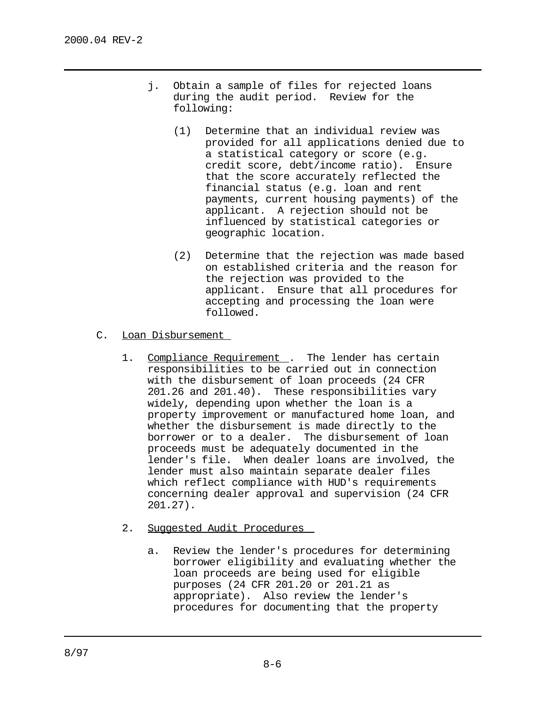- j. Obtain a sample of files for rejected loans during the audit period. Review for the following:
	- (1) Determine that an individual review was provided for all applications denied due to a statistical category or score (e.g. credit score, debt/income ratio). Ensure that the score accurately reflected the financial status (e.g. loan and rent payments, current housing payments) of the applicant. A rejection should not be influenced by statistical categories or geographic location.
	- (2) Determine that the rejection was made based on established criteria and the reason for the rejection was provided to the applicant. Ensure that all procedures for accepting and processing the loan were followed.
- C. Loan Disbursement
	- 1. Compliance Requirement . The lender has certain responsibilities to be carried out in connection with the disbursement of loan proceeds (24 CFR 201.26 and 201.40). These responsibilities vary widely, depending upon whether the loan is a property improvement or manufactured home loan, and whether the disbursement is made directly to the borrower or to a dealer. The disbursement of loan proceeds must be adequately documented in the lender's file. When dealer loans are involved, the lender must also maintain separate dealer files which reflect compliance with HUD's requirements concerning dealer approval and supervision (24 CFR 201.27).
	- 2. Suggested Audit Procedures
		- a. Review the lender's procedures for determining borrower eligibility and evaluating whether the loan proceeds are being used for eligible purposes (24 CFR 201.20 or 201.21 as appropriate). Also review the lender's procedures for documenting that the property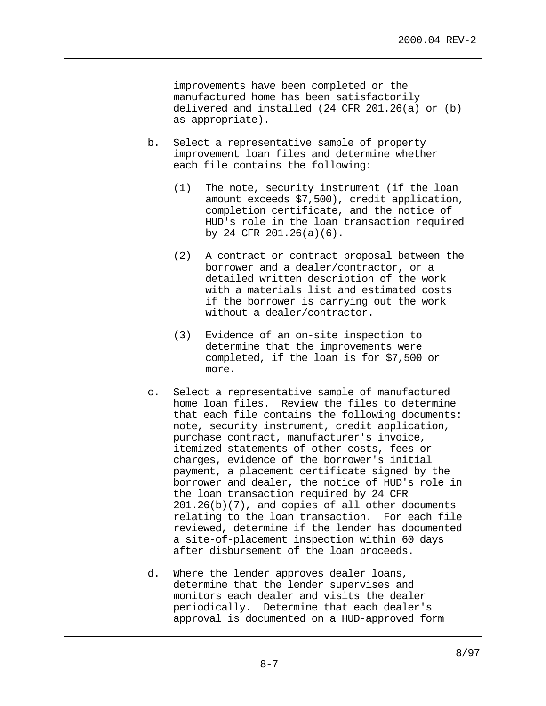improvements have been completed or the manufactured home has been satisfactorily delivered and installed (24 CFR 201.26(a) or (b) as appropriate).

- b. Select a representative sample of property improvement loan files and determine whether each file contains the following:
	- (1) The note, security instrument (if the loan amount exceeds \$7,500), credit application, completion certificate, and the notice of HUD's role in the loan transaction required by 24 CFR 201.26(a)(6).
	- (2) A contract or contract proposal between the borrower and a dealer/contractor, or a detailed written description of the work with a materials list and estimated costs if the borrower is carrying out the work without a dealer/contractor.
	- (3) Evidence of an on-site inspection to determine that the improvements were completed, if the loan is for \$7,500 or more.
- c. Select a representative sample of manufactured home loan files. Review the files to determine that each file contains the following documents: note, security instrument, credit application, purchase contract, manufacturer's invoice, itemized statements of other costs, fees or charges, evidence of the borrower's initial payment, a placement certificate signed by the borrower and dealer, the notice of HUD's role in the loan transaction required by 24 CFR 201.26(b)(7), and copies of all other documents relating to the loan transaction. For each file reviewed, determine if the lender has documented a site-of-placement inspection within 60 days after disbursement of the loan proceeds.
- d. Where the lender approves dealer loans, determine that the lender supervises and monitors each dealer and visits the dealer periodically. Determine that each dealer's approval is documented on a HUD-approved form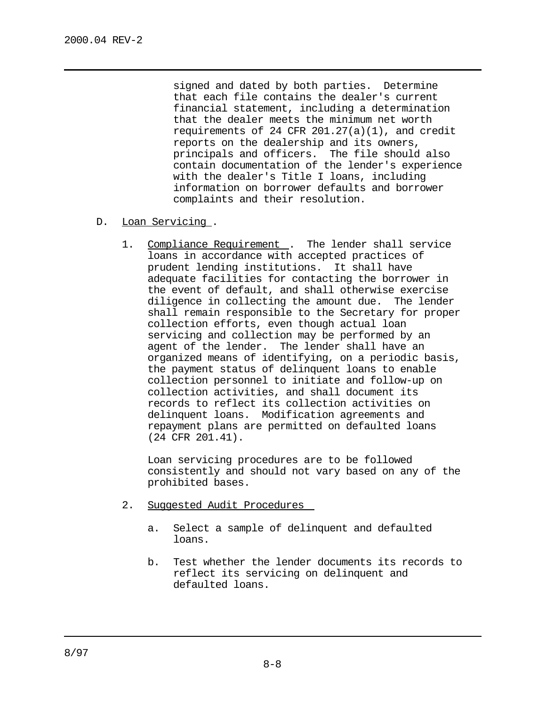signed and dated by both parties. Determine that each file contains the dealer's current financial statement, including a determination that the dealer meets the minimum net worth requirements of 24 CFR 201.27(a)(1), and credit reports on the dealership and its owners, principals and officers. The file should also contain documentation of the lender's experience with the dealer's Title I loans, including information on borrower defaults and borrower complaints and their resolution.

- D. Loan Servicing .
	- 1. Compliance Requirement . The lender shall service loans in accordance with accepted practices of prudent lending institutions. It shall have adequate facilities for contacting the borrower in the event of default, and shall otherwise exercise diligence in collecting the amount due. The lender shall remain responsible to the Secretary for proper collection efforts, even though actual loan servicing and collection may be performed by an agent of the lender. The lender shall have an organized means of identifying, on a periodic basis, the payment status of delinquent loans to enable collection personnel to initiate and follow-up on collection activities, and shall document its records to reflect its collection activities on delinquent loans. Modification agreements and repayment plans are permitted on defaulted loans (24 CFR 201.41).

Loan servicing procedures are to be followed consistently and should not vary based on any of the prohibited bases.

- 2. Suggested Audit Procedures
	- a. Select a sample of delinquent and defaulted loans.
	- b. Test whether the lender documents its records to reflect its servicing on delinquent and defaulted loans.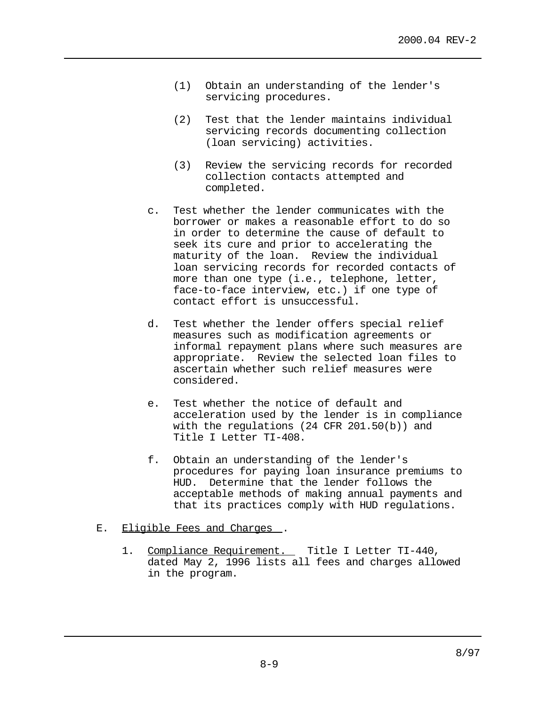- (1) Obtain an understanding of the lender's servicing procedures.
- (2) Test that the lender maintains individual servicing records documenting collection (loan servicing) activities.
- (3) Review the servicing records for recorded collection contacts attempted and completed.
- c. Test whether the lender communicates with the borrower or makes a reasonable effort to do so in order to determine the cause of default to seek its cure and prior to accelerating the maturity of the loan. Review the individual loan servicing records for recorded contacts of more than one type (i.e., telephone, letter, face-to-face interview, etc.) if one type of contact effort is unsuccessful.
- d. Test whether the lender offers special relief measures such as modification agreements or informal repayment plans where such measures are appropriate. Review the selected loan files to ascertain whether such relief measures were considered.
- e. Test whether the notice of default and acceleration used by the lender is in compliance with the regulations (24 CFR 201.50(b)) and Title I Letter TI-408.
- f. Obtain an understanding of the lender's procedures for paying loan insurance premiums to HUD. Determine that the lender follows the acceptable methods of making annual payments and that its practices comply with HUD regulations.
- E. Eligible Fees and Charges.
	- 1. Compliance Requirement. Title I Letter TI-440, dated May 2, 1996 lists all fees and charges allowed in the program.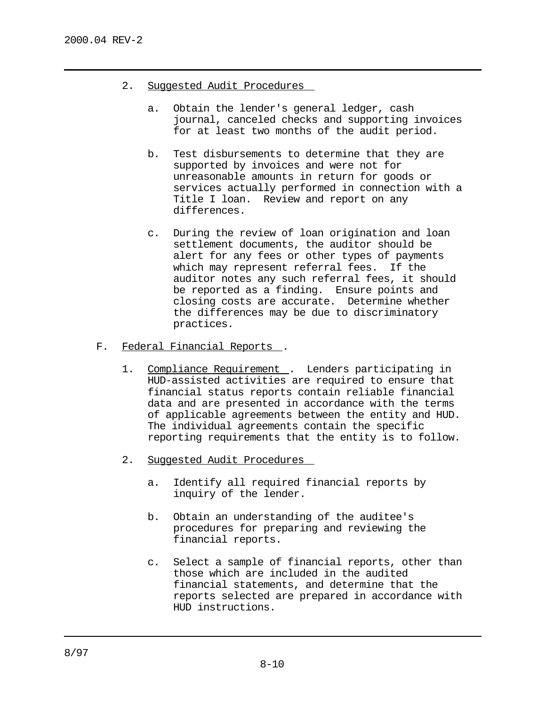- 2. Suggested Audit Procedures
	- a. Obtain the lender's general ledger, cash journal, canceled checks and supporting invoices for at least two months of the audit period.
	- b. Test disbursements to determine that they are supported by invoices and were not for unreasonable amounts in return for goods or services actually performed in connection with a Title I loan. Review and report on any differences.
	- c. During the review of loan origination and loan settlement documents, the auditor should be alert for any fees or other types of payments which may represent referral fees. If the auditor notes any such referral fees, it should be reported as a finding. Ensure points and closing costs are accurate. Determine whether the differences may be due to discriminatory practices.
- F. Federal Financial Reports .
	- 1. Compliance Requirement . Lenders participating in HUD-assisted activities are required to ensure that financial status reports contain reliable financial data and are presented in accordance with the terms of applicable agreements between the entity and HUD. The individual agreements contain the specific reporting requirements that the entity is to follow.
	- 2. Suggested Audit Procedures
		- a. Identify all required financial reports by inquiry of the lender.
		- b. Obtain an understanding of the auditee's procedures for preparing and reviewing the financial reports.
		- c. Select a sample of financial reports, other than those which are included in the audited financial statements, and determine that the reports selected are prepared in accordance with HUD instructions.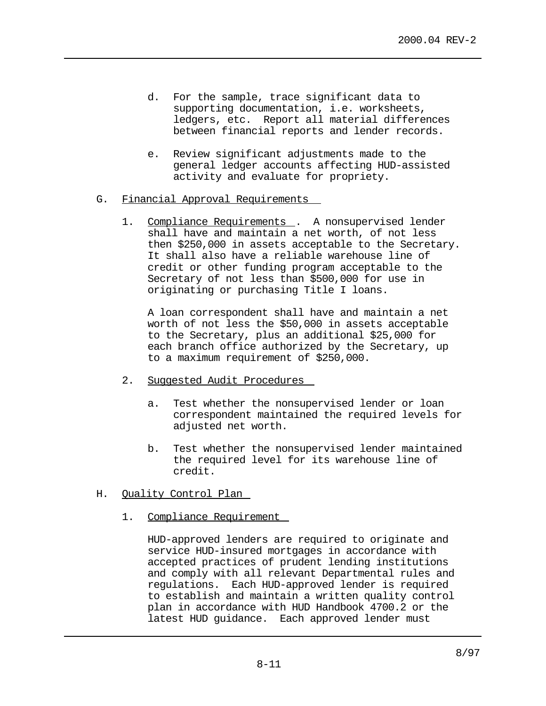- d. For the sample, trace significant data to supporting documentation, i.e. worksheets, ledgers, etc. Report all material differences between financial reports and lender records.
- e. Review significant adjustments made to the general ledger accounts affecting HUD-assisted activity and evaluate for propriety.
- G. Financial Approval Requirements
	- 1. Compliance Requirements . A nonsupervised lender shall have and maintain a net worth, of not less then \$250,000 in assets acceptable to the Secretary. It shall also have a reliable warehouse line of credit or other funding program acceptable to the Secretary of not less than \$500,000 for use in originating or purchasing Title I loans.

A loan correspondent shall have and maintain a net worth of not less the \$50,000 in assets acceptable to the Secretary, plus an additional \$25,000 for each branch office authorized by the Secretary, up to a maximum requirement of \$250,000.

- 2. Suggested Audit Procedures
	- a. Test whether the nonsupervised lender or loan correspondent maintained the required levels for adjusted net worth.
	- b. Test whether the nonsupervised lender maintained the required level for its warehouse line of credit.
- H. Quality Control Plan
	- 1. Compliance Requirement

HUD-approved lenders are required to originate and service HUD-insured mortgages in accordance with accepted practices of prudent lending institutions and comply with all relevant Departmental rules and regulations. Each HUD-approved lender is required to establish and maintain a written quality control plan in accordance with HUD Handbook 4700.2 or the latest HUD guidance. Each approved lender must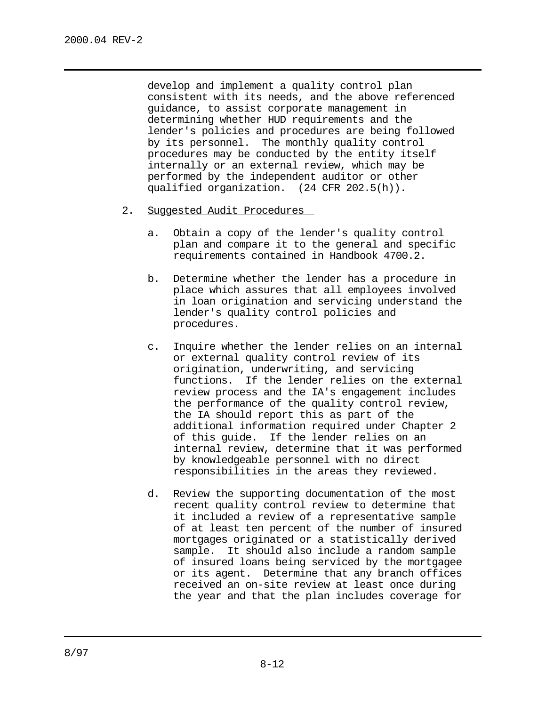develop and implement a quality control plan consistent with its needs, and the above referenced guidance, to assist corporate management in determining whether HUD requirements and the lender's policies and procedures are being followed by its personnel. The monthly quality control procedures may be conducted by the entity itself internally or an external review, which may be performed by the independent auditor or other qualified organization. (24 CFR 202.5(h)).

- 2. Suggested Audit Procedures
	- a. Obtain a copy of the lender's quality control plan and compare it to the general and specific requirements contained in Handbook 4700.2.
	- b. Determine whether the lender has a procedure in place which assures that all employees involved in loan origination and servicing understand the lender's quality control policies and procedures.
	- c. Inquire whether the lender relies on an internal or external quality control review of its origination, underwriting, and servicing functions. If the lender relies on the external review process and the IA's engagement includes the performance of the quality control review, the IA should report this as part of the additional information required under Chapter 2 of this guide. If the lender relies on an internal review, determine that it was performed by knowledgeable personnel with no direct responsibilities in the areas they reviewed.
	- d. Review the supporting documentation of the most recent quality control review to determine that it included a review of a representative sample of at least ten percent of the number of insured mortgages originated or a statistically derived sample. It should also include a random sample of insured loans being serviced by the mortgagee or its agent. Determine that any branch offices received an on-site review at least once during the year and that the plan includes coverage for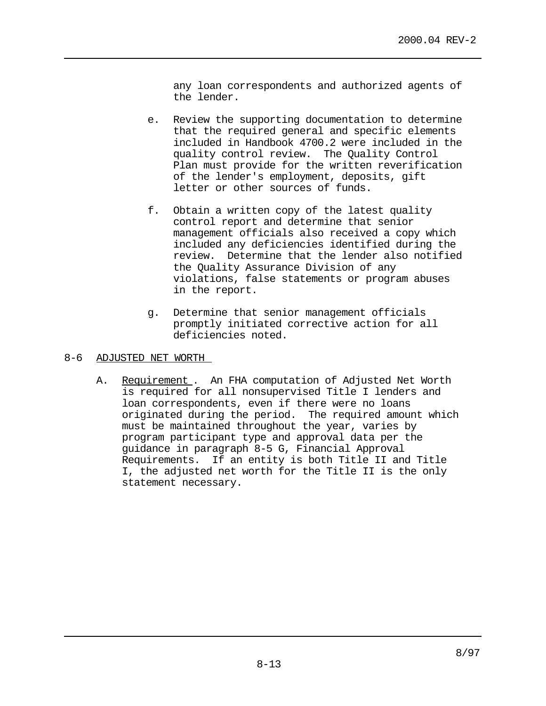any loan correspondents and authorized agents of the lender.

- e. Review the supporting documentation to determine that the required general and specific elements included in Handbook 4700.2 were included in the quality control review. The Quality Control Plan must provide for the written reverification of the lender's employment, deposits, gift letter or other sources of funds.
- f. Obtain a written copy of the latest quality control report and determine that senior management officials also received a copy which included any deficiencies identified during the review. Determine that the lender also notified the Quality Assurance Division of any violations, false statements or program abuses in the report.
- g. Determine that senior management officials promptly initiated corrective action for all deficiencies noted.

### 8-6 ADJUSTED NET WORTH

A. Requirement. An FHA computation of Adjusted Net Worth is required for all nonsupervised Title I lenders and loan correspondents, even if there were no loans originated during the period. The required amount which must be maintained throughout the year, varies by program participant type and approval data per the guidance in paragraph 8-5 G, Financial Approval Requirements. If an entity is both Title II and Title I, the adjusted net worth for the Title II is the only statement necessary.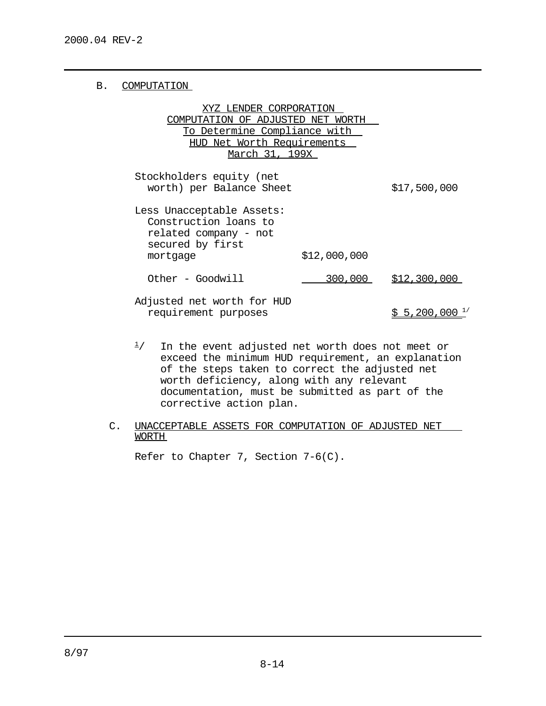## B. COMPUTATION

| XYZ LENDER CORPORATION              |
|-------------------------------------|
| COMPUTATION OF ADJUSTED NET WORTH   |
| <u>To Determine Compliance with</u> |
| HUD Net Worth Requirements          |
| March 31, 199X                      |
|                                     |

Stockholders equity (net worth) per Balance Sheet \$17,500,000 Less Unacceptable Assets:

Construction loans to related company - not secured by first mortgage \$12,000,000

0ther - Goodwill 200,000 \$12,300,000

Adjusted net worth for HUD requirement purposes  $$5,200,000$ <sup>1/</sup>

- $\frac{1}{1}$  In the event adjusted net worth does not meet or exceed the minimum HUD requirement, an explanation of the steps taken to correct the adjusted net worth deficiency, along with any relevant documentation, must be submitted as part of the corrective action plan.
- C. UNACCEPTABLE ASSETS FOR COMPUTATION OF ADJUSTED NET WORTH

Refer to Chapter 7, Section  $7-6(C)$ .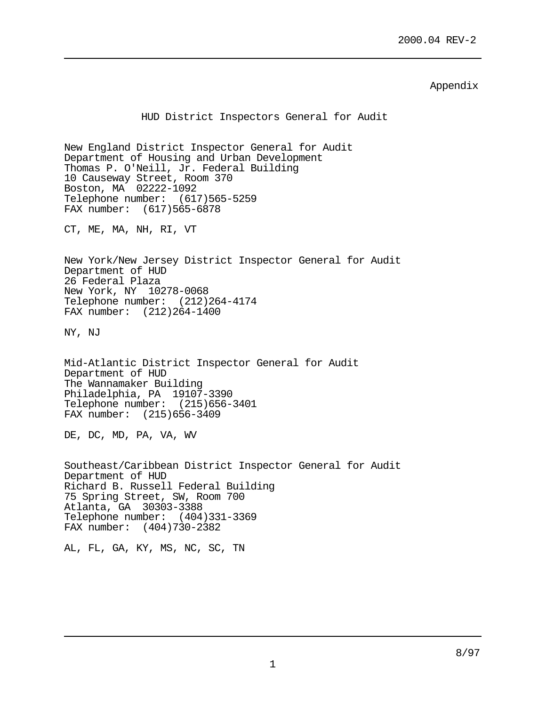Appendix

HUD District Inspectors General for Audit New England District Inspector General for Audit Department of Housing and Urban Development Thomas P. O'Neill, Jr. Federal Building 10 Causeway Street, Room 370 Boston, MA 02222-1092 Telephone number: (617)565-5259 FAX number: (617)565-6878 CT, ME, MA, NH, RI, VT New York/New Jersey District Inspector General for Audit Department of HUD 26 Federal Plaza New York, NY 10278-0068 Telephone number: (212)264-4174 FAX number: (212)264-1400 NY, NJ Mid-Atlantic District Inspector General for Audit Department of HUD The Wannamaker Building Philadelphia, PA 19107-3390 Telephone number: (215)656-3401 FAX number: (215)656-3409 DE, DC, MD, PA, VA, WV Southeast/Caribbean District Inspector General for Audit Department of HUD Richard B. Russell Federal Building 75 Spring Street, SW, Room 700 Atlanta, GA 30303-3388 Telephone number: (404)331-3369 FAX number: (404)730-2382 AL, FL, GA, KY, MS, NC, SC, TN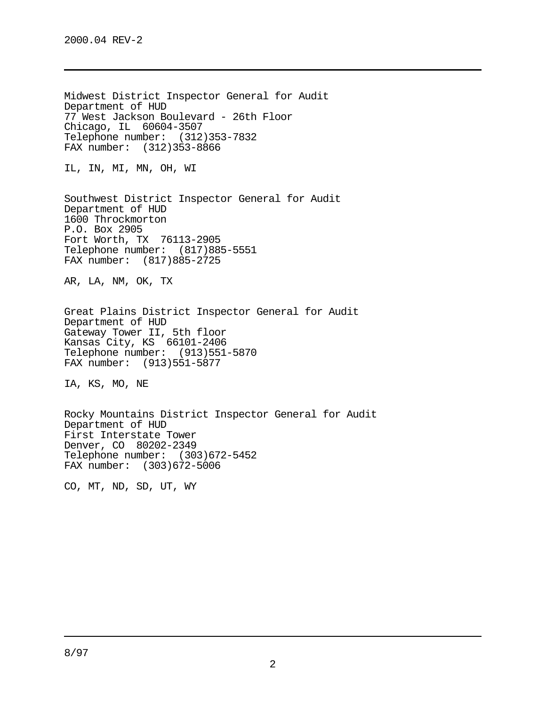Midwest District Inspector General for Audit Department of HUD 77 West Jackson Boulevard - 26th Floor Chicago, IL 60604-3507 Telephone number: (312)353-7832 FAX number: (312)353-8866 IL, IN, MI, MN, OH, WI Southwest District Inspector General for Audit Department of HUD 1600 Throckmorton P.O. Box 2905 Fort Worth, TX 76113-2905 Telephone number: (817)885-5551 FAX number: (817)885-2725 AR, LA, NM, OK, TX Great Plains District Inspector General for Audit Department of HUD Gateway Tower II, 5th floor Kansas City, KS 66101-2406 Telephone number: (913)551-5870 FAX number: (913)551-5877 IA, KS, MO, NE Rocky Mountains District Inspector General for Audit Department of HUD First Interstate Tower Denver, CO 80202-2349 Telephone number: (303)672-5452 FAX number: (303)672-5006 CO, MT, ND, SD, UT, WY